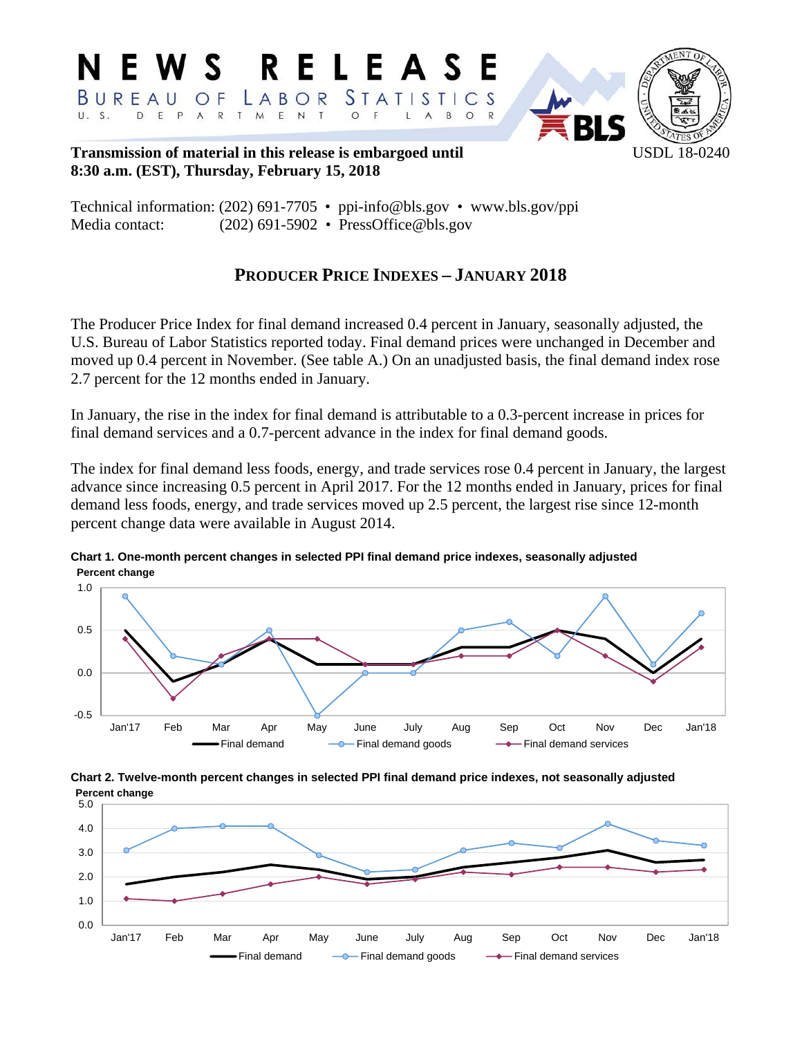

**Transmission of material in this release is embargoed until USDL 18-0240 8:30 a.m. (EST), Thursday, February 15, 2018** 

Technical information: (202) 691-7705 • ppi-info@bls.gov • www.bls.gov/ppi Media contact: (202) 691-5902 • PressOffice@bls.gov

## **PRODUCER PRICE INDEXES – JANUARY 2018**

The Producer Price Index for final demand increased 0.4 percent in January, seasonally adjusted, the U.S. Bureau of Labor Statistics reported today. Final demand prices were unchanged in December and moved up 0.4 percent in November. (See table A.) On an unadjusted basis, the final demand index rose 2.7 percent for the 12 months ended in January.

In January, the rise in the index for final demand is attributable to a 0.3-percent increase in prices for final demand services and a 0.7-percent advance in the index for final demand goods.

The index for final demand less foods, energy, and trade services rose 0.4 percent in January, the largest advance since increasing 0.5 percent in April 2017. For the 12 months ended in January, prices for final demand less foods, energy, and trade services moved up 2.5 percent, the largest rise since 12-month percent change data were available in August 2014.



**Chart 1. One-month percent changes in selected PPI final demand price indexes, seasonally adjusted Percent change**



**Chart 2. Twelve-month percent changes in selected PPI final demand price indexes, not seasonally adjusted**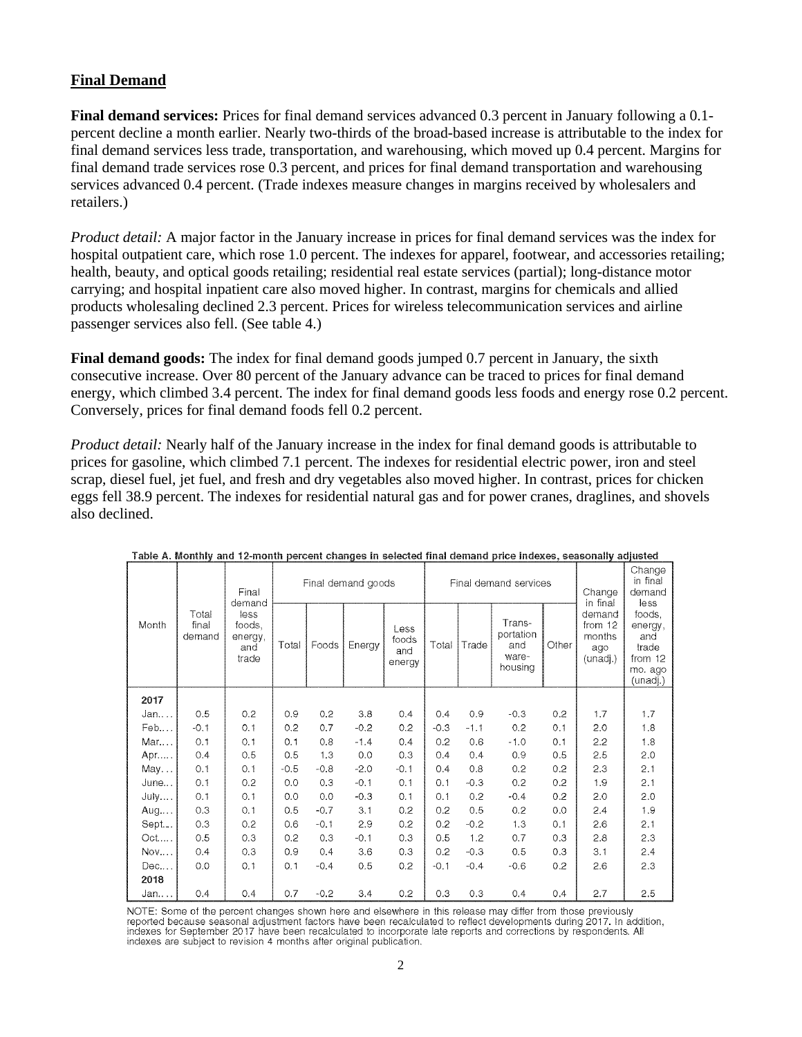## **Final Demand**

**Final demand services:** Prices for final demand services advanced 0.3 percent in January following a 0.1 percent decline a month earlier. Nearly two-thirds of the broad-based increase is attributable to the index for final demand services less trade, transportation, and warehousing, which moved up 0.4 percent. Margins for final demand trade services rose 0.3 percent, and prices for final demand transportation and warehousing services advanced 0.4 percent. (Trade indexes measure changes in margins received by wholesalers and retailers.)

*Product detail:* A major factor in the January increase in prices for final demand services was the index for hospital outpatient care, which rose 1.0 percent. The indexes for apparel, footwear, and accessories retailing; health, beauty, and optical goods retailing; residential real estate services (partial); long-distance motor carrying; and hospital inpatient care also moved higher. In contrast, margins for chemicals and allied products wholesaling declined 2.3 percent. Prices for wireless telecommunication services and airline passenger services also fell. (See table 4.)

**Final demand goods:** The index for final demand goods jumped 0.7 percent in January, the sixth consecutive increase. Over 80 percent of the January advance can be traced to prices for final demand energy, which climbed 3.4 percent. The index for final demand goods less foods and energy rose 0.2 percent. Conversely, prices for final demand foods fell 0.2 percent.

*Product detail:* Nearly half of the January increase in the index for final demand goods is attributable to prices for gasoline, which climbed 7.1 percent. The indexes for residential electric power, iron and steel scrap, diesel fuel, jet fuel, and fresh and dry vegetables also moved higher. In contrast, prices for chicken eggs fell 38.9 percent. The indexes for residential natural gas and for power cranes, draglines, and shovels also declined.

|       |                          | Final<br>demand                           | Final demand goods |        |        |                                | Final demand services |        |                                                |       | Change<br>in final                             | Change<br>in final<br>demand<br>less                                |
|-------|--------------------------|-------------------------------------------|--------------------|--------|--------|--------------------------------|-----------------------|--------|------------------------------------------------|-------|------------------------------------------------|---------------------------------------------------------------------|
| Month | Total<br>final<br>demand | less<br>foods,<br>energy,<br>and<br>trade | Total              | Foods  | Energy | Less<br>foods<br>and<br>energy | Total                 | Trade  | Trans-<br>portation<br>and<br>ware-<br>housing | Other | demand<br>from 12<br>months<br>ago<br>(unadj.) | foods.<br>energy,<br>and<br>trade<br>from 12<br>mo. ago<br>(unadj.) |
| 2017  |                          |                                           |                    |        |        |                                |                       |        |                                                |       |                                                |                                                                     |
| Jan.  | 0.5                      | 0.2                                       | 0.9                | 0.2    | 3.8    | 0.4                            | 0.4                   | 0.9    | $-0.3$                                         | 0.2   | 1.7                                            | 1.7                                                                 |
| Feb   | $-0.1$                   | 0.1                                       | 0.2                | 0.7    | $-0.2$ | 0.2                            | $-0.3$                | $-1.1$ | 0.2                                            | 0.1   | 2.0                                            | 1.8                                                                 |
| Mar   | 0.1                      | 0.1                                       | 0.1                | 0.8    | $-1.4$ | 0.4                            | 0.2                   | 0.6    | $-1.0$                                         | 0.1   | 2.2                                            | 1.8                                                                 |
| Apr   | 0.4                      | 0.5                                       | 0.5                | 1.3    | 0.0    | 0.3                            | 0.4                   | 0.4    | 0.9                                            | 0.5   | 2.5                                            | 2.0                                                                 |
| May   | 0.1                      | 0.1                                       | $-0.5$             | $-0.8$ | $-2.0$ | $-0.1$                         | 0.4                   | 0.8    | 0.2                                            | 0.2   | 2.3                                            | 2.1                                                                 |
| June  | 0.1                      | 0.2                                       | 0.0                | 0.3    | $-0.1$ | 0.1                            | 0.1                   | $-0.3$ | 0.2                                            | 0.2   | 1.9                                            | 2.1                                                                 |
| July  | 0.1                      | 0.1                                       | 0.0                | 0.0    | $-0.3$ | 0.1                            | 0.1                   | 0.2    | $-0.4$                                         | 0.2   | 2.0                                            | 2.0                                                                 |
| Aug   | 0.3                      | 0.1                                       | 0.5                | $-0.7$ | 3.1    | 0.2                            | 0.2                   | 0.5    | 0.2                                            | 0.0   | 2.4                                            | 1.9                                                                 |
| Sept  | 0.3                      | 0.2                                       | 0.6                | $-0.1$ | 2.9    | 0.2                            | 0.2                   | $-0.2$ | 1.3                                            | 0.1   | 2.6                                            | 2.1                                                                 |
| Oct   | 0.5                      | 0.3                                       | 0.2                | 0.3    | $-0.1$ | 0.3                            | 0.5                   | 1.2    | 0.7                                            | 0.3   | 2.8                                            | 2.3                                                                 |
| Now   | 0.4                      | 0.3                                       | 0.9                | 0.4    | 3.6    | 0.3                            | 0.2                   | $-0.3$ | 0.5                                            | 0.3   | 3.1                                            | 2.4                                                                 |
| Dec   | 0.0                      | 0.1                                       | 0.1                | $-0.4$ | 0.5    | 0.2                            | $-0.1$                | $-0.4$ | $-0.6$                                         | 0.2   | 2.6                                            | 2.3                                                                 |
| 2018  |                          |                                           |                    |        |        |                                |                       |        |                                                |       |                                                |                                                                     |
| Jan   | 0.4                      | 0.4                                       | 0.7                | $-0.2$ | 3.4    | 0.2                            | 0.3                   | 0.3    | 0.4                                            | 0.4   | 2.7                                            | 2.5                                                                 |

| Table A. Monthly and 12-month percent changes in selected final demand price indexes, seasonally adjusted |  |  |
|-----------------------------------------------------------------------------------------------------------|--|--|
|                                                                                                           |  |  |

NOTE: Some of the percent changes shown here and elsewhere in this release may differ from those previously reported because seasonal adjustment factors have been recalculated to reflect developments during 2017. In addition, indexes for September 2017 have been recalculated to incorporate late reports and corrections by respond indexes are subject to revision 4 months after original publication.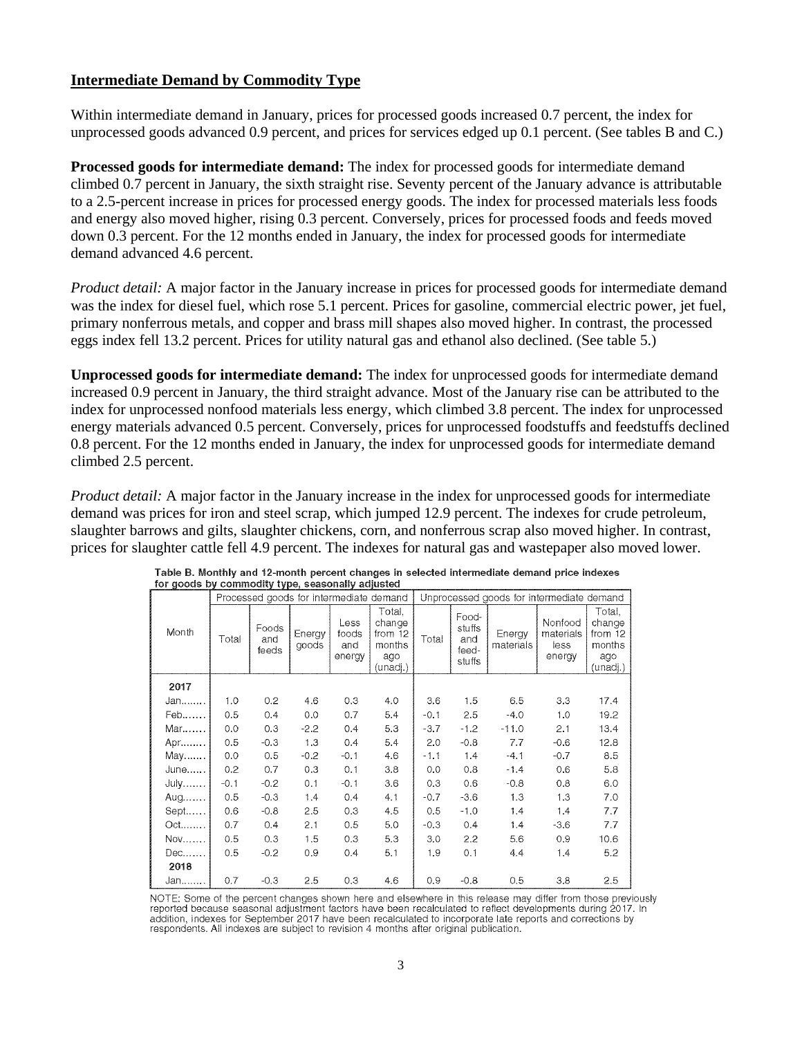### **Intermediate Demand by Commodity Type**

Within intermediate demand in January, prices for processed goods increased 0.7 percent, the index for unprocessed goods advanced 0.9 percent, and prices for services edged up 0.1 percent. (See tables B and C.)

**Processed goods for intermediate demand:** The index for processed goods for intermediate demand climbed 0.7 percent in January, the sixth straight rise. Seventy percent of the January advance is attributable to a 2.5-percent increase in prices for processed energy goods. The index for processed materials less foods and energy also moved higher, rising 0.3 percent. Conversely, prices for processed foods and feeds moved down 0.3 percent. For the 12 months ended in January, the index for processed goods for intermediate demand advanced 4.6 percent.

*Product detail:* A major factor in the January increase in prices for processed goods for intermediate demand was the index for diesel fuel, which rose 5.1 percent. Prices for gasoline, commercial electric power, jet fuel, primary nonferrous metals, and copper and brass mill shapes also moved higher. In contrast, the processed eggs index fell 13.2 percent. Prices for utility natural gas and ethanol also declined. (See table 5.)

**Unprocessed goods for intermediate demand:** The index for unprocessed goods for intermediate demand increased 0.9 percent in January, the third straight advance. Most of the January rise can be attributed to the index for unprocessed nonfood materials less energy, which climbed 3.8 percent. The index for unprocessed energy materials advanced 0.5 percent. Conversely, prices for unprocessed foodstuffs and feedstuffs declined 0.8 percent. For the 12 months ended in January, the index for unprocessed goods for intermediate demand climbed 2.5 percent.

*Product detail:* A major factor in the January increase in the index for unprocessed goods for intermediate demand was prices for iron and steel scrap, which jumped 12.9 percent. The indexes for crude petroleum, slaughter barrows and gilts, slaughter chickens, corn, and nonferrous scrap also moved higher. In contrast, prices for slaughter cattle fell 4.9 percent. The indexes for natural gas and wastepaper also moved lower.

|       |        | Processed goods for intermediate demand |                 |                                |                                                          | Unprocessed goods for intermediate demand |                                           |                     |                                        |                                                          |
|-------|--------|-----------------------------------------|-----------------|--------------------------------|----------------------------------------------------------|-------------------------------------------|-------------------------------------------|---------------------|----------------------------------------|----------------------------------------------------------|
| Month | Total  | Foods<br>and<br>feeds                   | Energy<br>goods | Less<br>foods<br>and<br>energy | Total,<br>change<br>from 12<br>months<br>ago<br>(unadj.) | Total                                     | Food-<br>stuffs<br>and<br>feed-<br>stuffs | Energy<br>materials | Nonfood<br>materials<br>less<br>energy | Total,<br>change<br>from 12<br>months<br>ago<br>(unadj.) |
| 2017  |        |                                         |                 |                                |                                                          |                                           |                                           |                     |                                        |                                                          |
| Jan   | 1.0    | 0.2                                     | 4.6             | 0.3                            | 4.0                                                      | 3.6                                       | 1.5                                       | 6.5                 | 3.3                                    | 17.4                                                     |
| Feb   | 0.5    | 0.4                                     | 0.0             | 0.7                            | 5.4                                                      | $-0.1$                                    | 2.5                                       | $-4.0$              | 1.0                                    | 19.2                                                     |
| Mar   | 0,0    | 0.3                                     | $-2.2$          | 0.4                            | 5.3                                                      | $-3.7$                                    | $-1.2$                                    | $-11.0$             | 2.1                                    | 13.4                                                     |
| Apr   | 0.5    | $-0.3$                                  | 1.3             | 0.4                            | 5.4                                                      | 2.0                                       | $-0.8$                                    | 7.7                 | $-0.6$                                 | 12.8                                                     |
| May   | 0.0    | 0.5                                     | $-0.2$          | $-0.1$                         | 4.6                                                      | $-1.1$                                    | 1.4                                       | $-4.1$              | $-0.7$                                 | 8.5                                                      |
| June  | 0.2    | 0.7                                     | 0.3             | 0.1                            | 3.8                                                      | 0.0                                       | 0.8                                       | $-1.4$              | 0.6                                    | 5.8                                                      |
| July  | $-0.1$ | $-0.2$                                  | 0.1             | $-0.1$                         | 3.6                                                      | 0.3                                       | 0.6                                       | $-0.8$              | 0.8                                    | 6.0                                                      |
| Aug   | 0.5    | $-0.3$                                  | 1.4             | 0.4                            | 4.1                                                      | $-0.7$                                    | $-3.6$                                    | 1.3                 | 1.3                                    | 7.0                                                      |
| Sept  | 0.6    | $-0.8$                                  | 2.5             | 0.3                            | 4.5                                                      | 0.5                                       | $-1.0$                                    | 1.4                 | 1.4                                    | 7.7                                                      |
| Oct   | 0.7    | 0.4                                     | 2.1             | 0.5                            | 5.0                                                      | $-0.3$                                    | 0.4                                       | 1.4                 | $-3.6$                                 | 7.7                                                      |
| Nov   | 0.5    | 0.3                                     | 1.5             | 0.3                            | 5.3                                                      | 3.0                                       | 2.2                                       | 5.6                 | 0.9                                    | 10.6                                                     |
| Dec   | 0.5    | $-0.2$                                  | 0.9             | 0.4                            | 5.1                                                      | 1.9                                       | 0.1                                       | 4.4                 | 1.4                                    | 5.2                                                      |
| 2018  |        |                                         |                 |                                |                                                          |                                           |                                           |                     |                                        |                                                          |
| Jan   | 0.7    | $-0.3$                                  | 2.5             | 0.3                            | 4.6                                                      | 0.9                                       | $-0.8$                                    | 0.5                 | 3.8                                    | 2.5                                                      |

|                                                 | [able B. Monthly and 12-month percent changes in selected intermediate demand price indexes |
|-------------------------------------------------|---------------------------------------------------------------------------------------------|
| or goods by commodity type, seasonally adjusted |                                                                                             |

NOTE: Some of the percent changes shown here and elsewhere in this release may differ from those previously reported because seasonal adjustment factors have been recalculated to reflect developments during 2017. In addition, indexes for September 2017 have been recalculated to incorporate late reports and corrections by respondents. All indexes are subject to revision 4 months after original publication.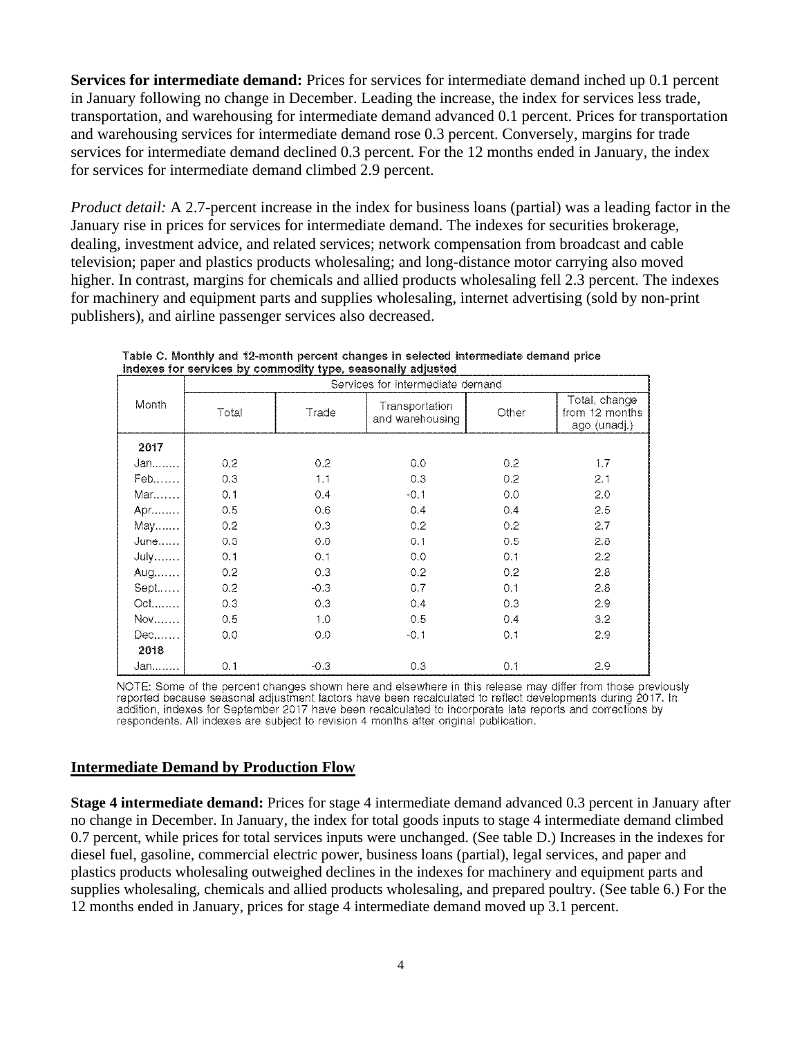**Services for intermediate demand:** Prices for services for intermediate demand inched up 0.1 percent in January following no change in December. Leading the increase, the index for services less trade, transportation, and warehousing for intermediate demand advanced 0.1 percent. Prices for transportation and warehousing services for intermediate demand rose 0.3 percent. Conversely, margins for trade services for intermediate demand declined 0.3 percent. For the 12 months ended in January, the index for services for intermediate demand climbed 2.9 percent.

*Product detail:* A 2.7-percent increase in the index for business loans (partial) was a leading factor in the January rise in prices for services for intermediate demand. The indexes for securities brokerage, dealing, investment advice, and related services; network compensation from broadcast and cable television; paper and plastics products wholesaling; and long-distance motor carrying also moved higher. In contrast, margins for chemicals and allied products wholesaling fell 2.3 percent. The indexes for machinery and equipment parts and supplies wholesaling, internet advertising (sold by non-print publishers), and airline passenger services also decreased.

Table C. Monthly and 12-month percent changes in selected intermediate demand price indexes for services by commodity type, seasonally adjusted

|        |       |        | Services for intermediate demand  |       |                                                 |
|--------|-------|--------|-----------------------------------|-------|-------------------------------------------------|
| Month  | Total | Trade  | Transportation<br>and warehousing | Other | Total, change<br>from 12 months<br>ago (unadj.) |
| 2017   |       |        |                                   |       |                                                 |
| Jan    | 0.2   | 0.2    | 0.0                               | 0.2   | 1.7                                             |
| Feb    | 0.3   | 1.1    | 0.3                               | 0.2   | 2.1                                             |
| Mar    | 0.1   | 0.4    | $-0.1$                            | 0.0   | 2,0                                             |
| Apr    | 0.5   | 0.6    | 0.4                               | 0.4   | 2.5                                             |
| May    | 0.2   | 0.3    | 0.2                               | 0.2   | 2.7                                             |
| June   | 0.3   | 0.0    | 0.1                               | 0.5   | 2.8                                             |
| July   | 0.1   | 0.1    | 0.0                               | 0.1   | 2.2                                             |
| Aug    | 0.2   | 0.3    | 0.2                               | 0.2   | 2.8                                             |
| Sept   | 0.2   | $-0.3$ | 0.7                               | 0.1   | 2.8                                             |
| $Oct.$ | 0.3   | 0.3    | 0.4                               | 0.3   | 2.9                                             |
| Nov    | 0.5   | 1,0    | 0.5                               | 0.4   | 3.2                                             |
| Dec    | 0.0   | 0.0    | $-0.1$                            | 0.1   | 2.9                                             |
| 2018   |       |        |                                   |       |                                                 |
| Jan    | 0.1   | $-0.3$ | 0.3                               | 0.1   | 2.9                                             |

NOTE: Some of the percent changes shown here and elsewhere in this release may differ from those previously reported because seasonal adjustment factors have been recalculated to reflect developments during 2017. In addition, indexes for September 2017 have been recalculated to incorporate late reports and corrections by respondents. All indexes are subject to revision 4 months after original publication.

#### **Intermediate Demand by Production Flow**

**Stage 4 intermediate demand:** Prices for stage 4 intermediate demand advanced 0.3 percent in January after no change in December. In January, the index for total goods inputs to stage 4 intermediate demand climbed 0.7 percent, while prices for total services inputs were unchanged. (See table D.) Increases in the indexes for diesel fuel, gasoline, commercial electric power, business loans (partial), legal services, and paper and plastics products wholesaling outweighed declines in the indexes for machinery and equipment parts and supplies wholesaling, chemicals and allied products wholesaling, and prepared poultry. (See table 6.) For the 12 months ended in January, prices for stage 4 intermediate demand moved up 3.1 percent.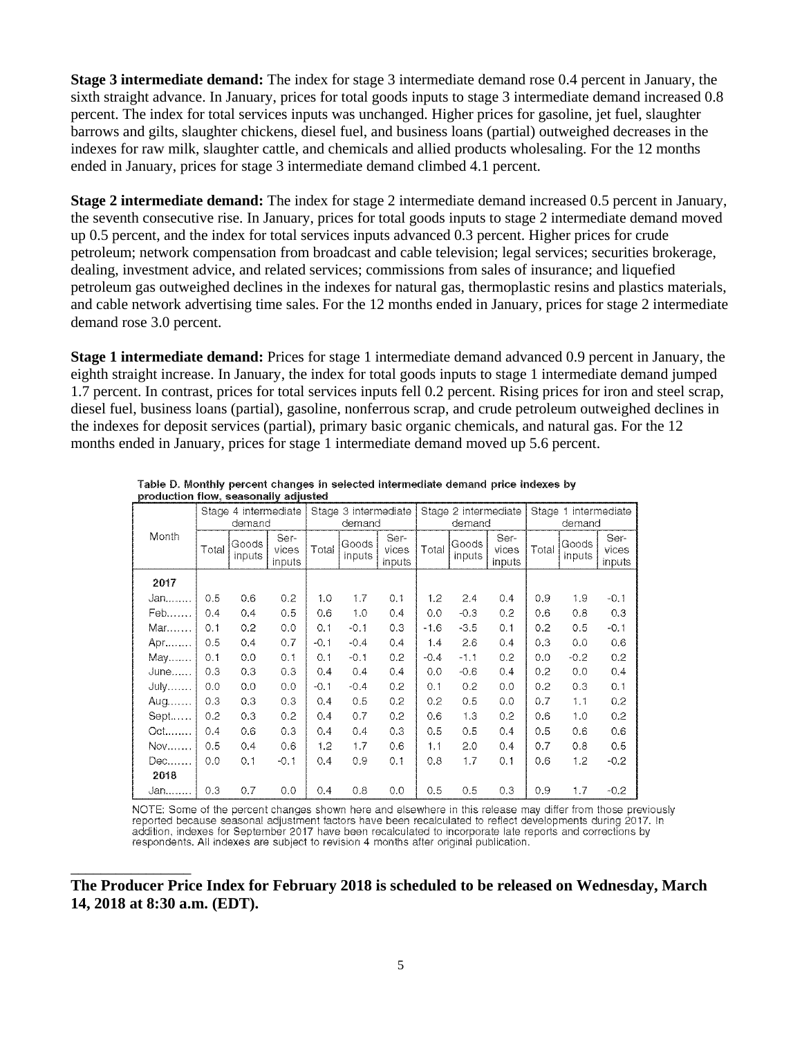**Stage 3 intermediate demand:** The index for stage 3 intermediate demand rose 0.4 percent in January, the sixth straight advance. In January, prices for total goods inputs to stage 3 intermediate demand increased 0.8 percent. The index for total services inputs was unchanged. Higher prices for gasoline, jet fuel, slaughter barrows and gilts, slaughter chickens, diesel fuel, and business loans (partial) outweighed decreases in the indexes for raw milk, slaughter cattle, and chemicals and allied products wholesaling. For the 12 months ended in January, prices for stage 3 intermediate demand climbed 4.1 percent.

**Stage 2 intermediate demand:** The index for stage 2 intermediate demand increased 0.5 percent in January, the seventh consecutive rise. In January, prices for total goods inputs to stage 2 intermediate demand moved up 0.5 percent, and the index for total services inputs advanced 0.3 percent. Higher prices for crude petroleum; network compensation from broadcast and cable television; legal services; securities brokerage, dealing, investment advice, and related services; commissions from sales of insurance; and liquefied petroleum gas outweighed declines in the indexes for natural gas, thermoplastic resins and plastics materials, and cable network advertising time sales. For the 12 months ended in January, prices for stage 2 intermediate demand rose 3.0 percent.

**Stage 1 intermediate demand:** Prices for stage 1 intermediate demand advanced 0.9 percent in January, the eighth straight increase. In January, the index for total goods inputs to stage 1 intermediate demand jumped 1.7 percent. In contrast, prices for total services inputs fell 0.2 percent. Rising prices for iron and steel scrap, diesel fuel, business loans (partial), gasoline, nonferrous scrap, and crude petroleum outweighed declines in the indexes for deposit services (partial), primary basic organic chemicals, and natural gas. For the 12 months ended in January, prices for stage 1 intermediate demand moved up 5.6 percent.

|             | Stage 4 intermediate<br>demand |                 |                         | Stage 3 intermediate<br>demand |                 |                         | Stage 2 intermediate<br>demand |                 |                         | Stage 1 intermediate<br>demand |                 |                         |
|-------------|--------------------------------|-----------------|-------------------------|--------------------------------|-----------------|-------------------------|--------------------------------|-----------------|-------------------------|--------------------------------|-----------------|-------------------------|
| Month       | Total                          | Goods<br>inputs | Ser-<br>vices<br>inputs | Total                          | Goods<br>inputs | Ser-<br>vices<br>inputs | Total                          | Goods<br>inputs | Ser-<br>vices<br>inputs | Total                          | Goods<br>inputs | Ser-<br>vices<br>inputs |
| 2017        |                                |                 |                         |                                |                 |                         |                                |                 |                         |                                |                 |                         |
| Jan         | 0.5                            | 0.6             | 0.2                     | 1.0                            | 1.7             | 0.1                     | 1.2                            | 2.4             | 0.4                     | 0.9                            | 1.9             | $-0.1$                  |
| Feb         | 0.4                            | 0.4             | 0.5                     | 0.6                            | 1.0             | 0.4                     | 0.0                            | $-0.3$          | 0.2                     | 0,6                            | 0.8             | 0.3                     |
| Mar         | 0.1                            | 0.2             | 0.0                     | 0.1                            | $-0.1$          | 0.3                     | $-1.6$                         | $-3.5$          | 0.1                     | 0.2                            | 0.5             | $-0.1$                  |
| Apr         | 0.5                            | 0.4             | 0.7                     | $-0.1$                         | $-0.4$          | 0.4                     | 1.4                            | 2.6             | 0.4                     | 0,3                            | 0,0             | 0.6                     |
| May         | 0.1                            | 0.0             | 0.1                     | 0.1                            | $-0.1$          | 0.2                     | $-0.4$                         | -1.1            | 0.2                     | 0.0                            | $-0.2$          | 0.2                     |
| June        | 0.3                            | 0.3             | 0.3                     | 0.4                            | 0.4             | 0.4                     | 0.0                            | $-0.6$          | 0.4                     | 0.2                            | 0.0             | 0.4                     |
| <b>July</b> | 0.0                            | 0.0             | 0.0                     | $-0.1$                         | $-0.4$          | 0.2                     | 0.1                            | 0.2             | 0.0                     | 0.2                            | 0.3             | 0.1                     |
| Aug         | 0.3                            | 0.3             | 0.3                     | 0.4                            | 0.5             | 0.2                     | 0.2                            | 0.5             | 0.0                     | 0.7                            | 1.1             | 0.2                     |
| $Sept$      | 0.2                            | 0.3             | 0.2                     | 0.4                            | 0.7             | 0.2                     | 0.6                            | 1.3             | 0.2                     | 0.6                            | 1.0             | 0.2                     |
| $Oct.$      | 0.4                            | 0.6             | 0.3                     | 0.4                            | 0.4             | 0.3                     | 0.5                            | 0.5             | 0.4                     | 0.5                            | 0.6             | 0.6                     |
| Nov         | 0.5                            | 0.4             | 0.6                     | 1.2                            | 1.7             | 0.6                     | 1.1                            | 2.0             | 0.4                     | 0.7                            | 0.8             | 0.5                     |
| Dec         | 0.0                            | 0.1             | $-0.1$                  | 0.4                            | 0.9             | 0.1                     | 0,8                            | 1.7             | 0,1                     | 0.6                            | 1.2             | $-0.2$                  |
| 2018        |                                |                 |                         |                                |                 |                         |                                |                 |                         |                                |                 |                         |
| Jan         | 0.3                            | 0.7             | 0.0                     | 0.4                            | 0.8             | 0.0                     | 0.5                            | 0.5             | 0,3                     | 0.9                            | 1.7             | $-0.2$                  |

Table D. Monthly percent changes in selected intermediate demand price indexes by production flow seasonally adjusted

NOTE: Some of the percent changes shown here and elsewhere in this release may differ from those previously reported because seasonal adjustment factors have been recalculated to reflect developments during 2017. In addition, indexes for September 2017 have been recalculated to incorporate late reports and corrections by respondents. All indexes are subject to revision 4 months after original publication.

### **The Producer Price Index for February 2018 is scheduled to be released on Wednesday, March 14, 2018 at 8:30 a.m. (EDT).**

\_\_\_\_\_\_\_\_\_\_\_\_\_\_\_\_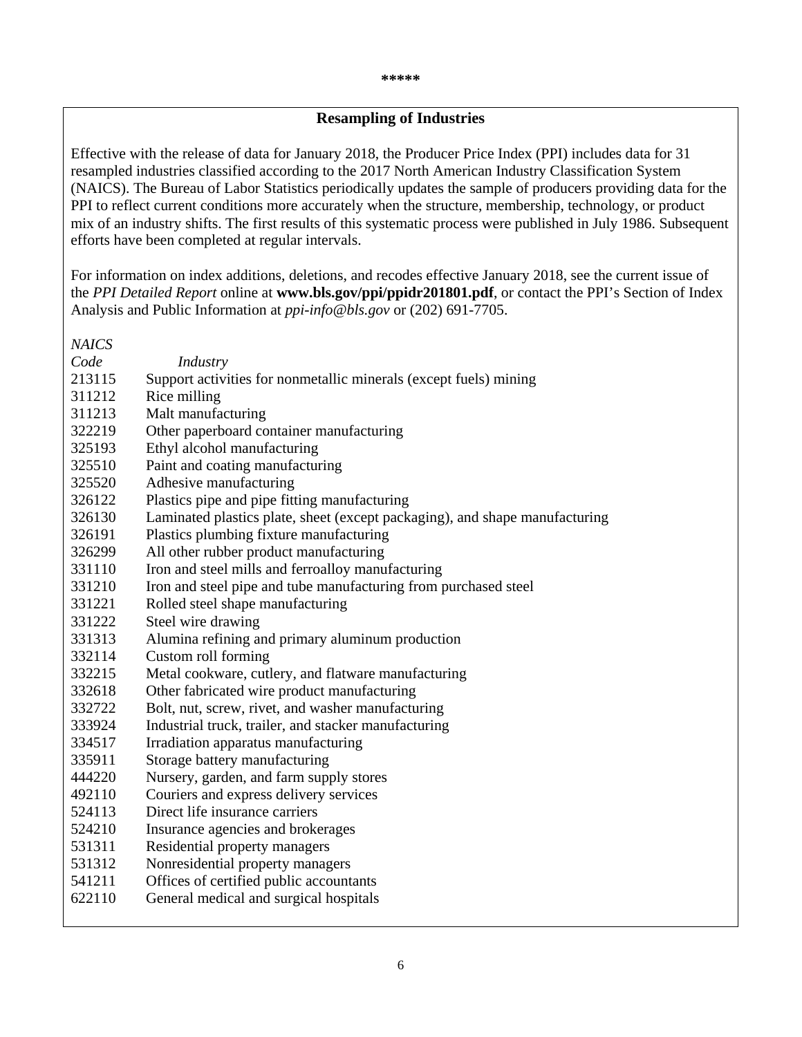## **Resampling of Industries**

Effective with the release of data for January 2018, the Producer Price Index (PPI) includes data for 31 resampled industries classified according to the 2017 North American Industry Classification System (NAICS). The Bureau of Labor Statistics periodically updates the sample of producers providing data for the PPI to reflect current conditions more accurately when the structure, membership, technology, or product mix of an industry shifts. The first results of this systematic process were published in July 1986. Subsequent efforts have been completed at regular intervals.

For information on index additions, deletions, and recodes effective January 2018, see the current issue of the *PPI Detailed Report* online at **www.bls.gov/ppi/ppidr201801.pdf**, or contact the PPI's Section of Index Analysis and Public Information at *ppi-info@bls.gov* or (202) 691-7705.

*NAICS* 

| Code   | Industry                                                                    |
|--------|-----------------------------------------------------------------------------|
| 213115 | Support activities for nonmetallic minerals (except fuels) mining           |
| 311212 | Rice milling                                                                |
| 311213 | Malt manufacturing                                                          |
| 322219 | Other paperboard container manufacturing                                    |
| 325193 | Ethyl alcohol manufacturing                                                 |
| 325510 | Paint and coating manufacturing                                             |
| 325520 | Adhesive manufacturing                                                      |
| 326122 | Plastics pipe and pipe fitting manufacturing                                |
| 326130 | Laminated plastics plate, sheet (except packaging), and shape manufacturing |
| 326191 | Plastics plumbing fixture manufacturing                                     |
| 326299 | All other rubber product manufacturing                                      |
| 331110 | Iron and steel mills and ferroalloy manufacturing                           |
| 331210 | Iron and steel pipe and tube manufacturing from purchased steel             |
| 331221 | Rolled steel shape manufacturing                                            |
| 331222 | Steel wire drawing                                                          |
| 331313 | Alumina refining and primary aluminum production                            |
| 332114 | Custom roll forming                                                         |
| 332215 | Metal cookware, cutlery, and flatware manufacturing                         |
| 332618 | Other fabricated wire product manufacturing                                 |
| 332722 | Bolt, nut, screw, rivet, and washer manufacturing                           |
| 333924 | Industrial truck, trailer, and stacker manufacturing                        |
| 334517 | Irradiation apparatus manufacturing                                         |
| 335911 | Storage battery manufacturing                                               |
| 444220 | Nursery, garden, and farm supply stores                                     |
| 492110 | Couriers and express delivery services                                      |
| 524113 | Direct life insurance carriers                                              |
| 524210 | Insurance agencies and brokerages                                           |
| 531311 | Residential property managers                                               |
| 531312 | Nonresidential property managers                                            |
| 541211 | Offices of certified public accountants                                     |
| 622110 | General medical and surgical hospitals                                      |
|        |                                                                             |
|        |                                                                             |
|        |                                                                             |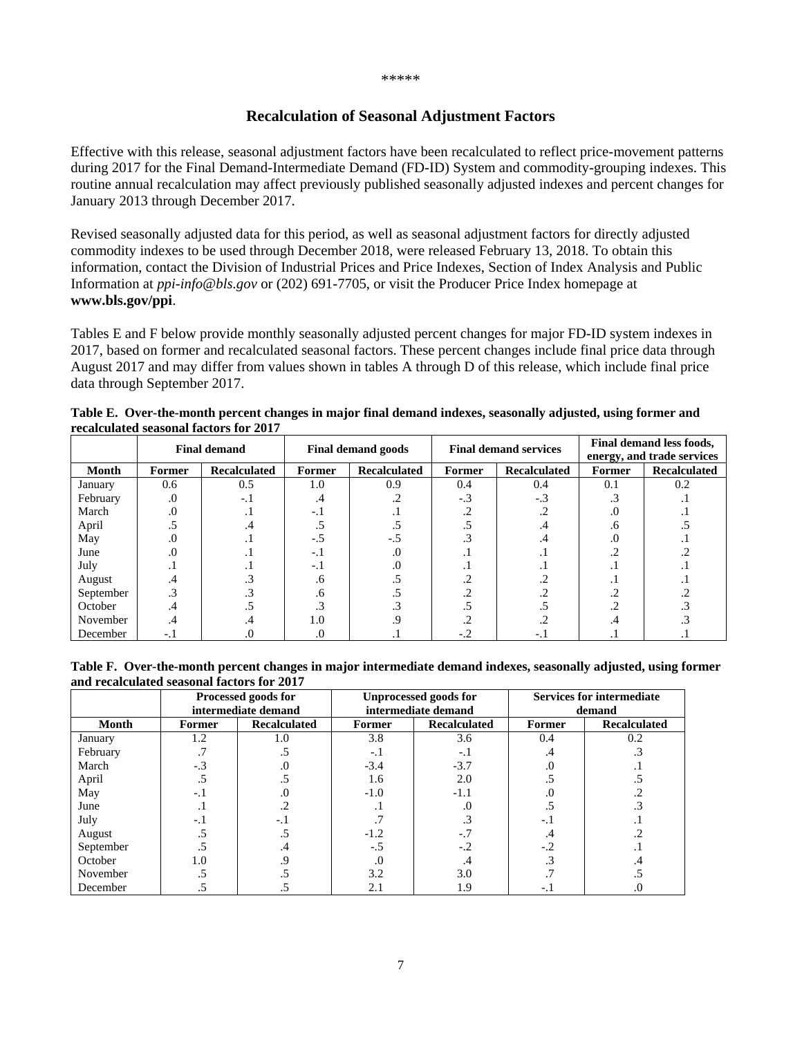#### **Recalculation of Seasonal Adjustment Factors**

Effective with this release, seasonal adjustment factors have been recalculated to reflect price-movement patterns during 2017 for the Final Demand-Intermediate Demand (FD-ID) System and commodity-grouping indexes. This routine annual recalculation may affect previously published seasonally adjusted indexes and percent changes for January 2013 through December 2017.

Revised seasonally adjusted data for this period, as well as seasonal adjustment factors for directly adjusted commodity indexes to be used through December 2018, were released February 13, 2018. To obtain this information, contact the Division of Industrial Prices and Price Indexes, Section of Index Analysis and Public Information at *ppi-info@bls.gov* or (202) 691-7705, or visit the Producer Price Index homepage at **www.bls.gov/ppi**.

Tables E and F below provide monthly seasonally adjusted percent changes for major FD-ID system indexes in 2017, based on former and recalculated seasonal factors. These percent changes include final price data through August 2017 and may differ from values shown in tables A through D of this release, which include final price data through September 2017.

|              | <b>Final demand</b> |                     | <b>Final demand goods</b> |                     |        | <b>Final demand services</b> | Final demand less foods,<br>energy, and trade services |                     |  |
|--------------|---------------------|---------------------|---------------------------|---------------------|--------|------------------------------|--------------------------------------------------------|---------------------|--|
| <b>Month</b> | Former              | <b>Recalculated</b> | Former                    | <b>Recalculated</b> | Former | <b>Recalculated</b>          | <b>Former</b>                                          | <b>Recalculated</b> |  |
| January      | 0.6                 | 0.5                 | 1.0                       | 0.9                 | 0.4    | 0.4                          | 0.1                                                    | 0.2                 |  |
| February     | .υ                  | -. 1                | .4                        |                     | $-.3$  | $-.3$                        |                                                        |                     |  |
| March        |                     |                     | -. I                      |                     |        |                              |                                                        |                     |  |
| April        |                     | .4                  |                           |                     |        |                              | .6                                                     |                     |  |
| May          | .0                  |                     | -.5                       | -. 5                |        |                              | $\Omega$ .                                             |                     |  |
| June         |                     |                     | -. 1                      |                     |        |                              |                                                        |                     |  |
| July         |                     |                     | $-.1$                     |                     |        |                              |                                                        |                     |  |
| August       | .4                  |                     | .6                        |                     |        |                              |                                                        |                     |  |
| September    |                     |                     | .6                        |                     |        |                              |                                                        |                     |  |
| October      |                     |                     |                           |                     |        |                              |                                                        |                     |  |
| November     | $.4\,$              |                     | 1.0                       |                     |        |                              |                                                        |                     |  |
| December     | -. 1                |                     |                           |                     | -      |                              |                                                        |                     |  |

**Table E. Over-the-month percent changes in major final demand indexes, seasonally adjusted, using former and recalculated seasonal factors for 2017** 

**Table F. Over-the-month percent changes in major intermediate demand indexes, seasonally adjusted, using former and recalculated seasonal factors for 2017** 

|              | Processed goods for<br>intermediate demand |                     |        | <b>Unprocessed goods for</b><br>intermediate demand | <b>Services for intermediate</b><br>demand |                     |  |
|--------------|--------------------------------------------|---------------------|--------|-----------------------------------------------------|--------------------------------------------|---------------------|--|
| <b>Month</b> | Former                                     | <b>Recalculated</b> | Former | <b>Recalculated</b>                                 | Former                                     | <b>Recalculated</b> |  |
| January      | 1.2                                        | 1.0                 | 3.8    | 3.6                                                 | 0.4                                        | 0.2                 |  |
| February     |                                            |                     | -. 1   | -. 1                                                | .4                                         |                     |  |
| March        | $-.3$                                      |                     | $-3.4$ | $-3.7$                                              |                                            |                     |  |
| April        |                                            |                     | 1.6    | 2.0                                                 |                                            |                     |  |
| May          | -. 1                                       |                     | $-1.0$ | $-1.1$                                              |                                            |                     |  |
| June         |                                            |                     |        |                                                     |                                            |                     |  |
| July         | -. I                                       | -. I                |        |                                                     | - 1                                        |                     |  |
| August       |                                            |                     | $-1.2$ | -.7                                                 |                                            |                     |  |
| September    |                                            |                     | $-.5$  | $-.2$                                               | $-2$                                       |                     |  |
| October      | 1.0                                        |                     | .0     | .4                                                  |                                            |                     |  |
| November     |                                            |                     | 3.2    | 3.0                                                 |                                            |                     |  |
| December     |                                            |                     | 2.1    | 1.9                                                 | $-11$                                      |                     |  |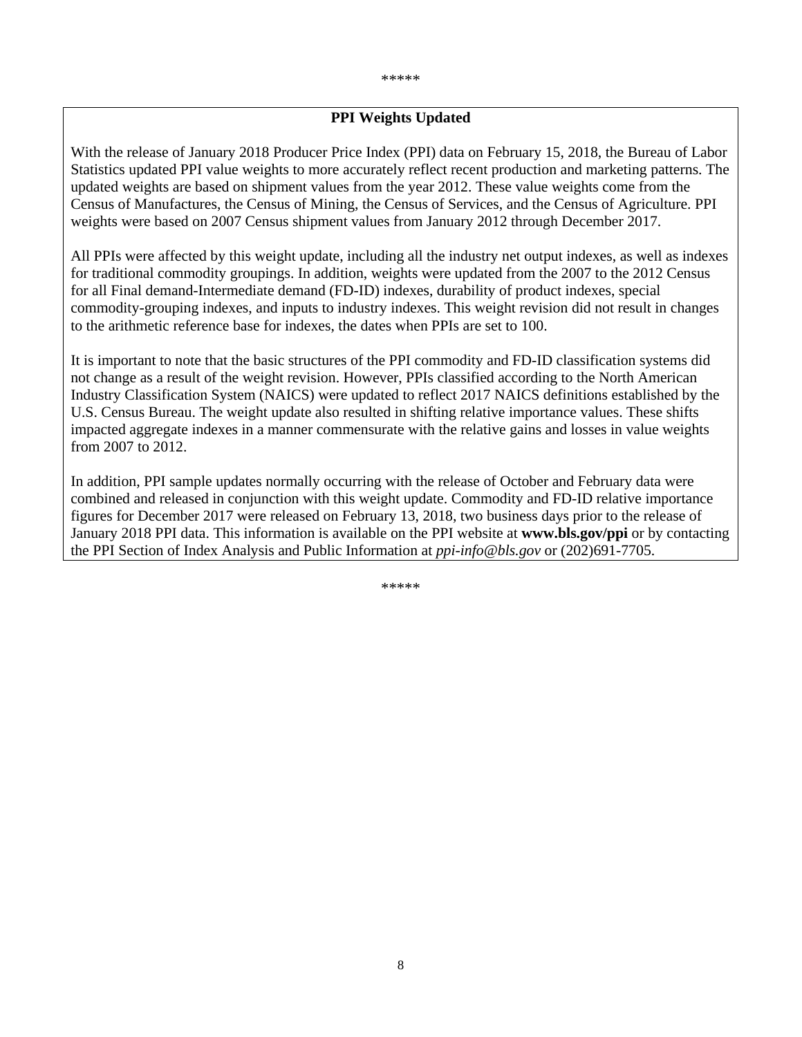#### \*\*\*\*\*

#### **PPI Weights Updated**

With the release of January 2018 Producer Price Index (PPI) data on February 15, 2018, the Bureau of Labor Statistics updated PPI value weights to more accurately reflect recent production and marketing patterns. The updated weights are based on shipment values from the year 2012. These value weights come from the Census of Manufactures, the Census of Mining, the Census of Services, and the Census of Agriculture. PPI weights were based on 2007 Census shipment values from January 2012 through December 2017.

All PPIs were affected by this weight update, including all the industry net output indexes, as well as indexes for traditional commodity groupings. In addition, weights were updated from the 2007 to the 2012 Census for all Final demand-Intermediate demand (FD-ID) indexes, durability of product indexes, special commodity-grouping indexes, and inputs to industry indexes. This weight revision did not result in changes to the arithmetic reference base for indexes, the dates when PPIs are set to 100.

It is important to note that the basic structures of the PPI commodity and FD-ID classification systems did not change as a result of the weight revision. However, PPIs classified according to the North American Industry Classification System (NAICS) were updated to reflect 2017 NAICS definitions established by the U.S. Census Bureau. The weight update also resulted in shifting relative importance values. These shifts impacted aggregate indexes in a manner commensurate with the relative gains and losses in value weights from 2007 to 2012.

In addition, PPI sample updates normally occurring with the release of October and February data were combined and released in conjunction with this weight update. Commodity and FD-ID relative importance figures for December 2017 were released on February 13, 2018, two business days prior to the release of January 2018 PPI data. This information is available on the PPI website at **www.bls.gov/ppi** or by contacting the PPI Section of Index Analysis and Public Information at *ppi-info@bls.gov* or (202)691-7705.

\*\*\*\*\*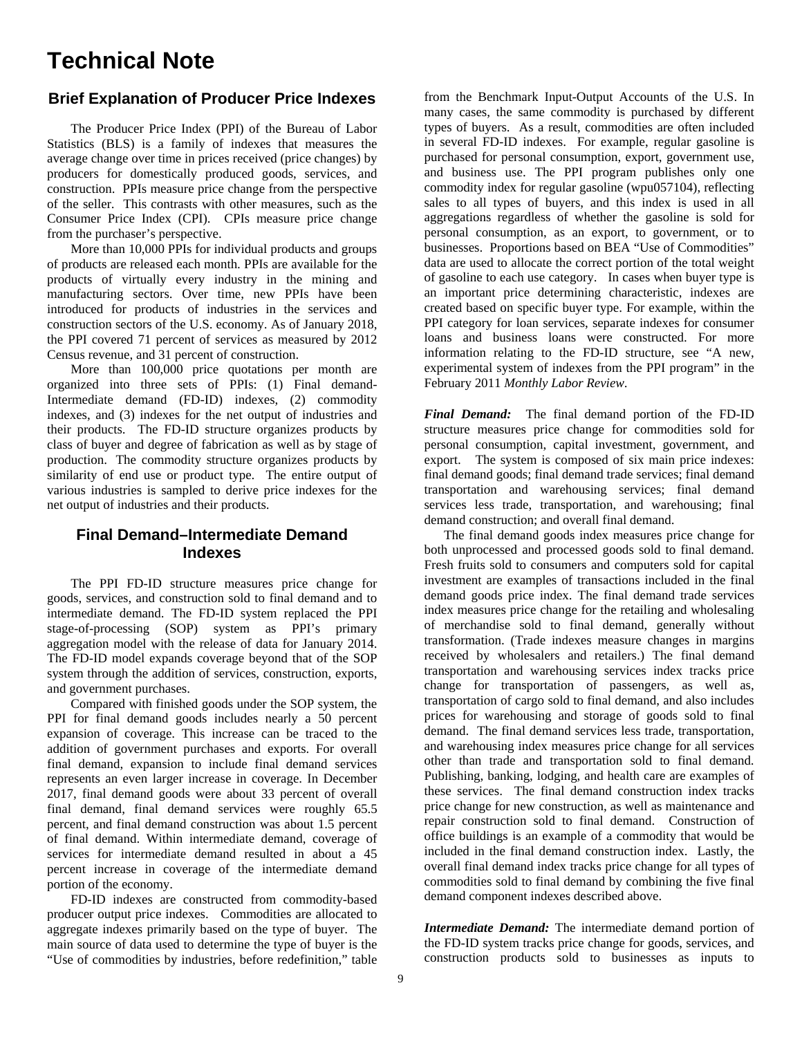# **Technical Note**

## **Brief Explanation of Producer Price Indexes**

The Producer Price Index (PPI) of the Bureau of Labor Statistics (BLS) is a family of indexes that measures the average change over time in prices received (price changes) by producers for domestically produced goods, services, and construction. PPIs measure price change from the perspective of the seller. This contrasts with other measures, such as the Consumer Price Index (CPI). CPIs measure price change from the purchaser's perspective.

 More than 10,000 PPIs for individual products and groups of products are released each month. PPIs are available for the products of virtually every industry in the mining and manufacturing sectors. Over time, new PPIs have been introduced for products of industries in the services and construction sectors of the U.S. economy. As of January 2018, the PPI covered 71 percent of services as measured by 2012 Census revenue, and 31 percent of construction.

More than 100,000 price quotations per month are organized into three sets of PPIs: (1) Final demand-Intermediate demand (FD-ID) indexes, (2) commodity indexes, and (3) indexes for the net output of industries and their products. The FD-ID structure organizes products by class of buyer and degree of fabrication as well as by stage of production. The commodity structure organizes products by similarity of end use or product type. The entire output of various industries is sampled to derive price indexes for the net output of industries and their products.

## **Final Demand–Intermediate Demand Indexes**

 The PPI FD-ID structure measures price change for goods, services, and construction sold to final demand and to intermediate demand. The FD-ID system replaced the PPI stage-of-processing (SOP) system as PPI's primary aggregation model with the release of data for January 2014. The FD-ID model expands coverage beyond that of the SOP system through the addition of services, construction, exports, and government purchases.

 Compared with finished goods under the SOP system, the PPI for final demand goods includes nearly a 50 percent expansion of coverage. This increase can be traced to the addition of government purchases and exports. For overall final demand, expansion to include final demand services represents an even larger increase in coverage. In December 2017, final demand goods were about 33 percent of overall final demand, final demand services were roughly 65.5 percent, and final demand construction was about 1.5 percent of final demand. Within intermediate demand, coverage of services for intermediate demand resulted in about a 45 percent increase in coverage of the intermediate demand portion of the economy.

FD-ID indexes are constructed from commodity-based producer output price indexes. Commodities are allocated to aggregate indexes primarily based on the type of buyer. The main source of data used to determine the type of buyer is the "Use of commodities by industries, before redefinition," table

from the Benchmark Input-Output Accounts of the U.S. In many cases, the same commodity is purchased by different types of buyers. As a result, commodities are often included in several FD-ID indexes. For example, regular gasoline is purchased for personal consumption, export, government use, and business use. The PPI program publishes only one commodity index for regular gasoline (wpu057104), reflecting sales to all types of buyers, and this index is used in all aggregations regardless of whether the gasoline is sold for personal consumption, as an export, to government, or to businesses. Proportions based on BEA "Use of Commodities" data are used to allocate the correct portion of the total weight of gasoline to each use category. In cases when buyer type is an important price determining characteristic, indexes are created based on specific buyer type. For example, within the PPI category for loan services, separate indexes for consumer loans and business loans were constructed. For more information relating to the FD-ID structure, see "A new, experimental system of indexes from the PPI program" in the February 2011 *Monthly Labor Review*.

*Final Demand:* The final demand portion of the FD-ID structure measures price change for commodities sold for personal consumption, capital investment, government, and export. The system is composed of six main price indexes: final demand goods; final demand trade services; final demand transportation and warehousing services; final demand services less trade, transportation, and warehousing; final demand construction; and overall final demand.

 The final demand goods index measures price change for both unprocessed and processed goods sold to final demand. Fresh fruits sold to consumers and computers sold for capital investment are examples of transactions included in the final demand goods price index. The final demand trade services index measures price change for the retailing and wholesaling of merchandise sold to final demand, generally without transformation. (Trade indexes measure changes in margins received by wholesalers and retailers.) The final demand transportation and warehousing services index tracks price change for transportation of passengers, as well as, transportation of cargo sold to final demand, and also includes prices for warehousing and storage of goods sold to final demand. The final demand services less trade, transportation, and warehousing index measures price change for all services other than trade and transportation sold to final demand. Publishing, banking, lodging, and health care are examples of these services. The final demand construction index tracks price change for new construction, as well as maintenance and repair construction sold to final demand. Construction of office buildings is an example of a commodity that would be included in the final demand construction index. Lastly, the overall final demand index tracks price change for all types of commodities sold to final demand by combining the five final demand component indexes described above.

*Intermediate Demand:* The intermediate demand portion of the FD-ID system tracks price change for goods, services, and construction products sold to businesses as inputs to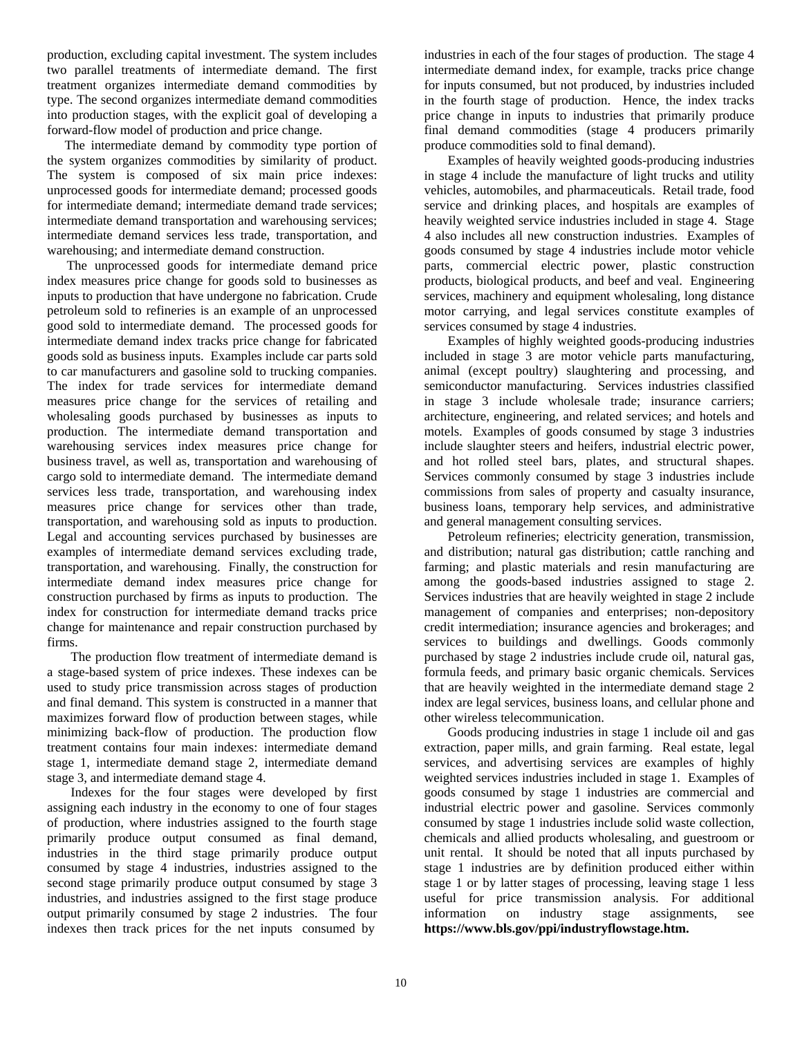production, excluding capital investment. The system includes two parallel treatments of intermediate demand. The first treatment organizes intermediate demand commodities by type. The second organizes intermediate demand commodities into production stages, with the explicit goal of developing a forward-flow model of production and price change.

 The intermediate demand by commodity type portion of the system organizes commodities by similarity of product. The system is composed of six main price indexes: unprocessed goods for intermediate demand; processed goods for intermediate demand; intermediate demand trade services; intermediate demand transportation and warehousing services; intermediate demand services less trade, transportation, and warehousing; and intermediate demand construction.

 The unprocessed goods for intermediate demand price index measures price change for goods sold to businesses as inputs to production that have undergone no fabrication. Crude petroleum sold to refineries is an example of an unprocessed good sold to intermediate demand. The processed goods for intermediate demand index tracks price change for fabricated goods sold as business inputs. Examples include car parts sold to car manufacturers and gasoline sold to trucking companies. The index for trade services for intermediate demand measures price change for the services of retailing and wholesaling goods purchased by businesses as inputs to production. The intermediate demand transportation and warehousing services index measures price change for business travel, as well as, transportation and warehousing of cargo sold to intermediate demand. The intermediate demand services less trade, transportation, and warehousing index measures price change for services other than trade, transportation, and warehousing sold as inputs to production. Legal and accounting services purchased by businesses are examples of intermediate demand services excluding trade, transportation, and warehousing. Finally, the construction for intermediate demand index measures price change for construction purchased by firms as inputs to production. The index for construction for intermediate demand tracks price change for maintenance and repair construction purchased by firms.

The production flow treatment of intermediate demand is a stage-based system of price indexes. These indexes can be used to study price transmission across stages of production and final demand. This system is constructed in a manner that maximizes forward flow of production between stages, while minimizing back-flow of production. The production flow treatment contains four main indexes: intermediate demand stage 1, intermediate demand stage 2, intermediate demand stage 3, and intermediate demand stage 4.

Indexes for the four stages were developed by first assigning each industry in the economy to one of four stages of production, where industries assigned to the fourth stage primarily produce output consumed as final demand, industries in the third stage primarily produce output consumed by stage 4 industries, industries assigned to the second stage primarily produce output consumed by stage 3 industries, and industries assigned to the first stage produce output primarily consumed by stage 2 industries. The four indexes then track prices for the net inputs consumed by

industries in each of the four stages of production. The stage 4 intermediate demand index, for example, tracks price change for inputs consumed, but not produced, by industries included in the fourth stage of production. Hence, the index tracks price change in inputs to industries that primarily produce final demand commodities (stage 4 producers primarily produce commodities sold to final demand).

 Examples of heavily weighted goods-producing industries in stage 4 include the manufacture of light trucks and utility vehicles, automobiles, and pharmaceuticals. Retail trade, food service and drinking places, and hospitals are examples of heavily weighted service industries included in stage 4. Stage 4 also includes all new construction industries. Examples of goods consumed by stage 4 industries include motor vehicle parts, commercial electric power, plastic construction products, biological products, and beef and veal. Engineering services, machinery and equipment wholesaling, long distance motor carrying, and legal services constitute examples of services consumed by stage 4 industries.

 Examples of highly weighted goods-producing industries included in stage 3 are motor vehicle parts manufacturing, animal (except poultry) slaughtering and processing, and semiconductor manufacturing. Services industries classified in stage 3 include wholesale trade; insurance carriers; architecture, engineering, and related services; and hotels and motels. Examples of goods consumed by stage 3 industries include slaughter steers and heifers, industrial electric power, and hot rolled steel bars, plates, and structural shapes. Services commonly consumed by stage 3 industries include commissions from sales of property and casualty insurance, business loans, temporary help services, and administrative and general management consulting services.

 Petroleum refineries; electricity generation, transmission, and distribution; natural gas distribution; cattle ranching and farming; and plastic materials and resin manufacturing are among the goods-based industries assigned to stage 2. Services industries that are heavily weighted in stage 2 include management of companies and enterprises; non-depository credit intermediation; insurance agencies and brokerages; and services to buildings and dwellings. Goods commonly purchased by stage 2 industries include crude oil, natural gas, formula feeds, and primary basic organic chemicals. Services that are heavily weighted in the intermediate demand stage 2 index are legal services, business loans, and cellular phone and other wireless telecommunication.

 Goods producing industries in stage 1 include oil and gas extraction, paper mills, and grain farming. Real estate, legal services, and advertising services are examples of highly weighted services industries included in stage 1. Examples of goods consumed by stage 1 industries are commercial and industrial electric power and gasoline. Services commonly consumed by stage 1 industries include solid waste collection, chemicals and allied products wholesaling, and guestroom or unit rental. It should be noted that all inputs purchased by stage 1 industries are by definition produced either within stage 1 or by latter stages of processing, leaving stage 1 less useful for price transmission analysis. For additional information on industry stage assignments, see **https://www.bls.gov/ppi/industryflowstage.htm.**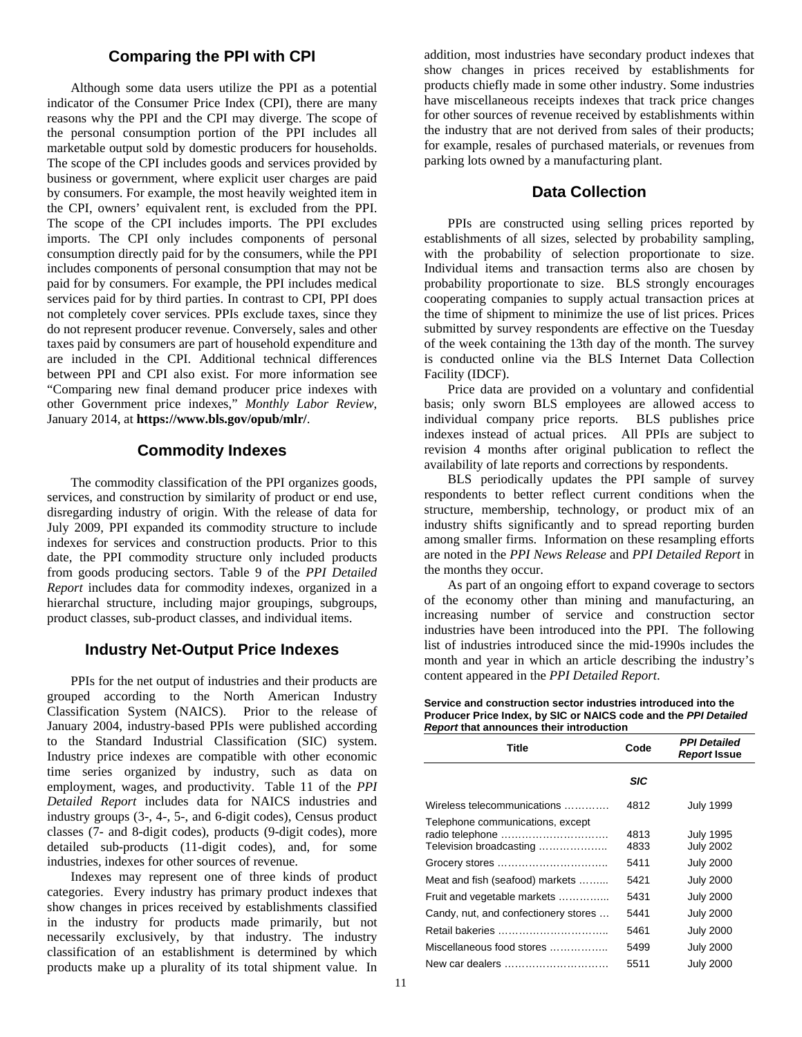#### **Comparing the PPI with CPI**

 Although some data users utilize the PPI as a potential indicator of the Consumer Price Index (CPI), there are many reasons why the PPI and the CPI may diverge. The scope of the personal consumption portion of the PPI includes all marketable output sold by domestic producers for households. The scope of the CPI includes goods and services provided by business or government, where explicit user charges are paid by consumers. For example, the most heavily weighted item in the CPI, owners' equivalent rent, is excluded from the PPI. The scope of the CPI includes imports. The PPI excludes imports. The CPI only includes components of personal consumption directly paid for by the consumers, while the PPI includes components of personal consumption that may not be paid for by consumers. For example, the PPI includes medical services paid for by third parties. In contrast to CPI, PPI does not completely cover services. PPIs exclude taxes, since they do not represent producer revenue. Conversely, sales and other taxes paid by consumers are part of household expenditure and are included in the CPI. Additional technical differences between PPI and CPI also exist. For more information see "Comparing new final demand producer price indexes with other Government price indexes," *Monthly Labor Review*, January 2014, at **https://www.bls.gov/opub/mlr/**.

#### **Commodity Indexes**

The commodity classification of the PPI organizes goods, services, and construction by similarity of product or end use, disregarding industry of origin. With the release of data for July 2009, PPI expanded its commodity structure to include indexes for services and construction products. Prior to this date, the PPI commodity structure only included products from goods producing sectors. Table 9 of the *PPI Detailed Report* includes data for commodity indexes, organized in a hierarchal structure, including major groupings, subgroups, product classes, sub-product classes, and individual items.

#### **Industry Net-Output Price Indexes**

PPIs for the net output of industries and their products are grouped according to the North American Industry Classification System (NAICS). Prior to the release of January 2004, industry-based PPIs were published according to the Standard Industrial Classification (SIC) system. Industry price indexes are compatible with other economic time series organized by industry, such as data on employment, wages, and productivity. Table 11 of the *PPI Detailed Report* includes data for NAICS industries and industry groups (3-, 4-, 5-, and 6-digit codes), Census product classes (7- and 8-digit codes), products (9-digit codes), more detailed sub-products (11-digit codes), and, for some industries, indexes for other sources of revenue.

 Indexes may represent one of three kinds of product categories. Every industry has primary product indexes that show changes in prices received by establishments classified in the industry for products made primarily, but not necessarily exclusively, by that industry. The industry classification of an establishment is determined by which products make up a plurality of its total shipment value. In

addition, most industries have secondary product indexes that show changes in prices received by establishments for products chiefly made in some other industry. Some industries have miscellaneous receipts indexes that track price changes for other sources of revenue received by establishments within the industry that are not derived from sales of their products; for example, resales of purchased materials, or revenues from parking lots owned by a manufacturing plant.

#### **Data Collection**

PPIs are constructed using selling prices reported by establishments of all sizes, selected by probability sampling, with the probability of selection proportionate to size. Individual items and transaction terms also are chosen by probability proportionate to size. BLS strongly encourages cooperating companies to supply actual transaction prices at the time of shipment to minimize the use of list prices. Prices submitted by survey respondents are effective on the Tuesday of the week containing the 13th day of the month. The survey is conducted online via the BLS Internet Data Collection Facility (IDCF).

 Price data are provided on a voluntary and confidential basis; only sworn BLS employees are allowed access to individual company price reports. BLS publishes price indexes instead of actual prices. All PPIs are subject to revision 4 months after original publication to reflect the availability of late reports and corrections by respondents.

 BLS periodically updates the PPI sample of survey respondents to better reflect current conditions when the structure, membership, technology, or product mix of an industry shifts significantly and to spread reporting burden among smaller firms. Information on these resampling efforts are noted in the *PPI News Release* and *PPI Detailed Report* in the months they occur.

 As part of an ongoing effort to expand coverage to sectors of the economy other than mining and manufacturing, an increasing number of service and construction sector industries have been introduced into the PPI. The following list of industries introduced since the mid-1990s includes the month and year in which an article describing the industry's content appeared in the *PPI Detailed Report*.

| <b>Report that announces then miroduction</b><br><b>Title</b>                  | Code         | <b>PPI Detailed</b><br><b>Report Issue</b> |
|--------------------------------------------------------------------------------|--------------|--------------------------------------------|
|                                                                                | <b>SIC</b>   |                                            |
| Wireless telecommunications                                                    | 4812         | <b>July 1999</b>                           |
| Telephone communications, except<br>radio telephone<br>Television broadcasting | 4813<br>4833 | <b>July 1995</b><br><b>July 2002</b>       |
|                                                                                | 5411         | <b>July 2000</b>                           |
| Meat and fish (seafood) markets                                                | 5421         | <b>July 2000</b>                           |
| Fruit and vegetable markets                                                    | 5431         | <b>July 2000</b>                           |
| Candy, nut, and confectionery stores                                           | 5441         | <b>July 2000</b>                           |
| Retail bakeries                                                                | 5461         | <b>July 2000</b>                           |
| Miscellaneous food stores                                                      | 5499         | <b>July 2000</b>                           |
| New car dealers                                                                | 5511         | <b>July 2000</b>                           |

**Service and construction sector industries introduced into the Producer Price Index, by SIC or NAICS code and the** *PPI Detailed Report* **that announces their introduction**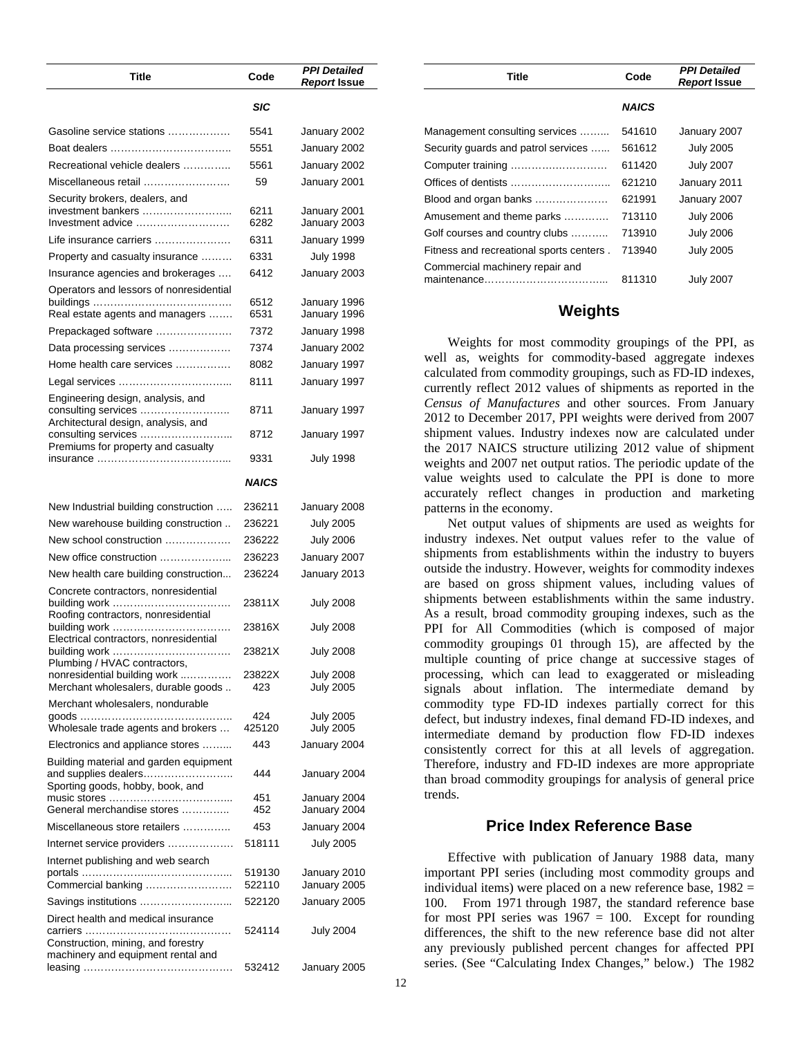| Title                                                                                             | Code             | <b>PPI Detailed</b><br>Report Issue  |
|---------------------------------------------------------------------------------------------------|------------------|--------------------------------------|
|                                                                                                   | <b>SIC</b>       |                                      |
| Gasoline service stations                                                                         | 5541             | January 2002                         |
|                                                                                                   | 5551             | January 2002                         |
| Recreational vehicle dealers                                                                      | 5561             | January 2002                         |
| Miscellaneous retail                                                                              | 59               | January 2001                         |
| Security brokers, dealers, and                                                                    |                  |                                      |
| investment bankers<br>Investment advice                                                           | 6211<br>6282     | January 2001<br>January 2003         |
| Life insurance carriers                                                                           | 6311             | January 1999                         |
| Property and casualty insurance                                                                   | 6331             | <b>July 1998</b>                     |
| Insurance agencies and brokerages                                                                 | 6412             | January 2003                         |
| Operators and lessors of nonresidential                                                           |                  |                                      |
| Real estate agents and managers                                                                   | 6512<br>6531     | January 1996<br>January 1996         |
| Prepackaged software                                                                              | 7372             | January 1998                         |
| Data processing services                                                                          | 7374             | January 2002                         |
| Home health care services                                                                         | 8082             | January 1997                         |
|                                                                                                   | 8111             | January 1997                         |
| Engineering design, analysis, and                                                                 |                  |                                      |
| consulting services<br>Architectural design, analysis, and                                        | 8711             | January 1997                         |
| Premiums for property and casualty                                                                | 8712             | January 1997                         |
|                                                                                                   | 9331             | July 1998                            |
|                                                                                                   | <b>NAICS</b>     |                                      |
| New Industrial building construction                                                              | 236211           | January 2008                         |
| New warehouse building construction                                                               | 236221           | <b>July 2005</b>                     |
| New school construction                                                                           | 236222           | <b>July 2006</b>                     |
| New office construction                                                                           | 236223           | January 2007                         |
| New health care building construction                                                             | 236224           | January 2013                         |
| Concrete contractors, nonresidential<br>building work<br>.<br>Roofing contractors, nonresidential | 23811X           | <b>July 2008</b>                     |
| Electrical contractors, nonresidential                                                            | 23816X           | <b>July 2008</b>                     |
| building work<br>Plumbing / HVAC contractors,                                                     | 23821X           | <b>July 2008</b>                     |
| nonresidential building work<br>Merchant wholesalers, durable goods                               | 23822X<br>423    | <b>July 2008</b><br><b>July 2005</b> |
| Merchant wholesalers, nondurable                                                                  | 424              | <b>July 2005</b>                     |
| Wholesale trade agents and brokers                                                                | 425120           | <b>July 2005</b>                     |
| Electronics and appliance stores                                                                  | 443              | January 2004                         |
| Building material and garden equipment<br>Sporting goods, hobby, book, and                        | 444              | January 2004                         |
| General merchandise stores                                                                        | 451<br>452       | January 2004<br>January 2004         |
| Miscellaneous store retailers                                                                     | 453              | January 2004                         |
| Internet service providers                                                                        | 518111           | <b>July 2005</b>                     |
| Internet publishing and web search                                                                |                  |                                      |
|                                                                                                   | 519130           | January 2010                         |
| Commercial banking<br>Savings institutions                                                        | 522110<br>522120 | January 2005<br>January 2005         |
| Direct health and medical insurance                                                               |                  |                                      |
| Construction, mining, and forestry                                                                | 524114           | <b>July 2004</b>                     |
| machinery and equipment rental and                                                                | 532412           | January 2005                         |

| Title                                    | Code         | <b>PPI Detailed</b><br>Report Issue |
|------------------------------------------|--------------|-------------------------------------|
|                                          | <b>NAICS</b> |                                     |
| Management consulting services           | 541610       | January 2007                        |
| Security quards and patrol services      | 561612       | <b>July 2005</b>                    |
| Computer training                        | 611420       | <b>July 2007</b>                    |
|                                          | 621210       | January 2011                        |
| Blood and organ banks                    | 621991       | January 2007                        |
| Amusement and theme parks                | 713110       | <b>July 2006</b>                    |
| Golf courses and country clubs           | 713910       | <b>July 2006</b>                    |
| Fitness and recreational sports centers. | 713940       | <b>July 2005</b>                    |
| Commercial machinery repair and          | 811310       | <b>July 2007</b>                    |

#### **Weights**

Weights for most commodity groupings of the PPI, as well as, weights for commodity-based aggregate indexes calculated from commodity groupings, such as FD-ID indexes, currently reflect 2012 values of shipments as reported in the *Census of Manufactures* and other sources. From January 2012 to December 2017, PPI weights were derived from 2007 shipment values. Industry indexes now are calculated under the 2017 NAICS structure utilizing 2012 value of shipment weights and 2007 net output ratios. The periodic update of the value weights used to calculate the PPI is done to more accurately reflect changes in production and marketing patterns in the economy.

Net output values of shipments are used as weights for industry indexes. Net output values refer to the value of shipments from establishments within the industry to buyers outside the industry. However, weights for commodity indexes are based on gross shipment values, including values of shipments between establishments within the same industry. As a result, broad commodity grouping indexes, such as the PPI for All Commodities (which is composed of major commodity groupings 01 through 15), are affected by the multiple counting of price change at successive stages of processing, which can lead to exaggerated or misleading signals about inflation. The intermediate demand by commodity type FD-ID indexes partially correct for this defect, but industry indexes, final demand FD-ID indexes, and intermediate demand by production flow FD-ID indexes consistently correct for this at all levels of aggregation. Therefore, industry and FD-ID indexes are more appropriate than broad commodity groupings for analysis of general price trends.

#### **Price Index Reference Base**

Effective with publication of January 1988 data, many important PPI series (including most commodity groups and individual items) were placed on a new reference base,  $1982 =$ 100. From 1971 through 1987, the standard reference base for most PPI series was  $1967 = 100$ . Except for rounding differences, the shift to the new reference base did not alter any previously published percent changes for affected PPI series. (See "Calculating Index Changes," below.) The 1982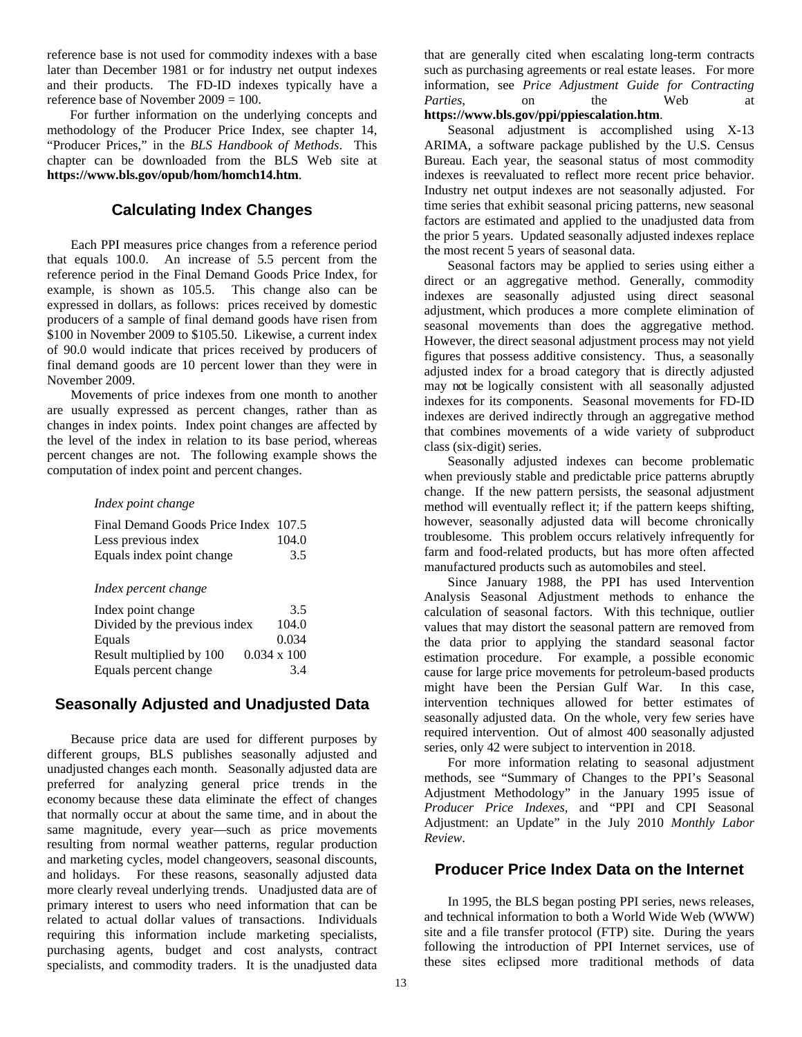reference base is not used for commodity indexes with a base later than December 1981 or for industry net output indexes and their products. The FD-ID indexes typically have a reference base of November 2009 = 100.

 For further information on the underlying concepts and methodology of the Producer Price Index, see chapter 14, "Producer Prices," in the *BLS Handbook of Methods*. This chapter can be downloaded from the BLS Web site at **https://www.bls.gov/opub/hom/homch14.htm**.

## **Calculating Index Changes**

Each PPI measures price changes from a reference period that equals 100.0. An increase of 5.5 percent from the reference period in the Final Demand Goods Price Index, for example, is shown as 105.5. This change also can be expressed in dollars, as follows: prices received by domestic producers of a sample of final demand goods have risen from \$100 in November 2009 to \$105.50. Likewise, a current index of 90.0 would indicate that prices received by producers of final demand goods are 10 percent lower than they were in November 2009.

 Movements of price indexes from one month to another are usually expressed as percent changes, rather than as changes in index points. Index point changes are affected by the level of the index in relation to its base period, whereas percent changes are not. The following example shows the computation of index point and percent changes.

#### *Index point change*

| Final Demand Goods Price Index 107.5 |       |
|--------------------------------------|-------|
| Less previous index                  | 104.0 |
| Equals index point change            | 3.5   |

#### *Index percent change*

| Index point change            | 3.5                |
|-------------------------------|--------------------|
| Divided by the previous index | 104.0              |
| Equals                        | 0.034              |
| Result multiplied by 100      | $0.034 \times 100$ |
| Equals percent change         | 34                 |

#### **Seasonally Adjusted and Unadjusted Data**

Because price data are used for different purposes by different groups, BLS publishes seasonally adjusted and unadjusted changes each month. Seasonally adjusted data are preferred for analyzing general price trends in the economy because these data eliminate the effect of changes that normally occur at about the same time, and in about the same magnitude, every year—such as price movements resulting from normal weather patterns, regular production and marketing cycles, model changeovers, seasonal discounts, and holidays. For these reasons, seasonally adjusted data more clearly reveal underlying trends. Unadjusted data are of primary interest to users who need information that can be related to actual dollar values of transactions. Individuals requiring this information include marketing specialists, purchasing agents, budget and cost analysts, contract specialists, and commodity traders. It is the unadjusted data

that are generally cited when escalating long-term contracts such as purchasing agreements or real estate leases.For more information, see *Price Adjustment Guide for Contracting Parties*, on the Web at

## **https://www.bls.gov/ppi/ppiescalation.htm**.

Seasonal adjustment is accomplished using X-13 ARIMA, a software package published by the U.S. Census Bureau. Each year, the seasonal status of most commodity indexes is reevaluated to reflect more recent price behavior. Industry net output indexes are not seasonally adjusted. For time series that exhibit seasonal pricing patterns, new seasonal factors are estimated and applied to the unadjusted data from the prior 5 years. Updated seasonally adjusted indexes replace the most recent 5 years of seasonal data.

 Seasonal factors may be applied to series using either a direct or an aggregative method. Generally, commodity indexes are seasonally adjusted using direct seasonal adjustment, which produces a more complete elimination of seasonal movements than does the aggregative method. However, the direct seasonal adjustment process may not yield figures that possess additive consistency. Thus, a seasonally adjusted index for a broad category that is directly adjusted may not be logically consistent with all seasonally adjusted indexes for its components. Seasonal movements for FD-ID indexes are derived indirectly through an aggregative method that combines movements of a wide variety of subproduct class (six-digit) series.

Seasonally adjusted indexes can become problematic when previously stable and predictable price patterns abruptly change. If the new pattern persists, the seasonal adjustment method will eventually reflect it; if the pattern keeps shifting, however, seasonally adjusted data will become chronically troublesome. This problem occurs relatively infrequently for farm and food-related products, but has more often affected manufactured products such as automobiles and steel.

Since January 1988, the PPI has used Intervention Analysis Seasonal Adjustment methods to enhance the calculation of seasonal factors. With this technique, outlier values that may distort the seasonal pattern are removed from the data prior to applying the standard seasonal factor estimation procedure. For example, a possible economic cause for large price movements for petroleum-based products might have been the Persian Gulf War. In this case, intervention techniques allowed for better estimates of seasonally adjusted data. On the whole, very few series have required intervention. Out of almost 400 seasonally adjusted series, only 42 were subject to intervention in 2018.

For more information relating to seasonal adjustment methods, see "Summary of Changes to the PPI's Seasonal Adjustment Methodology" in the January 1995 issue of *Producer Price Indexes*, and "PPI and CPI Seasonal Adjustment: an Update" in the July 2010 *Monthly Labor Review*.

#### **Producer Price Index Data on the Internet**

In 1995, the BLS began posting PPI series, news releases, and technical information to both a World Wide Web (WWW) site and a file transfer protocol (FTP) site. During the years following the introduction of PPI Internet services, use of these sites eclipsed more traditional methods of data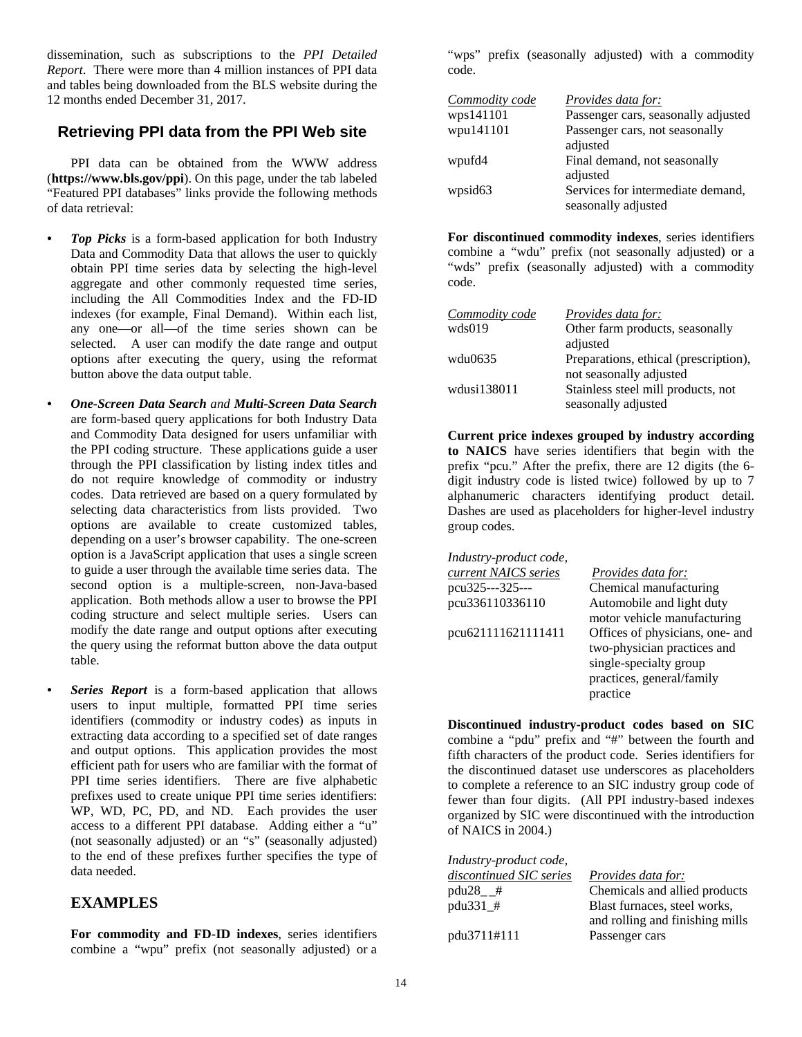dissemination, such as subscriptions to the *PPI Detailed Report*. There were more than 4 million instances of PPI data and tables being downloaded from the BLS website during the 12 months ended December 31, 2017.

#### **Retrieving PPI data from the PPI Web site**

PPI data can be obtained from the WWW address (**https://www.bls.gov/ppi**). On this page, under the tab labeled "Featured PPI databases" links provide the following methods of data retrieval:

- *Top Picks* is a form-based application for both Industry Data and Commodity Data that allows the user to quickly obtain PPI time series data by selecting the high-level aggregate and other commonly requested time series, including the All Commodities Index and the FD-ID indexes (for example, Final Demand). Within each list, any one—or all—of the time series shown can be selected. A user can modify the date range and output options after executing the query, using the reformat button above the data output table.
- *One-Screen Data Search and Multi-Screen Data Search*  are form-based query applications for both Industry Data and Commodity Data designed for users unfamiliar with the PPI coding structure. These applications guide a user through the PPI classification by listing index titles and do not require knowledge of commodity or industry codes. Data retrieved are based on a query formulated by selecting data characteristics from lists provided. Two options are available to create customized tables, depending on a user's browser capability. The one-screen option is a JavaScript application that uses a single screen to guide a user through the available time series data. The second option is a multiple-screen, non-Java-based application. Both methods allow a user to browse the PPI coding structure and select multiple series. Users can modify the date range and output options after executing the query using the reformat button above the data output table.
	- *Series Report* is a form-based application that allows users to input multiple, formatted PPI time series identifiers (commodity or industry codes) as inputs in extracting data according to a specified set of date ranges and output options. This application provides the most efficient path for users who are familiar with the format of PPI time series identifiers. There are five alphabetic prefixes used to create unique PPI time series identifiers: WP, WD, PC, PD, and ND. Each provides the user access to a different PPI database. Adding either a "u" (not seasonally adjusted) or an "s" (seasonally adjusted) to the end of these prefixes further specifies the type of data needed.

#### **EXAMPLES**

**For commodity and FD-ID indexes**, series identifiers combine a "wpu" prefix (not seasonally adjusted) or a "wps" prefix (seasonally adjusted) with a commodity code.

| Commodity code      | <i>Provides data for:</i>           |
|---------------------|-------------------------------------|
| wps141101           | Passenger cars, seasonally adjusted |
| wpu141101           | Passenger cars, not seasonally      |
|                     | adjusted                            |
| wpufd4              | Final demand, not seasonally        |
|                     | adjusted                            |
| wpsid <sub>63</sub> | Services for intermediate demand,   |
|                     | seasonally adjusted                 |

**For discontinued commodity indexes**, series identifiers combine a "wdu" prefix (not seasonally adjusted) or a "wds" prefix (seasonally adjusted) with a commodity code.

| Commodity code | <i>Provides data for:</i>             |
|----------------|---------------------------------------|
| wds019         | Other farm products, seasonally       |
|                | adjusted                              |
| wdu0635        | Preparations, ethical (prescription), |
|                | not seasonally adjusted               |
| wdusi138011    | Stainless steel mill products, not    |
|                | seasonally adjusted                   |

 **Current price indexes grouped by industry according to NAICS** have series identifiers that begin with the prefix "pcu." After the prefix, there are 12 digits (the 6 digit industry code is listed twice) followed by up to 7 alphanumeric characters identifying product detail. Dashes are used as placeholders for higher-level industry group codes.

| Industry-product code, |                                 |
|------------------------|---------------------------------|
| current NAICS series   | <i>Provides data for:</i>       |
| pcu325---325---        | Chemical manufacturing          |
| pcu336110336110        | Automobile and light duty       |
|                        | motor vehicle manufacturing     |
| pcu621111621111411     | Offices of physicians, one- and |
|                        | two-physician practices and     |
|                        | single-specialty group          |
|                        | practices, general/family       |
|                        | practice                        |
|                        |                                 |

**Discontinued industry-product codes based on SIC** combine a "pdu" prefix and "#" between the fourth and fifth characters of the product code. Series identifiers for the discontinued dataset use underscores as placeholders to complete a reference to an SIC industry group code of fewer than four digits. (All PPI industry-based indexes organized by SIC were discontinued with the introduction of NAICS in 2004.)

| Industry-product code,  |                                 |
|-------------------------|---------------------------------|
| discontinued SIC series | <i>Provides data for:</i>       |
| $pdu28$ #               | Chemicals and allied products   |
| pdu331_#                | Blast furnaces, steel works,    |
|                         | and rolling and finishing mills |
| pdu3711#111             | Passenger cars                  |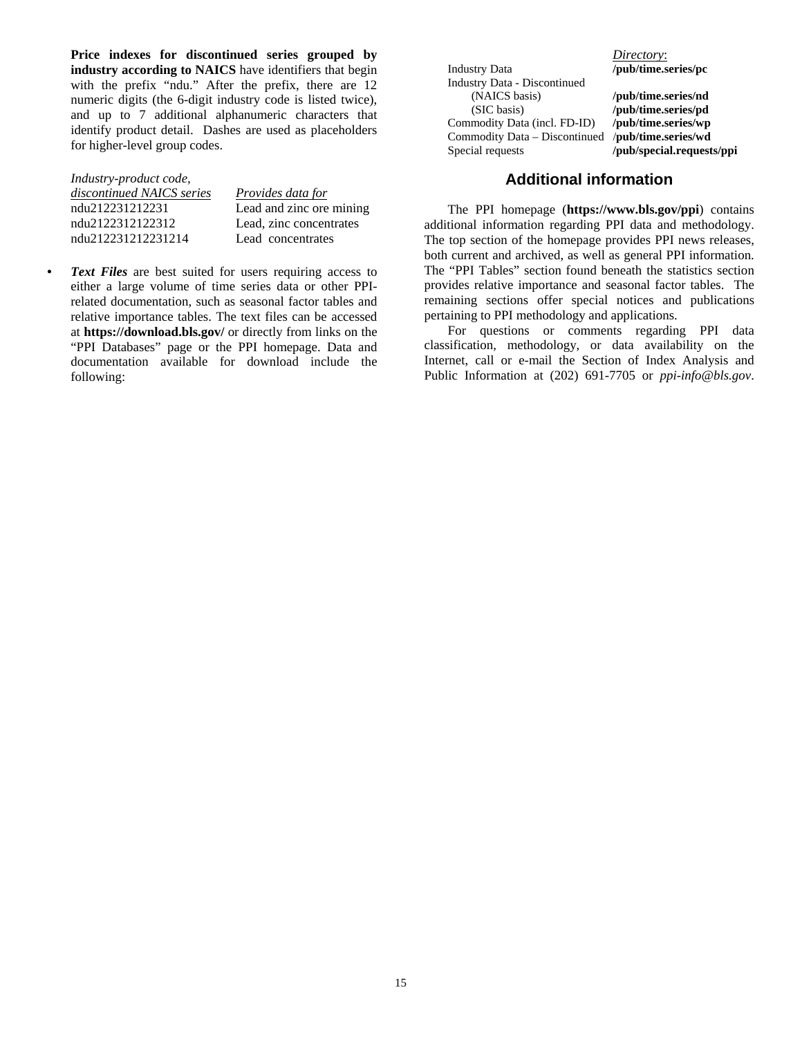**Price indexes for discontinued series grouped by industry according to NAICS** have identifiers that begin with the prefix "ndu." After the prefix, there are 12 numeric digits (the 6-digit industry code is listed twice), and up to 7 additional alphanumeric characters that identify product detail. Dashes are used as placeholders for higher-level group codes.

| Industry-product code,    |                          |
|---------------------------|--------------------------|
| discontinued NAICS series | Provides data for        |
| ndu212231212231           | Lead and zinc ore mining |
| ndu2122312122312          | Lead, zinc concentrates  |
| ndu212231212231214        | Lead concentrates        |

*• Text Files* are best suited for users requiring access to either a large volume of time series data or other PPIrelated documentation, such as seasonal factor tables and relative importance tables. The text files can be accessed at **https://download.bls.gov/** or directly from links on the "PPI Databases" page or the PPI homepage. Data and documentation available for download include the following:

Industry Data **/pub/time.series/pc**  Industry Data - Discontinued (NAICS basis) **/pub/time.series/nd**  (SIC basis) **/pub/time.series/pd**  Commodity Data (incl. FD-ID) **/pub/time.series/wp**  Commodity Data – Discontinued Special requests **/pub/special.requests/ppi**

*Directory*:

#### **Additional information**

The PPI homepage (**https://www.bls.gov/ppi**) contains additional information regarding PPI data and methodology. The top section of the homepage provides PPI news releases, both current and archived, as well as general PPI information. The "PPI Tables" section found beneath the statistics section provides relative importance and seasonal factor tables. The remaining sections offer special notices and publications pertaining to PPI methodology and applications.

For questions or comments regarding PPI data classification, methodology, or data availability on the Internet, call or e-mail the Section of Index Analysis and Public Information at (202) 691-7705 or *ppi-info@bls.gov*.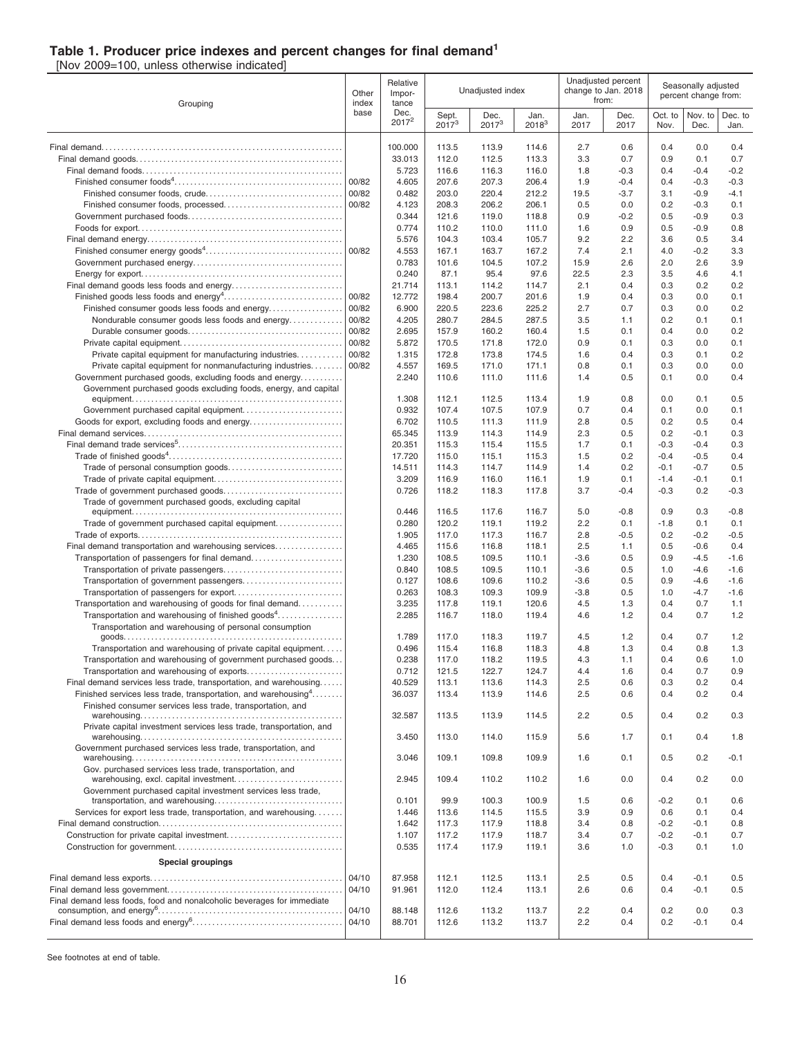#### **Table 1. Producer price indexes and percent changes for final demand<sup>1</sup>**

[Nov 2009=100, unless otherwise indicated]

| Grouping                                                                                                                               |                | Relative<br>Impor-<br>tance |                   | Unadjusted index   |                  |                  | Unadjusted percent<br>change to Jan. 2018<br>from: | Seasonally adjusted<br>percent change from: |                  |                  |
|----------------------------------------------------------------------------------------------------------------------------------------|----------------|-----------------------------|-------------------|--------------------|------------------|------------------|----------------------------------------------------|---------------------------------------------|------------------|------------------|
|                                                                                                                                        | index<br>base  | Dec.<br>$2017^2$            | Sept.<br>$2017^3$ | Dec.<br>$2017^{3}$ | Jan.<br>$2018^3$ | Jan.<br>2017     | Dec.<br>2017                                       | Oct. to<br>Nov.                             | Nov. to<br>Dec.  | Dec. to<br>Jan.  |
|                                                                                                                                        |                | 100.000                     | 113.5             | 113.9              | 114.6            | 2.7              | 0.6                                                | 0.4                                         | 0.0              | 0.4              |
|                                                                                                                                        |                | 33.013                      | 112.0             | 112.5              | 113.3            | 3.3              | 0.7                                                | 0.9                                         | 0.1              | 0.7              |
|                                                                                                                                        |                | 5.723                       | 116.6             | 116.3              | 116.0            | 1.8              | $-0.3$                                             | 0.4                                         | $-0.4$           | $-0.2$           |
|                                                                                                                                        | 00/82          | 4.605                       | 207.6             | 207.3              | 206.4            | 1.9              | $-0.4$                                             | 0.4                                         | $-0.3$           | $-0.3$           |
|                                                                                                                                        | 00/82          | 0.482                       | 203.0             | 220.4              | 212.2            | 19.5             | $-3.7$                                             | 3.1                                         | $-0.9$           | $-4.1$           |
|                                                                                                                                        | 00/82          | 4.123                       | 208.3             | 206.2              | 206.1            | 0.5              | 0.0                                                | 0.2                                         | $-0.3$           | 0.1              |
|                                                                                                                                        |                | 0.344                       | 121.6             | 119.0              | 118.8            | 0.9              | $-0.2$                                             | 0.5                                         | $-0.9$           | 0.3              |
|                                                                                                                                        |                | 0.774                       | 110.2             | 110.0              | 111.0            | 1.6              | 0.9                                                | 0.5                                         | $-0.9$           | 0.8              |
|                                                                                                                                        |                | 5.576                       | 104.3             | 103.4              | 105.7            | 9.2              | 2.2                                                | 3.6                                         | 0.5              | 3.4              |
|                                                                                                                                        | 00/82          | 4.553                       | 167.1             | 163.7              | 167.2            | 7.4              | 2.1<br>2.6                                         | 4.0                                         | $-0.2$           | 3.3<br>3.9       |
|                                                                                                                                        |                | 0.783<br>0.240              | 101.6<br>87.1     | 104.5<br>95.4      | 107.2<br>97.6    | 15.9<br>22.5     | 2.3                                                | 2.0<br>3.5                                  | 2.6<br>4.6       | 4.1              |
|                                                                                                                                        |                | 21.714                      | 113.1             | 114.2              | 114.7            | 2.1              | 0.4                                                | 0.3                                         | 0.2              | 0.2              |
|                                                                                                                                        | 00/82          | 12.772                      | 198.4             | 200.7              | 201.6            | 1.9              | 0.4                                                | 0.3                                         | 0.0              | 0.1              |
| Finished consumer goods less foods and energy                                                                                          | 00/82          | 6.900                       | 220.5             | 223.6              | 225.2            | 2.7              | 0.7                                                | 0.3                                         | 0.0              | 0.2              |
| Nondurable consumer goods less foods and energy                                                                                        | 00/82          | 4.205                       | 280.7             | 284.5              | 287.5            | 3.5              | 1.1                                                | 0.2                                         | 0.1              | 0.1              |
|                                                                                                                                        | 00/82          | 2.695                       | 157.9             | 160.2              | 160.4            | 1.5              | 0.1                                                | 0.4                                         | 0.0              | 0.2              |
|                                                                                                                                        | 00/82          | 5.872                       | 170.5             | 171.8              | 172.0            | 0.9              | 0.1                                                | 0.3                                         | 0.0              | 0.1              |
| Private capital equipment for manufacturing industries                                                                                 | 00/82          | 1.315                       | 172.8             | 173.8              | 174.5            | 1.6              | 0.4                                                | 0.3                                         | 0.1              | 0.2              |
| Private capital equipment for nonmanufacturing industries                                                                              | 00/82          | 4.557                       | 169.5             | 171.0              | 171.1            | 0.8              | 0.1                                                | 0.3                                         | 0.0              | 0.0              |
| Government purchased goods, excluding foods and energy                                                                                 |                | 2.240                       | 110.6             | 111.0              | 111.6            | 1.4              | 0.5                                                | 0.1                                         | 0.0              | 0.4              |
| Government purchased goods excluding foods, energy, and capital                                                                        |                |                             |                   |                    |                  |                  |                                                    |                                             |                  |                  |
|                                                                                                                                        |                | 1.308                       | 112.1             | 112.5              | 113.4            | 1.9              | 0.8                                                | 0.0                                         | 0.1              | 0.5              |
|                                                                                                                                        |                | 0.932<br>6.702              | 107.4<br>110.5    | 107.5<br>111.3     | 107.9<br>111.9   | 0.7<br>2.8       | 0.4<br>0.5                                         | 0.1<br>0.2                                  | 0.0<br>0.5       | 0.1<br>0.4       |
|                                                                                                                                        |                | 65.345                      | 113.9             | 114.3              | 114.9            | 2.3              | 0.5                                                | 0.2                                         | $-0.1$           | 0.3              |
|                                                                                                                                        |                | 20.351                      | 115.3             | 115.4              | 115.5            | 1.7              | 0.1                                                | $-0.3$                                      | $-0.4$           | 0.3              |
|                                                                                                                                        |                | 17.720                      | 115.0             | 115.1              | 115.3            | 1.5              | 0.2                                                | $-0.4$                                      | $-0.5$           | 0.4              |
|                                                                                                                                        |                | 14.511                      | 114.3             | 114.7              | 114.9            | 1.4              | 0.2                                                | $-0.1$                                      | $-0.7$           | 0.5              |
|                                                                                                                                        |                | 3.209                       | 116.9             | 116.0              | 116.1            | 1.9              | 0.1                                                | $-1.4$                                      | $-0.1$           | 0.1              |
|                                                                                                                                        |                | 0.726                       | 118.2             | 118.3              | 117.8            | 3.7              | $-0.4$                                             | $-0.3$                                      | 0.2              | $-0.3$           |
| Trade of government purchased goods, excluding capital                                                                                 |                |                             |                   |                    |                  |                  |                                                    |                                             |                  |                  |
|                                                                                                                                        |                | 0.446                       | 116.5             | 117.6              | 116.7            | 5.0              | $-0.8$                                             | 0.9                                         | 0.3              | $-0.8$           |
| Trade of government purchased capital equipment                                                                                        |                | 0.280                       | 120.2             | 119.1              | 119.2            | 2.2              | 0.1                                                | $-1.8$                                      | 0.1              | 0.1              |
|                                                                                                                                        |                | 1.905                       | 117.0             | 117.3              | 116.7            | 2.8              | $-0.5$                                             | 0.2                                         | $-0.2$           | $-0.5$           |
| Final demand transportation and warehousing services                                                                                   |                | 4.465                       | 115.6             | 116.8              | 118.1            | 2.5              | 1.1                                                | 0.5                                         | $-0.6$           | 0.4              |
|                                                                                                                                        |                | 1.230<br>0.840              | 108.5<br>108.5    | 109.5<br>109.5     | 110.1<br>110.1   | $-3.6$<br>$-3.6$ | 0.5<br>0.5                                         | 0.9<br>1.0                                  | $-4.5$<br>$-4.6$ | $-1.6$<br>$-1.6$ |
|                                                                                                                                        |                | 0.127                       | 108.6             | 109.6              | 110.2            | $-3.6$           | 0.5                                                | 0.9                                         | $-4.6$           | $-1.6$           |
|                                                                                                                                        |                | 0.263                       | 108.3             | 109.3              | 109.9            | $-3.8$           | 0.5                                                | 1.0                                         | $-4.7$           | $-1.6$           |
| Transportation and warehousing of goods for final demand                                                                               |                | 3.235                       | 117.8             | 119.1              | 120.6            | 4.5              | 1.3                                                | 0.4                                         | 0.7              | 1.1              |
| Transportation and warehousing of finished goods <sup>4</sup>                                                                          |                | 2.285                       | 116.7             | 118.0              | 119.4            | 4.6              | 1.2                                                | 0.4                                         | 0.7              | 1.2              |
| Transportation and warehousing of personal consumption                                                                                 |                |                             |                   |                    |                  |                  |                                                    |                                             |                  |                  |
|                                                                                                                                        |                | 1.789                       | 117.0             | 118.3              | 119.7            | 4.5              | 1.2                                                | 0.4                                         | 0.7              | 1.2              |
| Transportation and warehousing of private capital equipment                                                                            |                | 0.496                       | 115.4             | 116.8              | 118.3            | 4.8              | 1.3                                                | 0.4                                         | 0.8              | 1.3              |
| Transportation and warehousing of government purchased goods                                                                           |                | 0.238                       | 117.0             | 118.2              | 119.5            | 4.3              | 1.1                                                | 0.4                                         | 0.6              | 1.0              |
| Transportation and warehousing of exports                                                                                              |                | 0.712                       | 121.5             | 122.7              | 124.7            | 4.4              | 1.6                                                | 0.4                                         | 0.7              | 0.9              |
| Final demand services less trade, transportation, and warehousing<br>Finished services less trade, transportation, and warehousing $4$ |                | 40.529<br>36.037            | 113.1<br>113.4    | 113.6<br>113.9     | 114.3<br>114.6   | 2.5<br>2.5       | 0.6<br>0.6                                         | 0.3<br>0.4                                  | 0.2<br>0.2       | 0.4<br>0.4       |
| Finished consumer services less trade, transportation, and                                                                             |                |                             |                   |                    |                  |                  |                                                    |                                             |                  |                  |
|                                                                                                                                        |                | 32.587                      | 113.5             | 113.9              | 114.5            | 2.2              | 0.5                                                | 0.4                                         | 0.2              | 0.3              |
| Private capital investment services less trade, transportation, and                                                                    |                | 3.450                       | 113.0             | 114.0              | 115.9            | 5.6              | 1.7                                                | 0.1                                         | 0.4              | 1.8              |
| Government purchased services less trade, transportation, and                                                                          |                | 3.046                       | 109.1             | 109.8              | 109.9            | 1.6              | 0.1                                                | 0.5                                         | 0.2              | $-0.1$           |
| Gov. purchased services less trade, transportation, and                                                                                |                | 2.945                       | 109.4             | 110.2              | 110.2            | 1.6              | 0.0                                                | 0.4                                         | 0.2              | 0.0              |
| Government purchased capital investment services less trade,                                                                           |                |                             |                   |                    |                  |                  |                                                    |                                             |                  |                  |
|                                                                                                                                        |                | 0.101                       | 99.9              | 100.3              | 100.9            | 1.5              | 0.6                                                | $-0.2$                                      | 0.1              | 0.6              |
| Services for export less trade, transportation, and warehousing                                                                        |                | 1.446<br>1.642              | 113.6<br>117.3    | 114.5<br>117.9     | 115.5<br>118.8   | 3.9<br>3.4       | 0.9<br>0.8                                         | 0.6<br>$-0.2$                               | 0.1<br>$-0.1$    | 0.4<br>0.8       |
|                                                                                                                                        |                | 1.107                       | 117.2             | 117.9              | 118.7            | 3.4              | 0.7                                                | $-0.2$                                      | $-0.1$           | 0.7              |
|                                                                                                                                        |                | 0.535                       | 117.4             | 117.9              | 119.1            | 3.6              | 1.0                                                | $-0.3$                                      | 0.1              | 1.0              |
| <b>Special groupings</b>                                                                                                               |                |                             |                   |                    |                  |                  |                                                    |                                             |                  |                  |
|                                                                                                                                        |                |                             |                   |                    |                  |                  |                                                    |                                             |                  |                  |
|                                                                                                                                        | 04/10<br>04/10 | 87.958<br>91.961            | 112.1             | 112.5              | 113.1            | 2.5<br>2.6       | 0.5                                                | 0.4                                         | $-0.1$<br>$-0.1$ | 0.5<br>0.5       |
| Final demand less foods, food and nonalcoholic beverages for immediate                                                                 |                |                             | 112.0             | 112.4              | 113.1            |                  | 0.6                                                | 0.4                                         |                  |                  |
|                                                                                                                                        | 04/10          | 88.148                      | 112.6             | 113.2              | 113.7            | 2.2              | 0.4                                                | 0.2                                         | 0.0              | 0.3              |
|                                                                                                                                        | 04/10          | 88.701                      | 112.6             | 113.2              | 113.7            | 2.2              | 0.4                                                | 0.2                                         | $-0.1$           | 0.4              |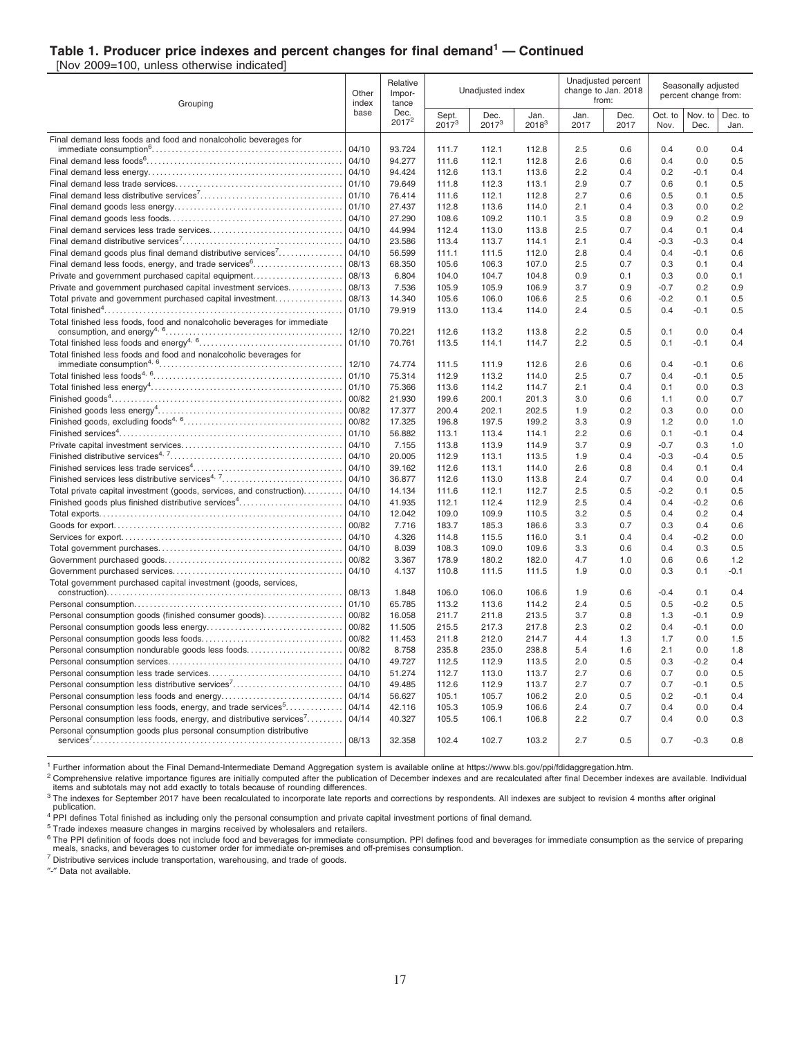#### **Table 1. Producer price indexes and percent changes for final demand<sup>1</sup> — Continued**

[Nov 2009=100, unless otherwise indicated]

| Grouping                                                                 |                | Relative<br>Impor-<br>tance |                   | Unadjusted index |                  |              | Unadjusted percent<br>change to Jan. 2018<br>from: | Seasonally adjusted<br>percent change from: |                 |                 |
|--------------------------------------------------------------------------|----------------|-----------------------------|-------------------|------------------|------------------|--------------|----------------------------------------------------|---------------------------------------------|-----------------|-----------------|
|                                                                          | base           | Dec.<br>$2017^2$            | Sept.<br>$2017^3$ | Dec.<br>$2017^3$ | Jan.<br>$2018^3$ | Jan.<br>2017 | Dec.<br>2017                                       | Oct. to<br>Nov.                             | Nov. to<br>Dec. | Dec. to<br>Jan. |
| Final demand less foods and food and nonalcoholic beverages for          |                |                             |                   |                  |                  |              |                                                    |                                             |                 |                 |
|                                                                          | 04/10<br>04/10 | 93.724<br>94.277            | 111.7<br>111.6    | 112.1<br>112.1   | 112.8<br>112.8   | 2.5<br>2.6   | 0.6<br>0.6                                         | 0.4<br>0.4                                  | 0.0<br>0.0      | 0.4<br>0.5      |
|                                                                          | 04/10          | 94.424                      | 112.6             | 113.1            | 113.6            | 2.2          | 0.4                                                | 0.2                                         | $-0.1$          | 0.4             |
|                                                                          | 01/10          | 79.649                      | 111.8             | 112.3            | 113.1            | 2.9          | 0.7                                                | 0.6                                         | 0.1             | 0.5             |
|                                                                          | 01/10          | 76.414                      | 111.6             | 112.1            | 112.8            | 2.7          | 0.6                                                | 0.5                                         | 0.1             | 0.5             |
|                                                                          | 01/10          | 27.437                      | 112.8             | 113.6            | 114.0            | 2.1          | 0.4                                                | 0.3                                         | 0.0             | 0.2             |
|                                                                          | 04/10          | 27.290                      | 108.6             | 109.2            | 110.1            | 3.5          | 0.8                                                | 0.9                                         | 0.2             | 0.9             |
|                                                                          | 04/10          | 44.994                      | 112.4             | 113.0            | 113.8            | 2.5          | 0.7                                                | 0.4                                         | 0.1             | 0.4             |
|                                                                          | 04/10          | 23.586                      | 113.4             | 113.7            | 114.1            | 2.1          | 0.4                                                | $-0.3$                                      | $-0.3$          | 0.4             |
| Final demand goods plus final demand distributive services <sup>7</sup>  | 04/10          | 56.599                      | 111.1             | 111.5            | 112.0            | 2.8          | 0.4                                                | 0.4                                         | $-0.1$          | 0.6             |
| Final demand less foods, energy, and trade services <sup>6</sup>         | 08/13          | 68.350                      | 105.6             | 106.3            | 107.0            | 2.5          | 0.7                                                | 0.3                                         | 0.1             | 0.4             |
| Private and government purchased capital equipment                       | 08/13          | 6.804                       | 104.0             | 104.7            | 104.8            | 0.9          | 0.1                                                | 0.3                                         | 0.0             | 0.1             |
| Private and government purchased capital investment services             | 08/13          | 7.536                       | 105.9             | 105.9            | 106.9            | 3.7          | 0.9                                                | $-0.7$                                      | 0.2             | 0.9             |
| Total private and government purchased capital investment                | 08/13          | 14.340                      | 105.6             | 106.0            | 106.6            | 2.5          | 0.6                                                | $-0.2$                                      | 0.1             | 0.5             |
|                                                                          | 01/10          | 79.919                      | 113.0             | 113.4            | 114.0            | 2.4          | 0.5                                                | 0.4                                         | $-0.1$          | 0.5             |
| Total finished less foods, food and nonalcoholic beverages for immediate |                |                             |                   |                  |                  |              |                                                    |                                             |                 |                 |
|                                                                          | 12/10          | 70.221                      | 112.6             | 113.2            | 113.8            | 2.2          | 0.5                                                | 0.1                                         | 0.0             | 0.4             |
|                                                                          | 01/10          | 70.761                      | 113.5             | 114.1            | 114.7            | 2.2          | 0.5                                                | 0.1                                         | $-0.1$          | 0.4             |
| Total finished less foods and food and nonalcoholic beverages for        |                |                             |                   |                  |                  |              |                                                    |                                             |                 |                 |
|                                                                          | 12/10          | 74.774                      | 111.5             | 111.9            | 112.6            | 2.6          | 0.6                                                | 0.4                                         | $-0.1$          | 0.6             |
|                                                                          | 01/10          | 75.314                      | 112.9             | 113.2            | 114.0            | 2.5          | 0.7                                                | 0.4                                         | $-0.1$          | 0.5             |
|                                                                          | 01/10          | 75.366                      | 113.6             | 114.2            | 114.7            | 2.1          | 0.4                                                | 0.1                                         | 0.0             | 0.3             |
|                                                                          | 00/82          | 21.930                      | 199.6             | 200.1            | 201.3            | 3.0          | 0.6                                                | 1.1                                         | 0.0             | 0.7             |
|                                                                          | 00/82          | 17.377                      | 200.4             | 202.1            | 202.5            | 1.9          | 0.2                                                | 0.3                                         | 0.0             | 0.0             |
|                                                                          | 00/82          | 17.325                      | 196.8             | 197.5            | 199.2            | 3.3          | 0.9                                                | 1.2                                         | 0.0             | 1.0             |
|                                                                          | 01/10          | 56.882                      | 113.1             | 113.4            | 114.1            | 2.2          | 0.6                                                | 0.1                                         | $-0.1$          | 0.4             |
|                                                                          | 04/10          | 7.155                       | 113.8             | 113.9            | 114.9            | 3.7          | 0.9                                                | $-0.7$                                      | 0.3             | 1.0             |
|                                                                          | 04/10          | 20.005                      | 112.9             | 113.1            | 113.5            | 1.9          | 0.4                                                | $-0.3$                                      | $-0.4$          | 0.5             |
|                                                                          | 04/10          | 39.162                      | 112.6             | 113.1            | 114.0            | 2.6          | 0.8                                                | 0.4                                         | 0.1             | 0.4             |
|                                                                          | 04/10          | 36.877                      | 112.6             | 113.0            | 113.8            | 2.4          | 0.7                                                | 0.4                                         | 0.0             | 0.4             |
| Total private capital investment (goods, services, and construction)     | 04/10          | 14.134                      | 111.6             | 112.1            | 112.7            | 2.5          | 0.5                                                | $-0.2$                                      | 0.1             | 0.5             |
| Finished goods plus finished distributive services <sup>4</sup>          | 04/10<br>04/10 | 41.935                      | 112.1             | 112.4<br>109.9   | 112.9            | 2.5<br>3.2   | 0.4<br>0.5                                         | 0.4<br>0.4                                  | $-0.2$<br>0.2   | 0.6<br>0.4      |
|                                                                          | 00/82          | 12.042<br>7.716             | 109.0<br>183.7    | 185.3            | 110.5<br>186.6   | 3.3          | 0.7                                                | 0.3                                         | 0.4             | 0.6             |
|                                                                          | 04/10          | 4.326                       | 114.8             | 115.5            | 116.0            | 3.1          | 0.4                                                | 0.4                                         | $-0.2$          | 0.0             |
|                                                                          | 04/10          | 8.039                       | 108.3             | 109.0            | 109.6            | 3.3          | 0.6                                                | 0.4                                         | 0.3             | 0.5             |
|                                                                          | 00/82          | 3.367                       | 178.9             | 180.2            | 182.0            | 4.7          | 1.0                                                | 0.6                                         | 0.6             | 1.2             |
|                                                                          | 04/10          | 4.137                       | 110.8             | 111.5            | 111.5            | 1.9          | 0.0                                                | 0.3                                         | 0.1             | $-0.1$          |
| Total government purchased capital investment (goods, services,          |                |                             |                   |                  |                  |              |                                                    |                                             |                 |                 |
|                                                                          | 08/13          | 1.848                       | 106.0             | 106.0            | 106.6            | 1.9          | 0.6                                                | $-0.4$                                      | 0.1             | 0.4             |
|                                                                          | 01/10          | 65.785                      | 113.2             | 113.6            | 114.2            | 2.4          | 0.5                                                | 0.5                                         | $-0.2$          | 0.5             |
| Personal consumption goods (finished consumer goods)                     | 00/82          | 16.058                      | 211.7             | 211.8            | 213.5            | 3.7          | 0.8                                                | 1.3                                         | $-0.1$          | 0.9             |
|                                                                          | 00/82          | 11.505                      | 215.5             | 217.3            | 217.8            | 2.3          | 0.2                                                | 0.4                                         | $-0.1$          | 0.0             |
|                                                                          | 00/82          | 11.453                      | 211.8             | 212.0            | 214.7            | 4.4          | 1.3                                                | 1.7                                         | 0.0             | 1.5             |
| Personal consumption nondurable goods less foods                         | 00/82          | 8.758                       | 235.8             | 235.0            | 238.8            | 5.4          | 1.6                                                | 2.1                                         | 0.0             | 1.8             |
|                                                                          | 04/10          | 49.727                      | 112.5             | 112.9            | 113.5            | 2.0          | 0.5                                                | 0.3                                         | $-0.2$          | 0.4             |
|                                                                          | 04/10          | 51.274                      | 112.7             | 113.0            | 113.7            | 2.7          | 0.6                                                | 0.7                                         | 0.0             | 0.5             |
| Personal consumption less distributive services <sup>7</sup>             | 04/10          | 49.485                      | 112.6             | 112.9            | 113.7            | 2.7          | 0.7                                                | 0.7                                         | $-0.1$          | 0.5             |
|                                                                          | 04/14          | 56.627                      | 105.1             | 105.7            | 106.2            | 2.0          | 0.5                                                | 0.2                                         | $-0.1$          | 0.4             |
| Personal consumption less foods, energy, and trade services <sup>5</sup> | 04/14          | 42.116                      | 105.3             | 105.9            | 106.6            | 2.4          | 0.7                                                | 0.4                                         | 0.0             | 0.4             |
| Personal consumption less foods, energy, and distributive services'      | 04/14          | 40.327                      | 105.5             | 106.1            | 106.8            | 2.2          | 0.7                                                | 0.4                                         | 0.0             | 0.3             |
| Personal consumption goods plus personal consumption distributive        |                |                             |                   |                  |                  |              |                                                    |                                             |                 |                 |
|                                                                          | 08/13          | 32.358                      | 102.4             | 102.7            | 103.2            | 2.7          | 0.5                                                | 0.7                                         | $-0.3$          | 0.8             |

<sup>1</sup> Further information about the Final Demand-Intermediate Demand Aggregation system is available online at https://www.bls.gov/ppi/fdidaggregation.htm.

<sup>2</sup> Comprehensive relative importance figures are initially computed after the publication of December indexes and are recalculated after final December indexes are available. Individual items and subtotals may not add exactly to totals because of rounding differences.

<sup>3</sup> The indexes for September 2017 have been recalculated to incorporate late reports and corrections by respondents. All indexes are subject to revision 4 months after original <sup>3</sup> The indexes for September 2017 have been

publication. <sup>4</sup> PPI defines Total finished as including only the personal consumption and private capital investment portions of final demand.

<sup>5</sup> Trade indexes measure changes in margins received by wholesalers and retailers.

<sup>6</sup> The PPI definition of foods does not include food and beverages for immediate consumption. PPI defines food and beverages for immediate consumption as the service of preparing<br>meals, snacks, and beverages to customer o

<sup>7</sup> Distributive services include transportation, warehousing, and trade of goods.

″-″ Data not available.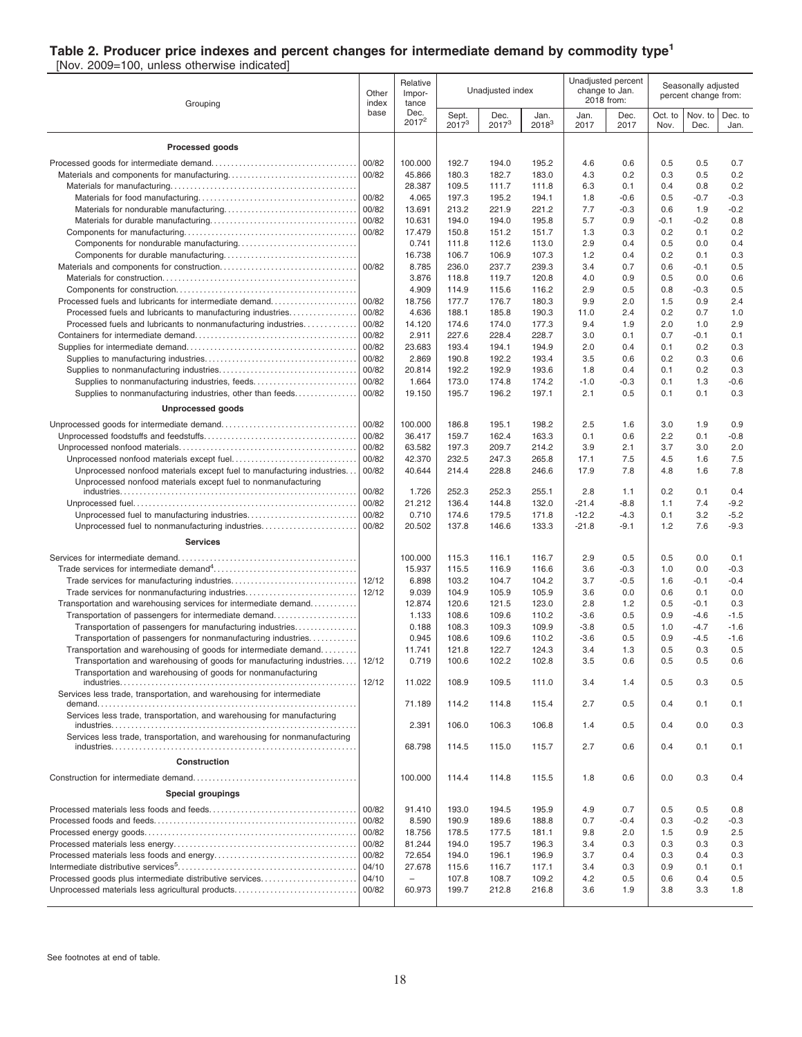#### **Table 2. Producer price indexes and percent changes for intermediate demand by commodity type<sup>1</sup>**

[Nov. 2009=100, unless otherwise indicated]

| Grouping                                                                  |                | Relative<br>Impor-<br>tance | Unadjusted index  |                  |                  |              | Unadjusted percent<br>change to Jan.<br>2018 from: | Seasonally adjusted<br>percent change from: |                 |                 |
|---------------------------------------------------------------------------|----------------|-----------------------------|-------------------|------------------|------------------|--------------|----------------------------------------------------|---------------------------------------------|-----------------|-----------------|
|                                                                           | base           | Dec.<br>$2017^2$            | Sept.<br>$2017^3$ | Dec.<br>$2017^3$ | Jan.<br>$2018^3$ | Jan.<br>2017 | Dec.<br>2017                                       | Oct. to<br>Nov.                             | Nov. to<br>Dec. | Dec. to<br>Jan. |
| Processed goods                                                           |                |                             |                   |                  |                  |              |                                                    |                                             |                 |                 |
|                                                                           | 00/82          | 100.000                     | 192.7             | 194.0            | 195.2            | 4.6          | 0.6                                                | 0.5                                         | 0.5             | 0.7             |
|                                                                           | 00/82          | 45.866                      | 180.3             | 182.7            | 183.0            | 4.3          | 0.2                                                | 0.3                                         | 0.5             | 0.2             |
|                                                                           |                | 28.387                      | 109.5             | 111.7            | 111.8            | 6.3          | 0.1                                                | 0.4                                         | 0.8             | 0.2             |
|                                                                           | 00/82          | 4.065                       | 197.3             | 195.2            | 194.1            | 1.8          | $-0.6$                                             | 0.5                                         | $-0.7$          | -0.3            |
|                                                                           | 00/82          | 13.691                      | 213.2             | 221.9            | 221.2            | 7.7          | -0.3                                               | 0.6                                         | 1.9             | $-0.2$          |
|                                                                           | 00/82          | 10.631                      | 194.0             | 194.0            | 195.8            | 5.7          | 0.9                                                | $-0.1$                                      | $-0.2$          | 0.8             |
|                                                                           | 00/82          | 17.479                      | 150.8             | 151.2            | 151.7            | 1.3          | 0.3                                                | 0.2                                         | 0.1             | 0.2             |
|                                                                           |                | 0.741                       | 111.8             | 112.6            | 113.0            | 2.9          | 0.4                                                | 0.5                                         | 0.0             | 0.4             |
|                                                                           |                | 16.738                      | 106.7             | 106.9            | 107.3            | 1.2          | 0.4                                                | 0.2                                         | 0.1             | 0.3             |
|                                                                           | 00/82          | 8.785                       | 236.0             | 237.7            | 239.3            | 3.4          | 0.7                                                | 0.6                                         | $-0.1$          | 0.5             |
|                                                                           |                | 3.876                       | 118.8             | 119.7            | 120.8            | 4.0          | 0.9                                                | 0.5                                         | 0.0             | 0.6             |
|                                                                           |                | 4.909                       | 114.9             | 115.6            | 116.2            | 2.9          | 0.5                                                | 0.8                                         | $-0.3$          | 0.5             |
| Processed fuels and lubricants for intermediate demand                    | 00/82          | 18.756                      | 177.7             | 176.7            | 180.3            | 9.9          | 2.0                                                | 1.5                                         | 0.9             | 2.4             |
| Processed fuels and lubricants to manufacturing industries                | 00/82          | 4.636<br>14.120             | 188.1             | 185.8<br>174.0   | 190.3<br>177.3   | 11.0<br>9.4  | 2.4<br>1.9                                         | 0.2<br>2.0                                  | 0.7<br>1.0      | 1.0             |
| Processed fuels and lubricants to nonmanufacturing industries             | 00/82<br>00/82 | 2.911                       | 174.6<br>227.6    | 228.4            | 228.7            | 3.0          | 0.1                                                | 0.7                                         | $-0.1$          | 2.9<br>0.1      |
|                                                                           | 00/82          | 23.683                      | 193.4             | 194.1            | 194.9            | 2.0          | 0.4                                                | 0.1                                         | 0.2             | 0.3             |
|                                                                           | 00/82          | 2.869                       | 190.8             | 192.2            | 193.4            | 3.5          | 0.6                                                | 0.2                                         | 0.3             | 0.6             |
|                                                                           | 00/82          | 20.814                      | 192.2             | 192.9            | 193.6            | 1.8          | 0.4                                                | 0.1                                         | 0.2             | 0.3             |
| Supplies to nonmanufacturing industries, feeds                            | 00/82          | 1.664                       | 173.0             | 174.8            | 174.2            | $-1.0$       | $-0.3$                                             | 0.1                                         | 1.3             | $-0.6$          |
| Supplies to nonmanufacturing industries, other than feeds                 | 00/82          | 19.150                      | 195.7             | 196.2            | 197.1            | 2.1          | 0.5                                                | 0.1                                         | 0.1             | 0.3             |
| <b>Unprocessed goods</b>                                                  |                |                             |                   |                  |                  |              |                                                    |                                             |                 |                 |
|                                                                           | 00/82          | 100.000                     | 186.8             | 195.1            | 198.2            | 2.5          | 1.6                                                | 3.0                                         | 1.9             | 0.9             |
|                                                                           | 00/82          | 36.417                      | 159.7             | 162.4            | 163.3            | 0.1          | 0.6                                                | 2.2                                         | 0.1             | $-0.8$          |
|                                                                           | 00/82          | 63.582                      | 197.3             | 209.7            | 214.2            | 3.9          | 2.1                                                | 3.7                                         | 3.0             | 2.0             |
|                                                                           | 00/82          | 42.370                      | 232.5             | 247.3            | 265.8            | 17.1         | 7.5                                                | 4.5                                         | 1.6             | 7.5             |
| Unprocessed nonfood materials except fuel to manufacturing industries     | 00/82          | 40.644                      | 214.4             | 228.8            | 246.6            | 17.9         | 7.8                                                | 4.8                                         | 1.6             | 7.8             |
| Unprocessed nonfood materials except fuel to nonmanufacturing             |                |                             |                   |                  |                  |              |                                                    |                                             |                 |                 |
|                                                                           | 00/82          | 1.726                       | 252.3             | 252.3            | 255.1            | 2.8          | 1.1                                                | 0.2                                         | 0.1             | 0.4             |
|                                                                           | 00/82          | 21.212                      | 136.4             | 144.8            | 132.0            | $-21.4$      | $-8.8$                                             | 1.1                                         | 7.4             | $-9.2$          |
|                                                                           | 00/82          | 0.710                       | 174.6             | 179.5            | 171.8            | $-12.2$      | $-4.3$                                             | 0.1                                         | 3.2             | $-5.2$          |
| Unprocessed fuel to nonmanufacturing industries                           | 00/82          | 20.502                      | 137.8             | 146.6            | 133.3            | $-21.8$      | $-9.1$                                             | 1.2                                         | 7.6             | $-9.3$          |
| <b>Services</b>                                                           |                | 100.000                     | 115.3             | 116.1            | 116.7            | 2.9          | 0.5                                                | 0.5                                         | 0.0             | 0.1             |
|                                                                           |                | 15.937                      | 115.5             | 116.9            | 116.6            | 3.6          | $-0.3$                                             | 1.0                                         | 0.0             | $-0.3$          |
|                                                                           | 12/12          | 6.898                       | 103.2             | 104.7            | 104.2            | 3.7          | $-0.5$                                             | 1.6                                         | $-0.1$          | $-0.4$          |
| Trade services for nonmanufacturing industries                            | 12/12          | 9.039                       | 104.9             | 105.9            | 105.9            | 3.6          | 0.0                                                | 0.6                                         | 0.1             | 0.0             |
| Transportation and warehousing services for intermediate demand           |                | 12.874                      | 120.6             | 121.5            | 123.0            | 2.8          | 1.2                                                | 0.5                                         | -0.1            | 0.3             |
| Transportation of passengers for intermediate demand                      |                | 1.133                       | 108.6             | 109.6            | 110.2            | $-3.6$       | 0.5                                                | 0.9                                         | $-4.6$          | $-1.5$          |
| Transportation of passengers for manufacturing industries                 |                | 0.188                       | 108.3             | 109.3            | 109.9            | $-3.8$       | 0.5                                                | 1.0                                         | $-4.7$          | $-1.6$          |
| Transportation of passengers for nonmanufacturing industries              |                | 0.945                       | 108.6             | 109.6            | 110.2            | $-3.6$       | 0.5                                                | 0.9                                         | $-4.5$          | $-1.6$          |
| Transportation and warehousing of goods for intermediate demand           |                | 11.741                      | 121.8             | 122.7            | 124.3            | 3.4          | 1.3                                                | 0.5                                         | 0.3             | 0.5             |
| Transportation and warehousing of goods for manufacturing industries      | 12/12          | 0.719                       | 100.6             | 102.2            | 102.8            | 3.5          | 0.6                                                | 0.5                                         | 0.5             | 06              |
| Transportation and warehousing of goods for nonmanufacturing              |                |                             |                   |                  |                  |              |                                                    |                                             |                 |                 |
|                                                                           | 12/12          | 11.022                      | 108.9             | 109.5            | 111.0            | 3.4          | 1.4                                                | 0.5                                         | 0.3             | 0.5             |
| Services less trade, transportation, and warehousing for intermediate     |                | 71.189                      | 114.2             | 114.8            | 115.4            | 2.7          | 0.5                                                | 0.4                                         | 0.1             | 0.1             |
| Services less trade, transportation, and warehousing for manufacturing    |                | 2.391                       | 106.0             | 106.3            | 106.8            | 1.4          | 0.5                                                | 0.4                                         | 0.0             | 0.3             |
| Services less trade, transportation, and warehousing for nonmanufacturing |                | 68.798                      | 114.5             | 115.0            | 115.7            | 2.7          | 0.6                                                | 0.4                                         | 0.1             | 0.1             |
| Construction                                                              |                |                             |                   |                  |                  |              |                                                    |                                             |                 |                 |
|                                                                           |                | 100.000                     | 114.4             | 114.8            | 115.5            | 1.8          | 0.6                                                | 0.0                                         | 0.3             | 0.4             |
| <b>Special groupings</b>                                                  |                |                             |                   |                  |                  |              |                                                    |                                             |                 |                 |
|                                                                           | 00/82          | 91.410                      | 193.0             | 194.5            | 195.9            | 4.9          | 0.7                                                | 0.5                                         | 0.5             | 0.8             |
|                                                                           | 00/82          | 8.590                       | 190.9             | 189.6            | 188.8            | 0.7          | $-0.4$                                             | 0.3                                         | $-0.2$          | $-0.3$          |
|                                                                           | 00/82          | 18.756                      | 178.5             | 177.5            | 181.1            | 9.8          | 2.0                                                | 1.5                                         | 0.9             | 2.5             |
|                                                                           | 00/82          | 81.244                      | 194.0             | 195.7            | 196.3            | 3.4          | 0.3                                                | 0.3                                         | 0.3             | 0.3             |
|                                                                           | 00/82          | 72.654                      | 194.0             | 196.1            | 196.9            | 3.7          | 0.4                                                | 0.3                                         | 0.4             | 0.3             |
|                                                                           | 04/10          | 27.678                      | 115.6             | 116.7            | 117.1            | 3.4          | 0.3                                                | 0.9                                         | 0.1             | 0.1             |
| Processed goods plus intermediate distributive services                   | 04/10          | $\overline{\phantom{0}}$    | 107.8             | 108.7            | 109.2            | 4.2          | 0.5                                                | 0.6                                         | 0.4             | 0.5             |
| Unprocessed materials less agricultural products                          | 00/82          | 60.973                      | 199.7             | 212.8            | 216.8            | 3.6          | 1.9                                                | 3.8                                         | 3.3             | 1.8             |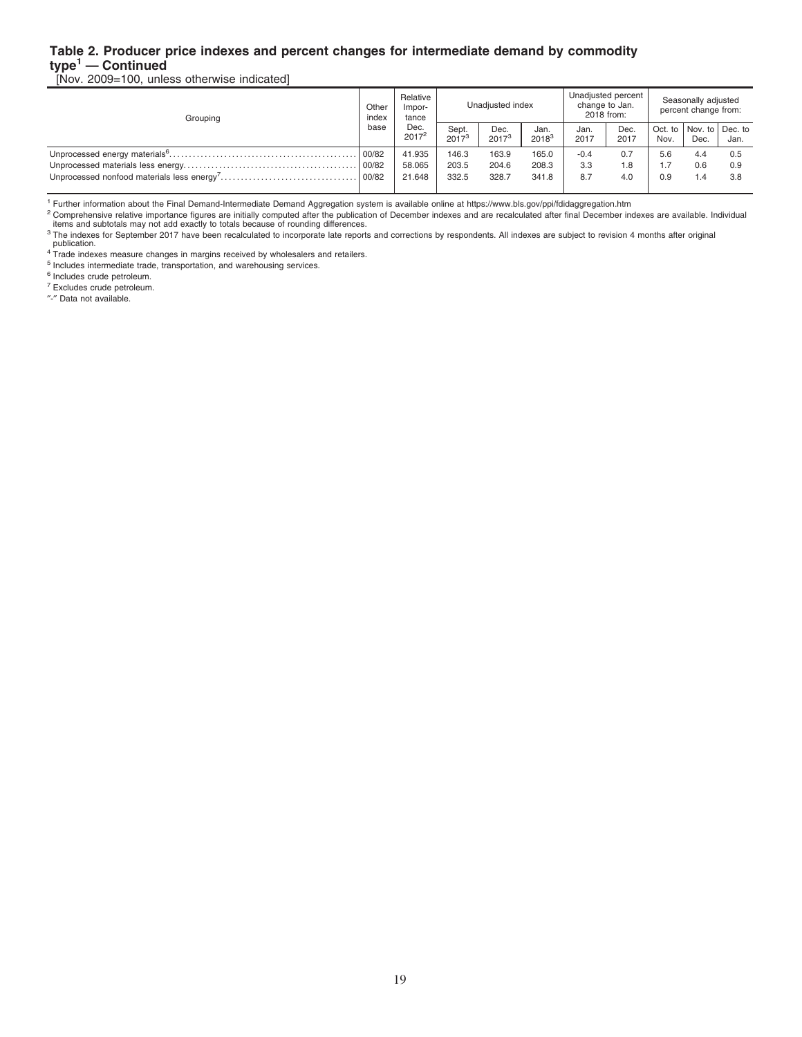#### **Table 2. Producer price indexes and percent changes for intermediate demand by commodity type<sup>1</sup> — Continued**

[Nov. 2009=100, unless otherwise indicated]

| Grouping | Other<br>index<br>base | Relative<br>Impor-<br>tance<br>Dec.<br>$2017^2$ |                     | Unadjusted index |                  |              | Unadjusted percent<br>change to Jan.<br>2018 from: | Seasonally adjusted<br>percent change from: |                           |      |  |
|----------|------------------------|-------------------------------------------------|---------------------|------------------|------------------|--------------|----------------------------------------------------|---------------------------------------------|---------------------------|------|--|
|          |                        |                                                 | Sept.<br>$2017^{3}$ | Dec.<br>$2017^3$ | Jan.<br>$2018^3$ | Jan.<br>2017 | Dec.<br>2017                                       | Oct. to $\vert$<br>Nov.                     | Nov. to I Dec. to<br>Dec. | Jan. |  |
|          | 00/82                  | 41.935                                          | 146.3               | 163.9            | 165.0            | $-0.4$       | 0.7                                                | 5.6                                         | 4.4                       | 0.5  |  |
|          | 100/82                 | 58.065                                          | 203.5               | 204.6            | 208.3            | 3.3          | 8. ا                                               |                                             | 0.6                       | 0.9  |  |
|          | 100/82                 | 21.648                                          | 332.5               | 328.7            | 341.8            | 8.7          | 4.0                                                | 0.9                                         | $\overline{.4}$           | 3.8  |  |

<sup>1</sup> Further information about the Final Demand-Intermediate Demand Aggregation system is available online at https://www.bls.gov/ppi/fdidaggregation.htm

<sup>2</sup> Comprehensive relative importance figures are initially computed after the publication of December indexes and are recalculated after final December indexes are available. Individual<br>items and subtotals may not add exa

<sup>3</sup> The indexes for September 2017 have been recalculated to incorporate late reports and corrections by respondents. All indexes are subject to revision 4 months after original

publication. <sup>4</sup> Trade indexes measure changes in margins received by wholesalers and retailers.

<sup>5</sup> Includes intermediate trade, transportation, and warehousing services.

<sup>6</sup> Includes crude petroleum.

<sup>7</sup> Excludes crude petroleum.

″-″ Data not available.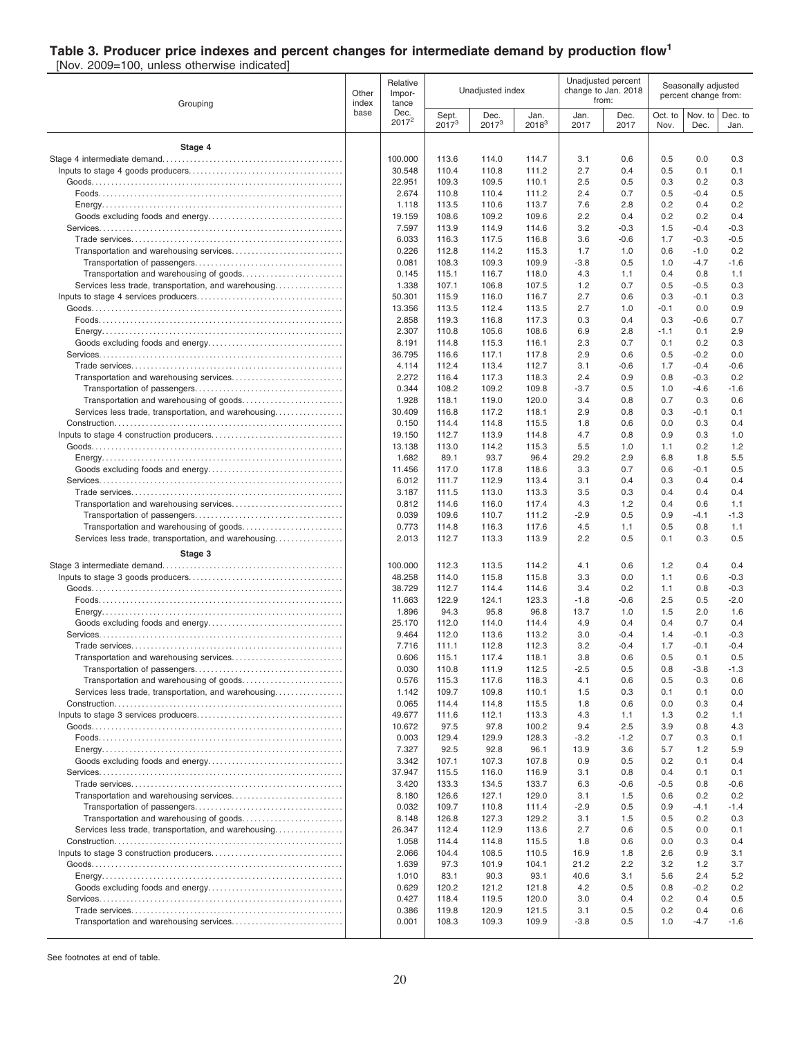#### **Table 3. Producer price indexes and percent changes for intermediate demand by production flow<sup>1</sup>**

[Nov. 2009=100, unless otherwise indicated]

| Grouping                                             |      | Relative<br>Impor-<br>tance |                   | Unadjusted index |                  |               | Unadjusted percent<br>change to Jan. 2018<br>from: | Seasonally adjusted<br>percent change from: |                  |                  |
|------------------------------------------------------|------|-----------------------------|-------------------|------------------|------------------|---------------|----------------------------------------------------|---------------------------------------------|------------------|------------------|
|                                                      | base | Dec.<br>$2017^2$            | Sept.<br>$2017^3$ | Dec.<br>$2017^3$ | Jan.<br>$2018^3$ | Jan.<br>2017  | Dec.<br>2017                                       | Oct. to<br>Nov.                             | Nov. to<br>Dec.  | Dec. to<br>Jan.  |
| Stage 4                                              |      |                             |                   |                  |                  |               |                                                    |                                             |                  |                  |
|                                                      |      | 100.000                     | 113.6             | 114.0            | 114.7            | 3.1           | 0.6                                                | 0.5                                         | 0.0              | 0.3              |
|                                                      |      | 30.548                      | 110.4             | 110.8            | 111.2            | 2.7           | 0.4                                                | 0.5                                         | 0.1              | 0.1              |
|                                                      |      | 22.951<br>2.674             | 109.3<br>110.8    | 109.5<br>110.4   | 110.1<br>111.2   | 2.5<br>2.4    | 0.5<br>0.7                                         | 0.3<br>0.5                                  | 0.2<br>$-0.4$    | 0.3<br>0.5       |
|                                                      |      | 1.118                       | 113.5             | 110.6            | 113.7            | 7.6           | 2.8                                                | 0.2                                         | 0.4              | 0.2              |
|                                                      |      | 19.159                      | 108.6             | 109.2            | 109.6            | 2.2           | 0.4                                                | 0.2                                         | 0.2              | 0.4              |
|                                                      |      | 7.597                       | 113.9             | 114.9            | 114.6            | 3.2           | -0.3                                               | 1.5                                         | $-0.4$           | $-0.3$           |
|                                                      |      | 6.033                       | 116.3             | 117.5            | 116.8            | 3.6           | $-0.6$                                             | 1.7                                         | $-0.3$           | $-0.5$           |
|                                                      |      | 0.226<br>0.081              | 112.8<br>108.3    | 114.2<br>109.3   | 115.3<br>109.9   | 1.7<br>$-3.8$ | 1.0<br>0.5                                         | 0.6                                         | $-1.0$<br>$-4.7$ | 0.2<br>$-1.6$    |
|                                                      |      | 0.145                       | 115.1             | 116.7            | 118.0            | 4.3           | 1.1                                                | 1.0<br>0.4                                  | 0.8              | 1.1              |
| Services less trade, transportation, and warehousing |      | 1.338                       | 107.1             | 106.8            | 107.5            | 1.2           | 0.7                                                | 0.5                                         | $-0.5$           | 0.3              |
|                                                      |      | 50.301                      | 115.9             | 116.0            | 116.7            | 2.7           | 0.6                                                | 0.3                                         | $-0.1$           | 0.3              |
|                                                      |      | 13.356                      | 113.5             | 112.4            | 113.5            | 2.7           | 1.0                                                | $-0.1$                                      | 0.0              | 0.9              |
|                                                      |      | 2.858                       | 119.3             | 116.8            | 117.3            | 0.3           | 0.4                                                | 0.3                                         | $-0.6$           | 0.7              |
|                                                      |      | 2.307<br>8.191              | 110.8<br>114.8    | 105.6<br>115.3   | 108.6<br>116.1   | 6.9<br>2.3    | 2.8<br>0.7                                         | $-1.1$<br>0.1                               | 0.1<br>0.2       | 2.9<br>0.3       |
|                                                      |      | 36.795                      | 116.6             | 117.1            | 117.8            | 2.9           | 0.6                                                | 0.5                                         | $-0.2$           | 0.0              |
|                                                      |      | 4.114                       | 112.4             | 113.4            | 112.7            | 3.1           | $-0.6$                                             | 1.7                                         | $-0.4$           | $-0.6$           |
|                                                      |      | 2.272                       | 116.4             | 117.3            | 118.3            | 2.4           | 0.9                                                | 0.8                                         | $-0.3$           | 0.2              |
|                                                      |      | 0.344                       | 108.2             | 109.2            | 109.8            | $-3.7$        | 0.5                                                | 1.0                                         | -4.6             | -1.6             |
| Services less trade, transportation, and warehousing |      | 1.928<br>30.409             | 118.1<br>116.8    | 119.0<br>117.2   | 120.0<br>118.1   | 3.4<br>2.9    | 0.8<br>0.8                                         | 0.7<br>0.3                                  | 0.3<br>-0.1      | 0.6<br>0.1       |
|                                                      |      | 0.150                       | 114.4             | 114.8            | 115.5            | 1.8           | 0.6                                                | 0.0                                         | 0.3              | 0.4              |
|                                                      |      | 19.150                      | 112.7             | 113.9            | 114.8            | 4.7           | 0.8                                                | 0.9                                         | 0.3              | 1.0              |
|                                                      |      | 13.138                      | 113.0             | 114.2            | 115.3            | 5.5           | 1.0                                                | 1.1                                         | 0.2              | 1.2              |
|                                                      |      | 1.682                       | 89.1              | 93.7             | 96.4             | 29.2          | 2.9                                                | 6.8                                         | 1.8              | 5.5              |
|                                                      |      | 11.456                      | 117.0             | 117.8            | 118.6            | 3.3           | 0.7<br>0.4                                         | 0.6                                         | $-0.1$           | 0.5              |
|                                                      |      | 6.012<br>3.187              | 111.7<br>111.5    | 112.9<br>113.0   | 113.4<br>113.3   | 3.1<br>3.5    | 0.3                                                | 0.3<br>0.4                                  | 0.4<br>0.4       | 0.4<br>0.4       |
|                                                      |      | 0.812                       | 114.6             | 116.0            | 117.4            | 4.3           | 1.2                                                | 0.4                                         | 0.6              | 1.1              |
|                                                      |      | 0.039                       | 109.6             | 110.7            | 111.2            | $-2.9$        | 0.5                                                | 0.9                                         | $-4.1$           | $-1.3$           |
|                                                      |      | 0.773                       | 114.8             | 116.3            | 117.6            | 4.5           | 1.1                                                | 0.5                                         | 0.8              | 1.1              |
| Services less trade, transportation, and warehousing |      | 2.013                       | 112.7             | 113.3            | 113.9            | 2.2           | 0.5                                                | 0.1                                         | 0.3              | 0.5              |
| Stage 3                                              |      |                             |                   |                  |                  |               |                                                    |                                             |                  |                  |
|                                                      |      | 100.000<br>48.258           | 112.3<br>114.0    | 113.5<br>115.8   | 114.2<br>115.8   | 4.1<br>3.3    | 0.6<br>0.0                                         | 1.2<br>1.1                                  | 0.4<br>0.6       | 0.4<br>$-0.3$    |
|                                                      |      | 38.729                      | 112.7             | 114.4            | 114.6            | 3.4           | 0.2                                                | 1.1                                         | 0.8              | $-0.3$           |
|                                                      |      | 11.663                      | 122.9             | 124.1            | 123.3            | $-1.8$        | -0.6                                               | 2.5                                         | 0.5              | $-2.0$           |
|                                                      |      | 1.896                       | 94.3              | 95.8             | 96.8             | 13.7          | 1.0                                                | 1.5                                         | 2.0              | 1.6              |
|                                                      |      | 25.170                      | 112.0             | 114.0            | 114.4            | 4.9           | 0.4                                                | 0.4                                         | 0.7              | 0.4              |
|                                                      |      | 9.464<br>7.716              | 112.0<br>111.1    | 113.6<br>112.8   | 113.2<br>112.3   | 3.0<br>3.2    | $-0.4$<br>$-0.4$                                   | 1.4<br>1.7                                  | -0.1<br>$-0.1$   | $-0.3$<br>$-0.4$ |
| Transportation and warehousing services              |      | 0.606                       | 115.1             | 117.4            | 118.1            | 3.8           | 0.6                                                | 0.5                                         | 0.1              | 0.5              |
|                                                      |      | 0.030                       | 110.8             | 111.9            | 112.5            | $-2.5$        | 0.5                                                | 0.8                                         | $-3.8$           | -1.3             |
|                                                      |      | 0.576                       | 115.3             | 117.6            | 118.3            | 4.1           | 0.6                                                | 0.5                                         | 0.3              | 0.6              |
| Services less trade, transportation, and warehousing |      | 1.142                       | 109.7             | 109.8            | 110.1            | 1.5           | 0.3                                                | 0.1                                         | 0.1              | 0.0              |
|                                                      |      | 0.065<br>49.677             | 114.4<br>111.6    | 114.8<br>112.1   | 115.5<br>113.3   | 1.8<br>4.3    | 0.6<br>1.1                                         | 0.0<br>1.3                                  | 0.3<br>0.2       | 0.4<br>1.1       |
|                                                      |      | 10.672                      | 97.5              | 97.8             | 100.2            | 9.4           | 2.5                                                | 3.9                                         | 0.8              | 4.3              |
|                                                      |      | 0.003                       | 129.4             | 129.9            | 128.3            | $-3.2$        | $-1.2$                                             | 0.7                                         | 0.3              | 0.1              |
|                                                      |      | 7.327                       | 92.5              | 92.8             | 96.1             | 13.9          | 3.6                                                | 5.7                                         | 1.2              | 5.9              |
|                                                      |      | 3.342                       | 107.1             | 107.3            | 107.8            | 0.9           | 0.5                                                | 0.2                                         | 0.1              | 0.4              |
|                                                      |      | 37.947<br>3.420             | 115.5<br>133.3    | 116.0<br>134.5   | 116.9<br>133.7   | 3.1<br>6.3    | 0.8<br>$-0.6$                                      | 0.4<br>$-0.5$                               | 0.1<br>0.8       | 0.1<br>$-0.6$    |
|                                                      |      | 8.180                       | 126.6             | 127.1            | 129.0            | 3.1           | 1.5                                                | 0.6                                         | 0.2              | 0.2              |
|                                                      |      | 0.032                       | 109.7             | 110.8            | 111.4            | $-2.9$        | 0.5                                                | 0.9                                         | $-4.1$           | -1.4             |
|                                                      |      | 8.148                       | 126.8             | 127.3            | 129.2            | 3.1           | 1.5                                                | 0.5                                         | 0.2              | 0.3              |
| Services less trade, transportation, and warehousing |      | 26.347                      | 112.4             | 112.9            | 113.6            | 2.7           | 0.6                                                | 0.5                                         | 0.0              | 0.1              |
|                                                      |      | 1.058<br>2.066              | 114.4<br>104.4    | 114.8<br>108.5   | 115.5<br>110.5   | 1.8<br>16.9   | 0.6<br>1.8                                         | 0.0<br>2.6                                  | 0.3<br>0.9       | 0.4<br>3.1       |
|                                                      |      | 1.639                       | 97.3              | 101.9            | 104.1            | 21.2          | 2.2                                                | 3.2                                         | 1.2              | 3.7              |
|                                                      |      | 1.010                       | 83.1              | 90.3             | 93.1             | 40.6          | 3.1                                                | 5.6                                         | 2.4              | 5.2              |
|                                                      |      | 0.629                       | 120.2             | 121.2            | 121.8            | 4.2           | 0.5                                                | 0.8                                         | $-0.2$           | 0.2              |
|                                                      |      | 0.427                       | 118.4             | 119.5            | 120.0            | 3.0           | 0.4                                                | 0.2                                         | 0.4              | 0.5              |
|                                                      |      | 0.386                       | 119.8             | 120.9            | 121.5            | 3.1           | 0.5                                                | 0.2                                         | 0.4              | 0.6              |
|                                                      |      | 0.001                       | 108.3             | 109.3            | 109.9            | $-3.8$        | 0.5                                                | 1.0                                         | $-4.7$           | $-1.6$           |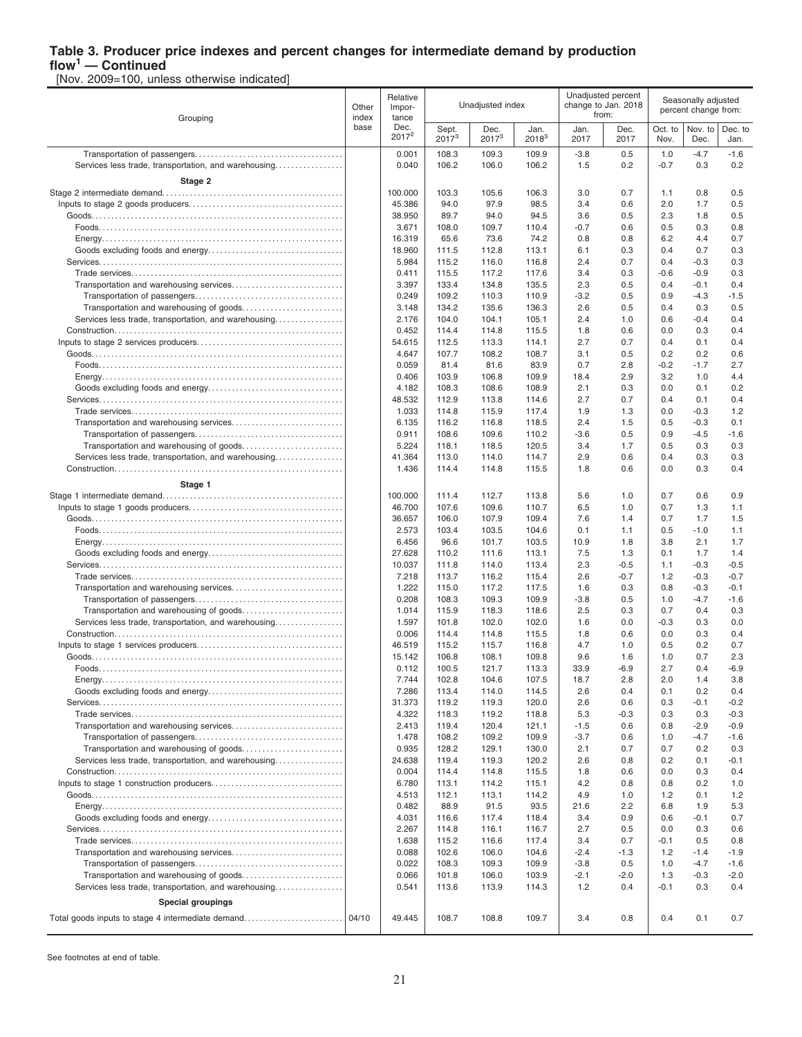## **Table 3. Producer price indexes and percent changes for intermediate demand by production**

**flow<sup>1</sup> — Continued** [Nov. 2009=100, unless otherwise indicated]

| Grouping                                             | Other<br>index | Relative<br>Impor-<br>tance |                   | Unadjusted index   |                    |               | Unadjusted percent<br>change to Jan. 2018<br>from: |                 | Seasonally adjusted<br>percent change from: |                  |  |
|------------------------------------------------------|----------------|-----------------------------|-------------------|--------------------|--------------------|---------------|----------------------------------------------------|-----------------|---------------------------------------------|------------------|--|
|                                                      | base           | Dec.<br>$2017^2$            | Sept.<br>$2017^3$ | Dec.<br>$2017^{3}$ | Jan.<br>$2018^{3}$ | Jan.<br>2017  | Dec.<br>2017                                       | Oct. to<br>Nov. | Nov. to<br>Dec.                             | Dec. to<br>Jan.  |  |
|                                                      |                | 0.001                       | 108.3             | 109.3              | 109.9              | $-3.8$        | 0.5                                                | 1.0             | $-4.7$                                      | $-1.6$           |  |
| Services less trade, transportation, and warehousing |                | 0.040                       | 106.2             | 106.0              | 106.2              | 1.5           | 0.2                                                | $-0.7$          | 0.3                                         | 0.2              |  |
| Stage 2                                              |                |                             |                   |                    |                    |               |                                                    |                 |                                             |                  |  |
|                                                      |                | 100.000<br>45.386           | 103.3<br>94.0     | 105.6<br>97.9      | 106.3<br>98.5      | 3.0<br>3.4    | 0.7<br>0.6                                         | 1.1<br>2.0      | 0.8<br>1.7                                  | 0.5<br>0.5       |  |
|                                                      |                | 38.950                      | 89.7              | 94.0               | 94.5               | 3.6           | 0.5                                                | 2.3             | 1.8                                         | 0.5              |  |
|                                                      |                | 3.671                       | 108.0             | 109.7              | 110.4              | $-0.7$        | 0.6                                                | 0.5             | 0.3                                         | 0.8              |  |
|                                                      |                | 16.319                      | 65.6              | 73.6               | 74.2               | 0.8           | 0.8                                                | 6.2             | 4.4                                         | 0.7              |  |
|                                                      |                | 18.960                      | 111.5             | 112.8              | 113.1              | 6.1           | 0.3                                                | 0.4             | 0.7                                         | 0.3              |  |
|                                                      |                | 5.984                       | 115.2             | 116.0              | 116.8              | 2.4           | 0.7                                                | 0.4             | $-0.3$                                      | 0.3              |  |
|                                                      |                | 0.411                       | 115.5             | 117.2              | 117.6              | 3.4           | 0.3                                                | $-0.6$          | $-0.9$                                      | 0.3              |  |
|                                                      |                | 3.397                       | 133.4             | 134.8              | 135.5              | 2.3           | 0.5                                                | 0.4             | $-0.1$                                      | 0.4              |  |
|                                                      |                | 0.249                       | 109.2             | 110.3              | 110.9              | $-3.2$        | 0.5                                                | 0.9             | $-4.3$                                      | $-1.5$           |  |
|                                                      |                | 3.148                       | 134.2             | 135.6              | 136.3              | 2.6           | 0.5                                                | 0.4             | 0.3                                         | 0.5              |  |
| Services less trade, transportation, and warehousing |                | 2.176<br>0.452              | 104.0<br>114.4    | 104.1<br>114.8     | 105.1<br>115.5     | 2.4<br>1.8    | 1.0<br>0.6                                         | 0.6<br>0.0      | $-0.4$<br>0.3                               | 0.4<br>0.4       |  |
|                                                      |                | 54.615                      | 112.5             | 113.3              | 114.1              | 2.7           | 0.7                                                | 0.4             | 0.1                                         | 0.4              |  |
|                                                      |                | 4.647                       | 107.7             | 108.2              | 108.7              | 3.1           | 0.5                                                | 0.2             | 0.2                                         | 0.6              |  |
|                                                      |                | 0.059                       | 81.4              | 81.6               | 83.9               | 0.7           | 2.8                                                | $-0.2$          | $-1.7$                                      | 2.7              |  |
|                                                      |                | 0.406                       | 103.9             | 106.8              | 109.9              | 18.4          | 2.9                                                | 3.2             | 1.0                                         | 4.4              |  |
|                                                      |                | 4.182                       | 108.3             | 108.6              | 108.9              | 2.1           | 0.3                                                | 0.0             | 0.1                                         | 0.2              |  |
|                                                      |                | 48.532                      | 112.9             | 113.8              | 114.6              | 2.7           | 0.7                                                | 0.4             | 0.1                                         | 0.4              |  |
|                                                      |                | 1.033                       | 114.8             | 115.9              | 117.4              | 1.9           | 1.3                                                | 0.0             | $-0.3$                                      | 1.2              |  |
|                                                      |                | 6.135                       | 116.2             | 116.8              | 118.5              | 2.4           | 1.5                                                | 0.5             | $-0.3$                                      | 0.1              |  |
|                                                      |                | 0.911                       | 108.6             | 109.6              | 110.2              | $-3.6$        | 0.5                                                | 0.9             | $-4.5$                                      | $-1.6$           |  |
| Services less trade, transportation, and warehousing |                | 5.224<br>41.364             | 118.1<br>113.0    | 118.5<br>114.0     | 120.5<br>114.7     | 3.4<br>2.9    | 1.7<br>0.6                                         | 0.5<br>0.4      | 0.3<br>0.3                                  | 0.3<br>0.3       |  |
|                                                      |                | 1.436                       | 114.4             | 114.8              | 115.5              | 1.8           | 0.6                                                | 0.0             | 0.3                                         | 0.4              |  |
|                                                      |                |                             |                   |                    |                    |               |                                                    |                 |                                             |                  |  |
| Stage 1                                              |                | 100.000                     | 111.4             | 112.7              | 113.8              | 5.6           | 1.0                                                | 0.7             | 0.6                                         | 0.9              |  |
|                                                      |                | 46.700                      | 107.6             | 109.6              | 110.7              | 6.5           | 1.0                                                | 0.7             | 1.3                                         | 1.1              |  |
|                                                      |                | 36.657                      | 106.0             | 107.9              | 109.4              | 7.6           | 1.4                                                | 0.7             | 1.7                                         | 1.5              |  |
|                                                      |                | 2.573                       | 103.4             | 103.5              | 104.6              | 0.1           | 1.1                                                | 0.5             | $-1.0$                                      | 1.1              |  |
|                                                      |                | 6.456                       | 96.6              | 101.7              | 103.5              | 10.9          | 1.8                                                | 3.8             | 2.1                                         | 1.7              |  |
|                                                      |                | 27.628                      | 110.2             | 111.6              | 113.1              | 7.5           | 1.3                                                | 0.1             | 1.7                                         | 1.4              |  |
|                                                      |                | 10.037                      | 111.8             | 114.0              | 113.4              | 2.3           | $-0.5$                                             | 1.1             | $-0.3$                                      | $-0.5$           |  |
|                                                      |                | 7.218                       | 113.7             | 116.2              | 115.4              | 2.6           | $-0.7$                                             | 1.2             | $-0.3$                                      | $-0.7$           |  |
|                                                      |                | 1.222<br>0.208              | 115.0<br>108.3    | 117.2<br>109.3     | 117.5<br>109.9     | 1.6<br>$-3.8$ | 0.3<br>0.5                                         | 0.8<br>1.0      | $-0.3$<br>$-4.7$                            | $-0.1$<br>$-1.6$ |  |
|                                                      |                | 1.014                       | 115.9             | 118.3              | 118.6              | 2.5           | 0.3                                                | 0.7             | 0.4                                         | 0.3              |  |
| Services less trade, transportation, and warehousing |                | 1.597                       | 101.8             | 102.0              | 102.0              | 1.6           | 0.0                                                | $-0.3$          | 0.3                                         | 0.0              |  |
|                                                      |                | 0.006                       | 114.4             | 114.8              | 115.5              | 1.8           | 0.6                                                | 0.0             | 0.3                                         | 0.4              |  |
|                                                      |                | 46.519                      | 115.2             | 115.7              | 116.8              | 4.7           | 1.0                                                | 0.5             | 0.2                                         | 0.7              |  |
|                                                      |                | 15.142                      | 106.8             | 108.1              | 109.8              | 9.6           | 1.6                                                | 1.0             | 0.7                                         | 2.3              |  |
|                                                      |                | 0.112                       | 100.5             | 121.7              | 113.3              | 33.9          | $-6.9$                                             | 2.7             | 0.4                                         | $-6.9$           |  |
|                                                      |                | 7.744<br>7.286              | 102.8<br>113.4    | 104.6<br>114.0     | 107.5<br>114.5     | 18.7<br>2.6   | 2.8<br>0.4                                         | 2.0<br>0.1      | 1.4<br>0.2                                  | 3.8<br>0.4       |  |
|                                                      |                | 31.373                      | 119.2             | 119.3              | 120.0              | 2.6           | 0.6                                                | 0.3             | $-0.1$                                      | $-0.2$           |  |
|                                                      |                | 4.322                       | 118.3             | 119.2              | 118.8              | 5.3           | $-0.3$                                             | 0.3             | 0.3                                         | $-0.3$           |  |
|                                                      |                | 2.413                       | 119.4             | 120.4              | 121.1              | $-1.5$        | 0.6                                                | 0.8             | $-2.9$                                      | -0.9             |  |
|                                                      |                | 1.478                       | 108.2             | 109.2              | 109.9              | $-3.7$        | 0.6                                                | 1.0             | -4.7                                        | -1.6             |  |
| Transportation and warehousing of goods              |                | 0.935                       | 128.2             | 129.1              | 130.0              | 2.1           | 0.7                                                | 0.7             | 0.2                                         | 0.3              |  |
| Services less trade, transportation, and warehousing |                | 24.638                      | 119.4             | 119.3              | 120.2              | 2.6           | 0.8                                                | 0.2             | 0.1                                         | -0.1             |  |
|                                                      |                | 0.004                       | 114.4             | 114.8              | 115.5              | 1.8           | 0.6                                                | 0.0             | 0.3                                         | 0.4              |  |
|                                                      |                | 6.780<br>4.513              | 113.1<br>112.1    | 114.2<br>113.1     | 115.1<br>114.2     | 4.2<br>4.9    | 0.8<br>1.0                                         | 0.8<br>1.2      | 0.2<br>0.1                                  | 1.0<br>1.2       |  |
|                                                      |                | 0.482                       | 88.9              | 91.5               | 93.5               | 21.6          | 2.2                                                | 6.8             | 1.9                                         | 5.3              |  |
|                                                      |                | 4.031                       | 116.6             | 117.4              | 118.4              | 3.4           | 0.9                                                | 0.6             | $-0.1$                                      | 0.7              |  |
|                                                      |                | 2.267                       | 114.8             | 116.1              | 116.7              | 2.7           | 0.5                                                | 0.0             | 0.3                                         | 0.6              |  |
|                                                      |                | 1.638                       | 115.2             | 116.6              | 117.4              | 3.4           | 0.7                                                | $-0.1$          | 0.5                                         | 0.8              |  |
|                                                      |                | 0.088                       | 102.6             | 106.0              | 104.6              | $-2.4$        | $-1.3$                                             | 1.2             | $-1.4$                                      | $-1.9$           |  |
|                                                      |                | 0.022                       | 108.3             | 109.3              | 109.9              | $-3.8$        | 0.5                                                | 1.0             | $-4.7$                                      | $-1.6$           |  |
|                                                      |                | 0.066                       | 101.8             | 106.0              | 103.9              | $-2.1$        | $-2.0$                                             | 1.3             | $-0.3$                                      | -2.0             |  |
| Services less trade, transportation, and warehousing |                | 0.541                       | 113.6             | 113.9              | 114.3              | 1.2           | 0.4                                                | $-0.1$          | 0.3                                         | 0.4              |  |
| <b>Special groupings</b>                             |                |                             |                   |                    |                    |               |                                                    |                 |                                             |                  |  |
|                                                      |                | 49.445                      | 108.7             | 108.8              | 109.7              | 3.4           | 0.8                                                | 0.4             | 0.1                                         | 0.7              |  |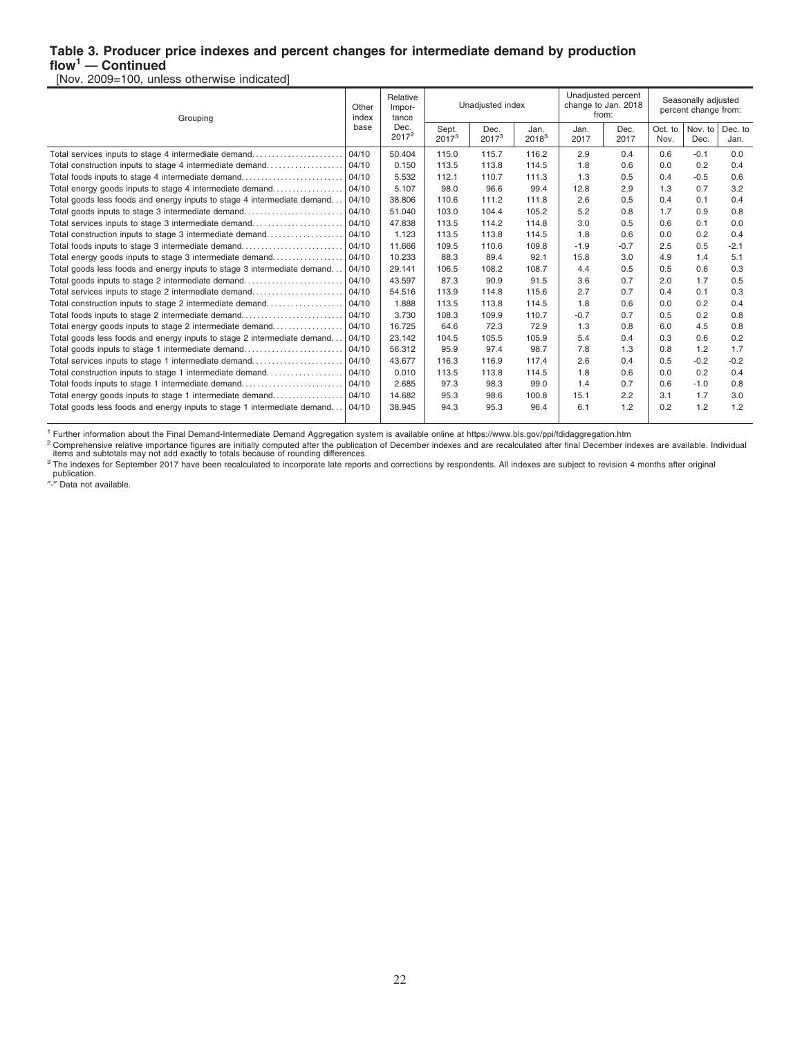#### **Table 3. Producer price indexes and percent changes for intermediate demand by production flow<sup>1</sup> — Continued**

[Nov. 2009=100, unless otherwise indicated]

| Grouping                                                                |       | Relative<br>Other<br>Impor-<br>index<br>tance |                   | Unadjusted index |                  | Unadjusted percent<br>change to Jan. 2018<br>from: |              | Seasonally adjusted<br>percent change from: |                 |                 |
|-------------------------------------------------------------------------|-------|-----------------------------------------------|-------------------|------------------|------------------|----------------------------------------------------|--------------|---------------------------------------------|-----------------|-----------------|
|                                                                         | base  | Dec.<br>$2017^2$                              | Sept.<br>$2017^3$ | Dec.<br>$2017^3$ | Jan.<br>$2018^3$ | Jan.<br>2017                                       | Dec.<br>2017 | Oct. to<br>Nov.                             | Nov. to<br>Dec. | Dec. to<br>Jan. |
| Total services inputs to stage 4 intermediate demand                    | 04/10 | 50.404                                        | 115.0             | 115.7            | 116.2            | 2.9                                                | 0.4          | 0.6                                         | $-0.1$          | 0.0             |
| Total construction inputs to stage 4 intermediate demand                | 04/10 | 0.150                                         | 113.5             | 113.8            | 114.5            | 1.8                                                | 0.6          | 0.0                                         | 0.2             | 0.4             |
| Total foods inputs to stage 4 intermediate demand                       | 04/10 | 5.532                                         | 112.1             | 110.7            | 111.3            | 1.3                                                | 0.5          | 0.4                                         | $-0.5$          | 0.6             |
| Total energy goods inputs to stage 4 intermediate demand                | 04/10 | 5.107                                         | 98.0              | 96.6             | 99.4             | 12.8                                               | 2.9          | 1.3                                         | 0.7             | 3.2             |
| Total goods less foods and energy inputs to stage 4 intermediate demand | 04/10 | 38.806                                        | 110.6             | 111.2            | 111.8            | 2.6                                                | 0.5          | 0.4                                         | 0.1             | 0.4             |
| Total goods inputs to stage 3 intermediate demand                       | 04/10 | 51.040                                        | 103.0             | 104.4            | 105.2            | 5.2                                                | 0.8          | 1.7                                         | 0.9             | 0.8             |
| Total services inputs to stage 3 intermediate demand                    | 04/10 | 47.838                                        | 113.5             | 114.2            | 114.8            | 3.0                                                | 0.5          | 0.6                                         | 0.1             | 0.0             |
| Total construction inputs to stage 3 intermediate demand                | 04/10 | 1.123                                         | 113.5             | 113.8            | 114.5            | 1.8                                                | 0.6          | 0.0                                         | 0.2             | 0.4             |
| Total foods inputs to stage 3 intermediate demand                       | 04/10 | 11.666                                        | 109.5             | 110.6            | 109.8            | $-1.9$                                             | $-0.7$       | 2.5                                         | 0.5             | $-2.1$          |
| Total energy goods inputs to stage 3 intermediate demand                | 04/10 | 10.233                                        | 88.3              | 89.4             | 92.1             | 15.8                                               | 3.0          | 4.9                                         | 1.4             | 5.1             |
| Total goods less foods and energy inputs to stage 3 intermediate demand | 04/10 | 29.141                                        | 106.5             | 108.2            | 108.7            | 4.4                                                | 0.5          | 0.5                                         | 0.6             | 0.3             |
| Total goods inputs to stage 2 intermediate demand                       | 04/10 | 43.597                                        | 87.3              | 90.9             | 91.5             | 3.6                                                | 0.7          | 2.0                                         | 1.7             | 0.5             |
| Total services inputs to stage 2 intermediate demand                    | 04/10 | 54.516                                        | 113.9             | 114.8            | 115.6            | 2.7                                                | 0.7          | 0.4                                         | 0.1             | 0.3             |
| Total construction inputs to stage 2 intermediate demand                | 04/10 | 1.888                                         | 113.5             | 113.8            | 114.5            | 1.8                                                | 0.6          | 0.0                                         | 0.2             | 0.4             |
| Total foods inputs to stage 2 intermediate demand                       | 04/10 | 3.730                                         | 108.3             | 109.9            | 110.7            | $-0.7$                                             | 0.7          | 0.5                                         | 0.2             | 0.8             |
| Total energy goods inputs to stage 2 intermediate demand                | 04/10 | 16.725                                        | 64.6              | 72.3             | 72.9             | 1.3                                                | 0.8          | 6.0                                         | 4.5             | 0.8             |
| Total goods less foods and energy inputs to stage 2 intermediate demand | 04/10 | 23.142                                        | 104.5             | 105.5            | 105.9            | 5.4                                                | 0.4          | 0.3                                         | 0.6             | 0.2             |
| Total goods inputs to stage 1 intermediate demand                       | 04/10 | 56.312                                        | 95.9              | 97.4             | 98.7             | 7.8                                                | 1.3          | 0.8                                         | 1.2             | 1.7             |
| Total services inputs to stage 1 intermediate demand                    | 04/10 | 43.677                                        | 116.3             | 116.9            | 117.4            | 2.6                                                | 0.4          | 0.5                                         | $-0.2$          | $-0.2$          |
| Total construction inputs to stage 1 intermediate demand                | 04/10 | 0.010                                         | 113.5             | 113.8            | 114.5            | 1.8                                                | 0.6          | 0.0                                         | 0.2             | 0.4             |
| Total foods inputs to stage 1 intermediate demand                       | 04/10 | 2.685                                         | 97.3              | 98.3             | 99.0             | 1.4                                                | 0.7          | 0.6                                         | $-1.0$          | 0.8             |
| Total energy goods inputs to stage 1 intermediate demand                | 04/10 | 14.682                                        | 95.3              | 98.6             | 100.8            | 15.1                                               | 2.2          | 3.1                                         | 1.7             | 3.0             |
| Total goods less foods and energy inputs to stage 1 intermediate demand | 04/10 | 38.945                                        | 94.3              | 95.3             | 96.4             | 6.1                                                | 1.2          | 0.2                                         | 1.2             | 1.2             |
|                                                                         |       |                                               |                   |                  |                  |                                                    |              |                                             |                 |                 |

<sup>1</sup> Further information about the Final Demand-Intermediate Demand Aggregation system is available online at https://www.bls.gov/ppi/fdidaggregation.htm

<sup>2</sup> Comprehensive relative importance figures are initially computed after the publication of December indexes and are recalculated after final December indexes are available. Individual<br>items and subtotals may not add exa

publication. ″-″ Data not available.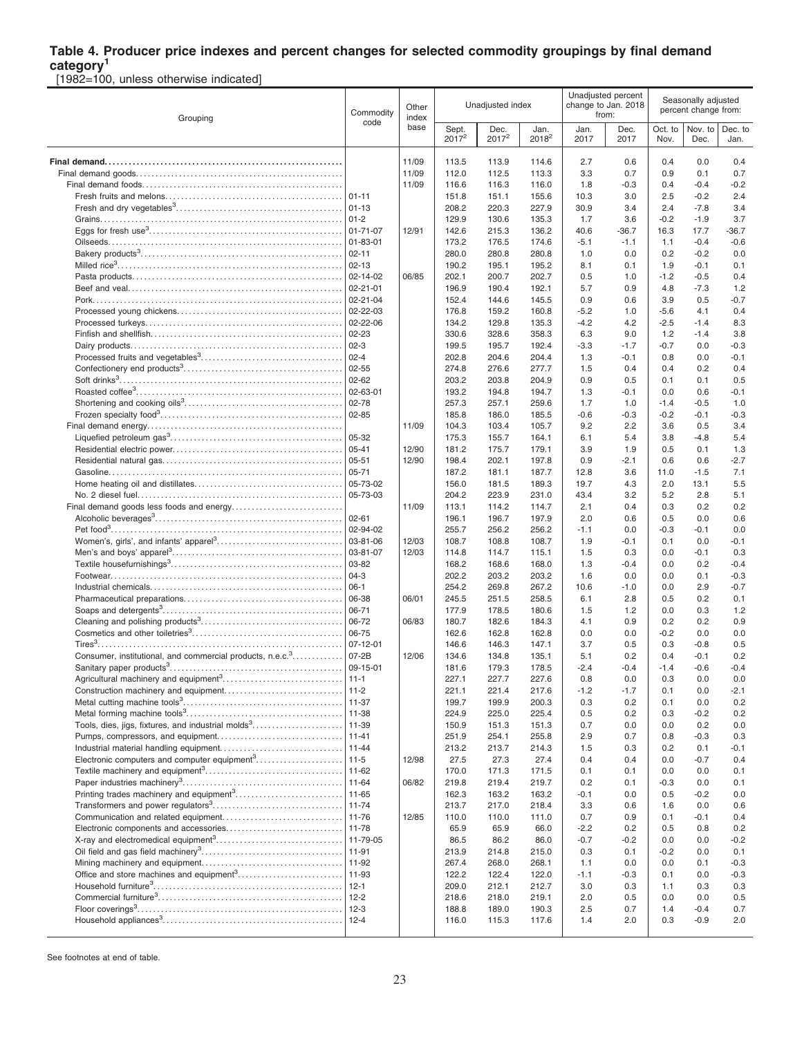## **Table 4. Producer price indexes and percent changes for selected commodity groupings by final demand**

**category<sup>1</sup>** [1982=100, unless otherwise indicated]

| Grouping                                                              | Commodity<br>code    | Other<br>index |                   | Unadjusted index |                  |                  | Unadjusted percent<br>change to Jan. 2018<br>from: | Seasonally adjusted<br>percent change from: |                  |                  |
|-----------------------------------------------------------------------|----------------------|----------------|-------------------|------------------|------------------|------------------|----------------------------------------------------|---------------------------------------------|------------------|------------------|
|                                                                       |                      | base           | Sept.<br>$2017^2$ | Dec.<br>$2017^2$ | Jan.<br>$2018^2$ | Jan.<br>2017     | Dec.<br>2017                                       | Oct. to<br>Nov.                             | Nov. to<br>Dec.  | Dec. to<br>Jan.  |
|                                                                       |                      | 11/09          | 113.5             | 113.9            | 114.6            | 2.7              | 0.6                                                | 0.4                                         | 0.0              | 0.4              |
|                                                                       |                      | 11/09          | 112.0             | 112.5            | 113.3            | 3.3              | 0.7                                                | 0.9                                         | 0.1              | 0.7              |
|                                                                       |                      | 11/09          | 116.6             | 116.3            | 116.0            | 1.8              | $-0.3$                                             | 0.4                                         | $-0.4$           | $-0.2$           |
|                                                                       |                      |                | 151.8             | 151.1            | 155.6            | 10.3             | 3.0                                                | 2.5                                         | $-0.2$           | 2.4              |
|                                                                       | $ 01-13$             |                | 208.2             | 220.3            | 227.9            | 30.9             | 3.4                                                | 2.4                                         | $-7.8$           | 3.4              |
|                                                                       | $ 01-2 $             |                | 129.9             | 130.6            | 135.3            | 1.7              | 3.6                                                | $-0.2$                                      | $-1.9$           | 3.7              |
|                                                                       | $ 01 - 71 - 07$      | 12/91          | 142.6             | 215.3            | 136.2            | 40.6             | $-36.7$                                            | 16.3                                        | 17.7             | -36.7            |
|                                                                       | 01-83-01             |                | 173.2             | 176.5            | 174.6            | -5.1             | $-1.1$                                             | 1.1                                         | $-0.4$           | $-0.6$           |
|                                                                       | $02 - 11$            |                | 280.0             | 280.8            | 280.8            | 1.0              | 0.0                                                | 0.2                                         | $-0.2$           | 0.0              |
|                                                                       | $02 - 13$            |                | 190.2             | 195.1            | 195.2            | 8.1              | 0.1                                                | 1.9                                         | $-0.1$           | 0.1              |
|                                                                       | 02-14-02             | 06/85          | 202.1             | 200.7            | 202.7            | 0.5              | 1.0                                                | $-1.2$                                      | $-0.5$           | 0.4              |
|                                                                       | $ 02 - 21 - 01$      |                | 196.9             | 190.4            | 192.1            | 5.7              | 0.9                                                | 4.8                                         | $-7.3$           | 1.2              |
|                                                                       | $ 02 - 21 - 04$      |                | 152.4             | 144.6            | 145.5            | 0.9              | 0.6                                                | 3.9                                         | 0.5              | $-0.7$           |
|                                                                       | 02-22-03<br>02-22-06 |                | 176.8             | 159.2            | 160.8            | $-5.2$<br>$-4.2$ | 1.0                                                | $-5.6$                                      | 4.1              | 0.4              |
|                                                                       | 02-23                |                | 134.2<br>330.6    | 129.8<br>328.6   | 135.3<br>358.3   | 6.3              | 4.2<br>9.0                                         | $-2.5$<br>1.2                               | $-1.4$<br>$-1.4$ | 8.3<br>3.8       |
|                                                                       | $ 02-3 $             |                | 199.5             | 195.7            | 192.4            | $-3.3$           | $-1.7$                                             | $-0.7$                                      | 0.0              | $-0.3$           |
|                                                                       | $02 - 4$             |                | 202.8             | 204.6            | 204.4            | 1.3              | $-0.1$                                             | 0.8                                         | 0.0              | $-0.1$           |
|                                                                       | 02-55                |                | 274.8             | 276.6            | 277.7            | 1.5              | 0.4                                                | 0.4                                         | 0.2              | 0.4              |
|                                                                       | $02 - 62$            |                | 203.2             | 203.8            | 204.9            | 0.9              | 0.5                                                | 0.1                                         | 0.1              | 0.5              |
|                                                                       | 02-63-01             |                | 193.2             | 194.8            | 194.7            | 1.3              | $-0.1$                                             | 0.0                                         | 0.6              | $-0.1$           |
|                                                                       | 02-78                |                | 257.3             | 257.1            | 259.6            | 1.7              | 1.0                                                | $-1.4$                                      | $-0.5$           | 1.0              |
|                                                                       | $02 - 85$            |                | 185.8             | 186.0            | 185.5            | $-0.6$           | $-0.3$                                             | $-0.2$                                      | $-0.1$           | $-0.3$           |
|                                                                       |                      | 11/09          | 104.3             | 103.4            | 105.7            | 9.2              | 2.2                                                | 3.6                                         | 0.5              | 3.4              |
|                                                                       | 05-32                |                | 175.3             | 155.7            | 164.1            | 6.1              | 5.4                                                | 3.8                                         | $-4.8$           | 5.4              |
|                                                                       | $ 05 - 41$           | 12/90          | 181.2             | 175.7            | 179.1            | 3.9              | 1.9                                                | 0.5                                         | 0.1              | 1.3              |
|                                                                       | 05-51<br>05-71       | 12/90          | 198.4<br>187.2    | 202.1<br>181.1   | 197.8<br>187.7   | 0.9<br>12.8      | $-2.1$<br>3.6                                      | 0.6<br>11.0                                 | 0.6<br>$-1.5$    | $-2.7$<br>7.1    |
|                                                                       | 05-73-02             |                | 156.0             | 181.5            | 189.3            | 19.7             | 4.3                                                | 2.0                                         | 13.1             | 5.5              |
|                                                                       | 05-73-03             |                | 204.2             | 223.9            | 231.0            | 43.4             | 3.2                                                | 5.2                                         | 2.8              | 5.1              |
|                                                                       |                      | 11/09          | 113.1             | 114.2            | 114.7            | 2.1              | 0.4                                                | 0.3                                         | 0.2              | 0.2              |
|                                                                       | $02 - 61$            |                | 196.1             | 196.7            | 197.9            | 2.0              | 0.6                                                | 0.5                                         | 0.0              | 0.6              |
|                                                                       | 02-94-02             |                | 255.7             | 256.2            | 256.2            | $-1.1$           | 0.0                                                | $-0.3$                                      | -0.1             | 0.0              |
|                                                                       | 03-81-06             | 12/03          | 108.7             | 108.8            | 108.7            | 1.9              | $-0.1$                                             | 0.1                                         | 0.0              | $-0.1$           |
|                                                                       | 03-81-07             | 12/03          | 114.8             | 114.7            | 115.1            | 1.5              | 0.3                                                | 0.0                                         | $-0.1$           | 0.3              |
|                                                                       | 03-82                |                | 168.2             | 168.6            | 168.0            | 1.3              | $-0.4$                                             | 0.0                                         | 0.2              | $-0.4$           |
|                                                                       | $04-3$<br>$06-1$     |                | 202.2<br>254.2    | 203.2<br>269.8   | 203.2<br>267.2   | 1.6<br>10.6      | 0.0<br>$-1.0$                                      | 0.0<br>0.0                                  | 0.1<br>2.9       | $-0.3$<br>$-0.7$ |
|                                                                       | 06-38                | 06/01          | 245.5             | 251.5            | 258.5            | 6.1              | 2.8                                                | 0.5                                         | 0.2              | 0.1              |
|                                                                       | 06-71                |                | 177.9             | 178.5            | 180.6            | 1.5              | 1.2                                                | 0.0                                         | 0.3              | 1.2              |
|                                                                       | $ 06-72$             | 06/83          | 180.7             | 182.6            | 184.3            | 4.1              | 0.9                                                | 0.2                                         | 0.2              | 0.9              |
|                                                                       | 06-75                |                | 162.6             | 162.8            | 162.8            | 0.0              | 0.0                                                | $-0.2$                                      | 0.0              | 0.0              |
|                                                                       | 07-12-01             |                | 146.6             | 146.3            | 147.1            | 3.7              | 0.5                                                | 0.3                                         | $-0.8$           | 0.5              |
| Consumer, institutional, and commercial products, n.e.c. <sup>3</sup> | $07 - 2B$            | 12/06          | 134.6             | 134.8            | 135.1            | 5.1              | 0.2                                                | 0.4                                         | $-0.1$           | 0.2              |
|                                                                       | 09-15-01             |                | 181.6             | 179.3            | 178.5            | $-2.4$           | $-0.4$                                             | $-1.4$                                      | $-0.6$           | $-0.4$           |
|                                                                       |                      |                | 227.1<br>221.1    | 227.7<br>221.4   | 227.6<br>217.6   | 0.8<br>$-1.2$    | 0.0<br>$-1.7$                                      | 0.3<br>0.1                                  | 0.0<br>0.0       | 0.0<br>$-2.1$    |
|                                                                       | 11-37                |                | 199.7             | 199.9            | 200.3            | 0.3              | 0.2                                                | 0.1                                         | 0.0              | 0.2              |
|                                                                       | 11-38                |                | 224.9             | 225.0            | 225.4            | 0.5              | 0.2                                                | 0.3                                         | $-0.2$           | 0.2              |
| Tools, dies, jigs, fixtures, and industrial molds <sup>3</sup>        | 11-39                |                | 150.9             | 151.3            | 151.3            | 0.7              | 0.0                                                | 0.0                                         | 0.2              | 0.0              |
|                                                                       | $11 - 41$            |                | 251.9             | 254.1            | 255.8            | 2.9              | 0.7                                                | 0.8                                         | $-0.3$           | 0.3              |
|                                                                       | $11 - 44$            |                | 213.2             | 213.7            | 214.3            | 1.5              | 0.3                                                | 0.2                                         | 0.1              | $-0.1$           |
|                                                                       |                      | 12/98          | 27.5              | 27.3             | 27.4             | 0.4              | 0.4                                                | 0.0                                         | $-0.7$           | 0.4              |
|                                                                       |                      |                | 170.0             | 171.3            | 171.5            | 0.1              | 0.1                                                | 0.0                                         | 0.0              | 0.1              |
|                                                                       | 11-64                | 06/82          | 219.8<br>162.3    | 219.4<br>163.2   | 219.7<br>163.2   | 0.2<br>-0.1      | 0.1<br>0.0                                         | $-0.3$<br>0.5                               | 0.0<br>$-0.2$    | 0.1<br>0.0       |
|                                                                       |                      |                | 213.7             | 217.0            | 218.4            | 3.3              | 0.6                                                | 1.6                                         | 0.0              | 0.6              |
|                                                                       |                      | 12/85          | 110.0             | 110.0            | 111.0            | 0.7              | 0.9                                                | 0.1                                         | $-0.1$           | 0.4              |
|                                                                       |                      |                | 65.9              | 65.9             | 66.0             | $-2.2$           | 0.2                                                | 0.5                                         | 0.8              | 0.2              |
|                                                                       | 11-79-05             |                | 86.5              | 86.2             | 86.0             | $-0.7$           | $-0.2$                                             | 0.0                                         | 0.0              | $-0.2$           |
|                                                                       | 11-91                |                | 213.9             | 214.8            | 215.0            | 0.3              | 0.1                                                | $-0.2$                                      | 0.0              | 0.1              |
|                                                                       | 11-92                |                | 267.4             | 268.0            | 268.1            | 1.1              | 0.0                                                | 0.0                                         | 0.1              | $-0.3$           |
|                                                                       | 11-93                |                | 122.2             | 122.4            | 122.0            | $-1.1$           | $-0.3$                                             | 0.1                                         | 0.0              | $-0.3$           |
|                                                                       | $12 - 1$             |                | 209.0             | 212.1            | 212.7            | 3.0              | 0.3                                                | 1.1                                         | 0.3              | 0.3              |
|                                                                       | $12 - 2$<br>12-3     |                | 218.6             | 218.0            | 219.1            | 2.0              | 0.5                                                | 0.0                                         | 0.0              | 0.5              |
|                                                                       |                      |                | 188.8<br>116.0    | 189.0<br>115.3   | 190.3<br>117.6   | 2.5<br>1.4       | 0.7<br>2.0                                         | 1.4<br>0.3                                  | $-0.4$<br>$-0.9$ | 0.7<br>2.0       |
|                                                                       |                      |                |                   |                  |                  |                  |                                                    |                                             |                  |                  |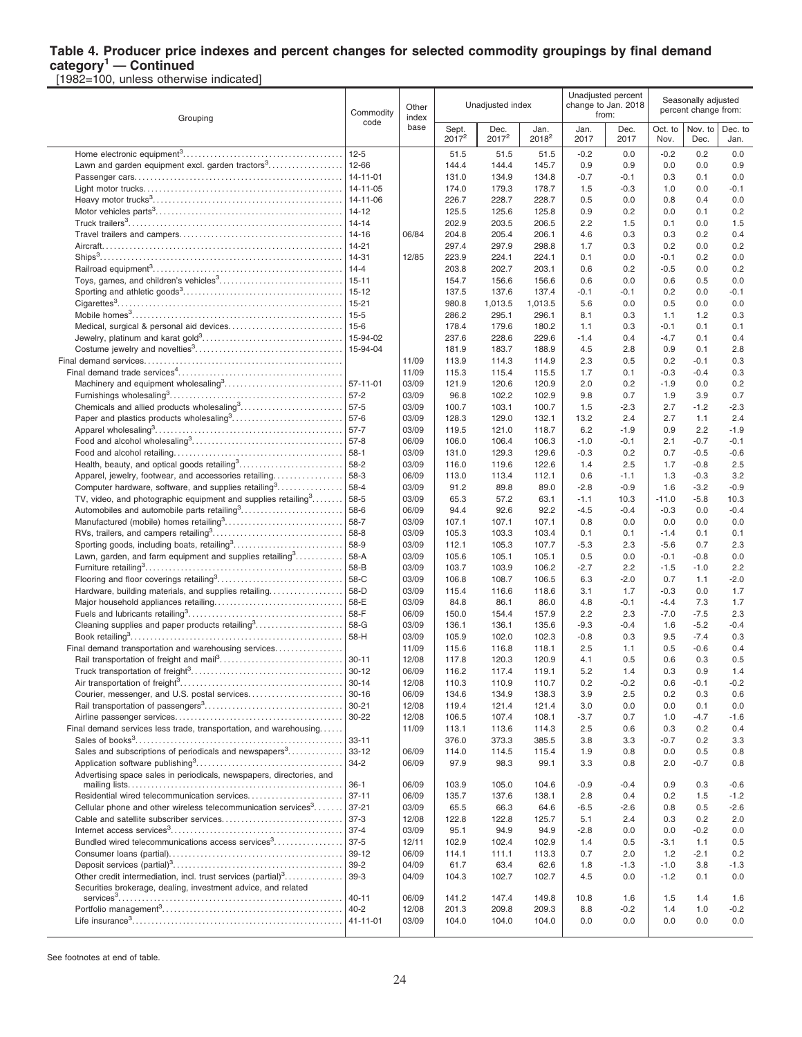#### **Table 4. Producer price indexes and percent changes for selected commodity groupings by final demand category<sup>1</sup> — Continued**

[1982=100, unless otherwise indicated]

| Grouping                                                                  | Commodity            | Other<br>index |                            | Unadjusted index |                  |                  | Unadjusted percent<br>change to Jan. 2018<br>from: |                 | Seasonally adjusted<br>percent change from: |                 |  |
|---------------------------------------------------------------------------|----------------------|----------------|----------------------------|------------------|------------------|------------------|----------------------------------------------------|-----------------|---------------------------------------------|-----------------|--|
|                                                                           | code                 | base           | Sept.<br>2017 <sup>2</sup> | Dec.<br>$2017^2$ | Jan.<br>$2018^2$ | Jan.<br>2017     | Dec.<br>2017                                       | Oct. to<br>Nov. | Nov. to<br>Dec.                             | Dec. to<br>Jan. |  |
|                                                                           | $12 - 5$             |                | 51.5                       | 51.5             | 51.5             | $-0.2$           | 0.0                                                | $-0.2$          | 0.2                                         | 0.0             |  |
| Lawn and garden equipment excl. garden tractors <sup>3</sup>              | 12-66                |                | 144.4                      | 144.4            | 145.7            | 0.9              | 0.9                                                | 0.0             | 0.0                                         | 0.9             |  |
|                                                                           | $14 - 11 - 01$       |                | 131.0                      | 134.9            | 134.8            | $-0.7$           | $-0.1$                                             | 0.3             | 0.1                                         | 0.0             |  |
|                                                                           | 14-11-05             |                | 174.0                      | 179.3            | 178.7            | 1.5              | $-0.3$                                             | 1.0             | 0.0                                         | $-0.1$          |  |
|                                                                           | 14-11-06             |                | 226.7                      | 228.7            | 228.7            | 0.5              | 0.0                                                | 0.8             | 0.4                                         | 0.0             |  |
|                                                                           | $14 - 12$            |                | 125.5                      | 125.6            | 125.8            | 0.9              | 0.2                                                | 0.0             | 0.1                                         | 0.2             |  |
|                                                                           | $14 - 14$            |                | 202.9                      | 203.5            | 206.5            | 2.2              | 1.5                                                | 0.1             | 0.0                                         | 1.5             |  |
|                                                                           | 14-16                | 06/84          | 204.8                      | 205.4            | 206.1            | 4.6              | 0.3                                                | 0.3             | 0.2                                         | 0.4             |  |
|                                                                           | $14 - 21$            |                | 297.4                      | 297.9            | 298.8            | 1.7              | 0.3                                                | 0.2             | 0.0                                         | 0.2             |  |
|                                                                           | 14-31                | 12/85          | 223.9                      | 224.1            | 224.1            | 0.1              | 0.0                                                | $-0.1$          | 0.2                                         | 0.0             |  |
|                                                                           | $14 - 4$             |                | 203.8                      | 202.7            | 203.1            | 0.6              | 0.2                                                | $-0.5$          | 0.0                                         | 0.2             |  |
|                                                                           | $15 - 11$            |                | 154.7                      | 156.6            | 156.6            | 0.6              | 0.0                                                | 0.6             | 0.5                                         | 0.0             |  |
|                                                                           | $15 - 12$            |                | 137.5                      | 137.6            | 137.4            | -0.1             | $-0.1$                                             | 0.2             | 0.0                                         | $-0.1$          |  |
|                                                                           | $15 - 21$            |                | 980.8                      | 1,013.5          | 1,013.5          | 5.6              | 0.0                                                | 0.5             | 0.0                                         | 0.0             |  |
|                                                                           | $15 - 5$             |                | 286.2                      | 295.1            | 296.1            | 8.1              | 0.3                                                | 1.1             | 1.2                                         | 0.3             |  |
|                                                                           | $15-6$               |                | 178.4                      | 179.6            | 180.2            | 1.1              | 0.3                                                | $-0.1$          | 0.1                                         | 0.1             |  |
|                                                                           | 15-94-02<br>15-94-04 |                | 237.6<br>181.9             | 228.6<br>183.7   | 229.6<br>188.9   | $-1.4$<br>4.5    | 0.4<br>2.8                                         | $-4.7$<br>0.9   | 0.1<br>0.1                                  | 0.4<br>2.8      |  |
|                                                                           |                      | 11/09          | 113.9                      | 114.3            | 114.9            | 2.3              | 0.5                                                | 0.2             | $-0.1$                                      | 0.3             |  |
|                                                                           |                      | 11/09          | 115.3                      | 115.4            | 115.5            | 1.7              | 0.1                                                | $-0.3$          | $-0.4$                                      | 0.3             |  |
| Machinery and equipment wholesaling <sup>3</sup>                          | 57-11-01             | 03/09          | 121.9                      | 120.6            | 120.9            | 2.0              | 0.2                                                | $-1.9$          | 0.0                                         | 0.2             |  |
|                                                                           | $57-2$               | 03/09          | 96.8                       | 102.2            | 102.9            | 9.8              | 0.7                                                | 1.9             | 3.9                                         | 0.7             |  |
|                                                                           | $57-5$               | 03/09          | 100.7                      | 103.1            | 100.7            | 1.5              | $-2.3$                                             | 2.7             | $-1.2$                                      | $-2.3$          |  |
|                                                                           | $57-6$               | 03/09          | 128.3                      | 129.0            | 132.1            | 13.2             | 2.4                                                | 2.7             | 1.1                                         | 2.4             |  |
|                                                                           | $57 - 7$             | 03/09          | 119.5                      | 121.0            | 118.7            | 6.2              | $-1.9$                                             | 0.9             | 2.2                                         | $-1.9$          |  |
|                                                                           | $57 - 8$             | 06/09          | 106.0                      | 106.4            | 106.3            | $-1.0$           | $-0.1$                                             | 2.1             | $-0.7$                                      | $-0.1$          |  |
|                                                                           | $58-1$               | 03/09          | 131.0                      | 129.3            | 129.6            | $-0.3$           | 0.2                                                | 0.7             | $-0.5$                                      | $-0.6$          |  |
| Health, beauty, and optical goods retailing <sup>3</sup>                  | 58-2                 | 03/09          | 116.0                      | 119.6            | 122.6            | 1.4              | 2.5                                                | 1.7             | $-0.8$                                      | 2.5             |  |
| Apparel, jewelry, footwear, and accessories retailing                     | 58-3                 | 06/09          | 113.0                      | 113.4            | 112.1            | 0.6              | $-1.1$                                             | 1.3             | $-0.3$                                      | 3.2             |  |
| Computer hardware, software, and supplies retailing <sup>3</sup>          | 58-4                 | 03/09          | 91.2                       | 89.8             | 89.0             | $-2.8$           | $-0.9$                                             | 1.6             | $-3.2$                                      | $-0.9$          |  |
| TV, video, and photographic equipment and supplies retailing <sup>3</sup> | 58-5                 | 03/09          | 65.3                       | 57.2             | 63.1             | $-1.1$           | 10.3                                               | $-11.0$         | $-5.8$                                      | 10.3            |  |
|                                                                           | 58-6                 | 06/09          | 94.4                       | 92.6             | 92.2             | $-4.5$           | $-0.4$                                             | $-0.3$          | 0.0                                         | $-0.4$          |  |
|                                                                           | 58-7                 | 03/09          | 107.1                      | 107.1            | 107.1            | 0.8              | 0.0                                                | 0.0             | 0.0                                         | 0.0             |  |
|                                                                           | 58-8                 | 03/09          | 105.3                      | 103.3            | 103.4            | 0.1              | 0.1                                                | $-1.4$          | 0.1                                         | 0.1             |  |
| Sporting goods, including boats, retailing <sup>3</sup>                   | 58-9                 | 03/09          | 112.1                      | 105.3            | 107.7            | $-5.3$           | 2.3                                                | $-5.6$          | 0.7                                         | 2.3             |  |
| Lawn, garden, and farm equipment and supplies retailing $3$               | 58-A                 | 03/09          | 105.6                      | 105.1            | 105.1            | 0.5              | 0.0                                                | $-0.1$          | $-0.8$                                      | 0.0             |  |
|                                                                           | 58-B                 | 03/09          | 103.7                      | 103.9            | 106.2            | $-2.7$           | 2.2                                                | $-1.5$          | $-1.0$                                      | 2.2             |  |
|                                                                           | 58-C                 | 03/09          | 106.8                      | 108.7            | 106.5            | 6.3              | $-2.0$                                             | 0.7             | 1.1                                         | $-2.0$          |  |
| Hardware, building materials, and supplies retailing                      | 58-D                 | 03/09          | 115.4                      | 116.6            | 118.6            | 3.1              | 1.7                                                | $-0.3$          | 0.0                                         | 1.7             |  |
|                                                                           | 58-E                 | 03/09          | 84.8                       | 86.1             | 86.0             | 4.8              | $-0.1$                                             | $-4.4$          | 7.3                                         | 1.7             |  |
| Cleaning supplies and paper products retailing <sup>3</sup>               | 58-F<br>58-G         | 06/09<br>03/09 | 150.0<br>136.1             | 154.4            | 157.9            | 2.2              | 2.3                                                | $-7.0$          | $-7.5$<br>$-5.2$                            | 2.3<br>$-0.4$   |  |
|                                                                           | 58-H                 | 03/09          | 105.9                      | 136.1<br>102.0   | 135.6<br>102.3   | $-9.3$<br>$-0.8$ | $-0.4$<br>0.3                                      | 1.6<br>9.5      | $-7.4$                                      | 0.3             |  |
| Final demand transportation and warehousing services                      |                      | 11/09          | 115.6                      | 116.8            | 118.1            | 2.5              | 1.1                                                | 0.5             | $-0.6$                                      | 0.4             |  |
|                                                                           | $30 - 11$            | 12/08          | 117.8                      | 120.3            | 120.9            | 4.1              | 0.5                                                | 0.6             | 0.3                                         | 0.5             |  |
|                                                                           | $30 - 12$            | 06/09          | 116.2                      | 117.4            | 119.1            | 5.2              | 1.4                                                | 0.3             | 0.9                                         | 1.4             |  |
|                                                                           | $30 - 14$            | 12/08          | 110.3                      | 110.9            | 110.7            | 0.2              | $-0.2$                                             | 0.6             | -0.1                                        | $-0.2$          |  |
|                                                                           | $30 - 16$            | 06/09          | 134.6                      | 134.9            | 138.3            | 3.9              | 2.5                                                | 0.2             | 0.3                                         | 0.6             |  |
|                                                                           | $30 - 21$            | 12/08          | 119.4                      | 121.4            | 121.4            | 3.0              | 0.0                                                | 0.0             | 0.1                                         | 0.0             |  |
|                                                                           | $30 - 22$            | 12/08          | 106.5                      | 107.4            | 108.1            | $-3.7$           | 0.7                                                | 1.0             | $-4.7$                                      | $-1.6$          |  |
| Final demand services less trade, transportation, and warehousing         |                      | 11/09          | 113.1                      | 113.6            | 114.3            | 2.5              | 0.6                                                | 0.3             | 0.2                                         | 0.4             |  |
|                                                                           | $33 - 11$            |                | 376.0                      | 373.3            | 385.5            | 3.8              | 3.3                                                | $-0.7$          | 0.2                                         | 3.3             |  |
| Sales and subscriptions of periodicals and newspapers <sup>3</sup>        | $33 - 12$            | 06/09          | 114.0                      | 114.5            | 115.4            | 1.9              | 0.8                                                | 0.0             | 0.5                                         | 0.8             |  |
|                                                                           | $34 - 2$             | 06/09          | 97.9                       | 98.3             | 99.1             | 3.3              | 0.8                                                | 2.0             | $-0.7$                                      | 0.8             |  |
| Advertising space sales in periodicals, newspapers, directories, and      |                      |                |                            |                  |                  |                  |                                                    |                 |                                             |                 |  |
|                                                                           | $36-1$               | 06/09          | 103.9                      | 105.0            | 104.6            | $-0.9$           | $-0.4$                                             | 0.9             | 0.3                                         | -0.6            |  |
|                                                                           | $37 - 11$            | 06/09          | 135.7                      | 137.6            | 138.1            | 2.8              | 0.4                                                | 0.2             | 1.5                                         | $-1.2$          |  |
| Cellular phone and other wireless telecommunication services <sup>3</sup> | $37 - 21$            | 03/09          | 65.5                       | 66.3             | 64.6             | $-6.5$           | $-2.6$                                             | 0.8             | 0.5                                         | $-2.6$          |  |
|                                                                           | $37-3$               | 12/08          | 122.8                      | 122.8            | 125.7            | 5.1              | 2.4                                                | 0.3             | 0.2                                         | 2.0             |  |
| Bundled wired telecommunications access services <sup>3</sup>             | $37 - 4$<br>$37-5$   | 03/09<br>12/11 | 95.1<br>102.9              | 94.9<br>102.4    | 94.9<br>102.9    | $-2.8$<br>1.4    | 0.0<br>0.5                                         | 0.0<br>$-3.1$   | $-0.2$<br>1.1                               | 0.0<br>0.5      |  |
|                                                                           | $39 - 12$            | 06/09          | 114.1                      | 111.1            | 113.3            | 0.7              | 2.0                                                | 1.2             | $-2.1$                                      | 0.2             |  |
|                                                                           | $39-2$               | 04/09          | 61.7                       | 63.4             | 62.6             | 1.8              | $-1.3$                                             | $-1.0$          | 3.8                                         | -1.3            |  |
| Other credit intermediation, incl. trust services (partial) <sup>3</sup>  | $39-3$               | 04/09          | 104.3                      | 102.7            | 102.7            | 4.5              | 0.0                                                | $-1.2$          | 0.1                                         | 0.0             |  |
| Securities brokerage, dealing, investment advice, and related             | $40 - 11$            | 06/09          | 141.2                      | 147.4            | 149.8            | 10.8             | 1.6                                                | 1.5             | 1.4                                         | 1.6             |  |
|                                                                           | $40 - 2$             | 12/08          | 201.3                      | 209.8            | 209.3            | 8.8              | $-0.2$                                             | 1.4             | 1.0                                         | -0.2            |  |
|                                                                           | 41-11-01             | 03/09          | 104.0                      | 104.0            | 104.0            | 0.0              | 0.0                                                | 0.0             | 0.0                                         | 0.0             |  |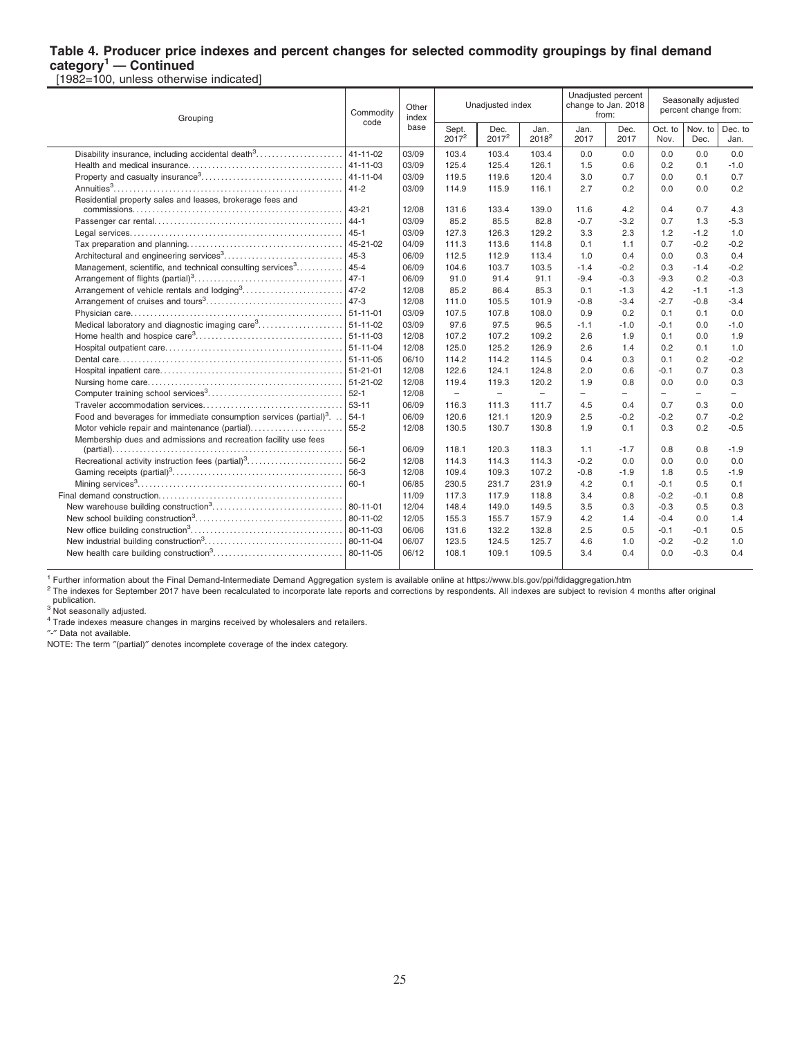#### **Table 4. Producer price indexes and percent changes for selected commodity groupings by final demand category<sup>1</sup> — Continued**

[1982=100, unless otherwise indicated]

L,

| Grouping                                                                       | Commodity<br>code | Other<br>index | Unadjusted index  |                  |                   | from:             | Unadjusted percent<br>change to Jan. 2018 | Seasonally adjusted<br>percent change from: |                          |                          |
|--------------------------------------------------------------------------------|-------------------|----------------|-------------------|------------------|-------------------|-------------------|-------------------------------------------|---------------------------------------------|--------------------------|--------------------------|
|                                                                                |                   | base           | Sept.<br>$2017^2$ | Dec.<br>$2017^2$ | Jan.<br>$2018^2$  | Jan.<br>2017      | Dec.<br>2017                              | Oct. to<br>Nov.                             | Nov. to<br>Dec.          | Dec. to<br>Jan.          |
| Disability insurance, including accidental death <sup>3</sup>                  | 41-11-02          | 03/09          | 103.4             | 103.4            | 103.4             | 0.0               | 0.0                                       | 0.0                                         | 0.0                      | 0.0                      |
|                                                                                | 41-11-03          | 03/09          | 125.4             | 125.4            | 126.1             | 1.5               | 0.6                                       | 0.2                                         | 0.1                      | $-1.0$                   |
|                                                                                |                   | 03/09          | 119.5             | 119.6            | 120.4             | 3.0               | 0.7                                       | 0.0                                         | 0.1                      | 0.7                      |
|                                                                                | 41-2              | 03/09          | 114.9             | 115.9            | 116.1             | 2.7               | 0.2                                       | 0.0                                         | 0.0                      | 0.2                      |
| Residential property sales and leases, brokerage fees and                      | $43 - 21$         | 12/08          | 131.6             | 133.4            | 139.0             | 11.6              | 4.2                                       | 0.4                                         | 0.7                      | 4.3                      |
|                                                                                | $44 - 1$          | 03/09          | 85.2              | 85.5             | 82.8              | $-0.7$            | $-3.2$                                    | 0.7                                         | 1.3                      | $-5.3$                   |
|                                                                                | $45 - 1$          | 03/09          | 127.3             | 126.3            | 129.2             | 3.3               | 2.3                                       | 1.2                                         | $-1.2$                   | 1.0                      |
|                                                                                | 45-21-02          | 04/09          | 111.3             | 113.6            | 114.8             | 0.1               | 1.1                                       | 0.7                                         | $-0.2$                   | $-0.2$                   |
|                                                                                | $45 - 3$          | 06/09          | 112.5             | 112.9            | 113.4             | 1.0               | 0.4                                       | 0.0                                         | 0.3                      | 0.4                      |
| Management, scientific, and technical consulting services <sup>3</sup>         | $45 - 4$          | 06/09          | 104.6             | 103.7            | 103.5             | $-1.4$            | $-0.2$                                    | 0.3                                         | $-1.4$                   | $-0.2$                   |
|                                                                                | $47 - 1$          | 06/09          | 91.0              | 91.4             | 91.1              | $-9.4$            | $-0.3$                                    | $-9.3$                                      | 0.2                      | $-0.3$                   |
|                                                                                | $47 - 2$          | 12/08          | 85.2              | 86.4             | 85.3              | 0.1               | $-1.3$                                    | 4.2                                         | $-1.1$                   | $-1.3$                   |
|                                                                                | $47 - 3$          | 12/08          | 111.0             | 105.5            | 101.9             | $-0.8$            | $-3.4$                                    | $-2.7$                                      | $-0.8$                   | $-3.4$                   |
|                                                                                |                   | 03/09          | 107.5             | 107.8            | 108.0             | 0.9               | 0.2                                       | 0.1                                         | 0.1                      | 0.0                      |
|                                                                                |                   | 03/09          | 97.6              | 97.5             | 96.5              | $-1.1$            | $-1.0$                                    | $-0.1$                                      | 0.0                      | $-1.0$                   |
|                                                                                | 51-11-03          | 12/08          | 107.2             | 107.2            | 109.2             | 2.6               | 1.9                                       | 0.1                                         | 0.0                      | 1.9                      |
|                                                                                | $51 - 11 - 04$    | 12/08          | 125.0             | 125.2            | 126.9             | 2.6               | 1.4                                       | 0.2                                         | 0.1                      | 1.0                      |
|                                                                                | $51 - 11 - 05$    | 06/10          | 114.2             | 114.2            | 114.5             | 0.4               | 0.3                                       | 0.1                                         | 0.2                      | $-0.2$                   |
|                                                                                |                   | 12/08          | 122.6             | 124.1            | 124.8             | 2.0               | 0.6                                       | $-0.1$                                      | 0.7                      | 0.3                      |
|                                                                                | $51 - 21 - 02$    | 12/08          | 119.4             | 119.3            | 120.2             | 1.9               | 0.8                                       | 0.0                                         | 0.0                      | 0.3                      |
|                                                                                |                   | 12/08          | $\qquad \qquad -$ | $-$              | $\qquad \qquad -$ | $\qquad \qquad -$ | -                                         | $\overline{\phantom{m}}$                    | $\overline{\phantom{0}}$ | $\overline{\phantom{0}}$ |
|                                                                                | $53 - 11$         | 06/09          | 116.3             | 111.3            | 111.7             | 4.5               | 0.4                                       | 0.7                                         | 0.3                      | 0.0                      |
| Food and beverages for immediate consumption services (partial) <sup>3</sup> . | $54-1$            | 06/09          | 120.6             | 121.1            | 120.9             | 2.5               | $-0.2$                                    | $-0.2$                                      | 0.7                      | $-0.2$                   |
|                                                                                | $55 - 2$          | 12/08          | 130.5             | 130.7            | 130.8             | 1.9               | 0.1                                       | 0.3                                         | 0.2                      | $-0.5$                   |
| Membership dues and admissions and recreation facility use fees                |                   |                |                   |                  |                   |                   |                                           |                                             |                          |                          |
|                                                                                | $56-1$            | 06/09          | 118.1             | 120.3            | 118.3             | 1.1               | $-1.7$                                    | 0.8                                         | 0.8                      | $-1.9$                   |
| Recreational activity instruction fees (partial) <sup>3</sup>                  | $56 - 2$          | 12/08          | 114.3             | 114.3            | 114.3             | $-0.2$            | 0.0                                       | 0.0                                         | 0.0                      | 0.0                      |
|                                                                                | $56-3$            | 12/08          | 109.4             | 109.3            | 107.2             | $-0.8$            | $-1.9$                                    | 1.8                                         | 0.5                      | $-1.9$                   |
|                                                                                | $60 - 1$          | 06/85          | 230.5             | 231.7            | 231.9             | 4.2               | 0.1                                       | $-0.1$                                      | 0.5                      | 0.1                      |
|                                                                                |                   | 11/09          | 117.3             | 117.9            | 118.8             | 3.4               | 0.8                                       | $-0.2$                                      | $-0.1$                   | 0.8                      |
|                                                                                | 80-11-01          | 12/04          | 148.4             | 149.0            | 149.5             | 3.5               | 0.3                                       | $-0.3$                                      | 0.5                      | 0.3                      |
|                                                                                |                   | 12/05          | 155.3             | 155.7            | 157.9             | 4.2               | 1.4                                       | $-0.4$                                      | 0.0                      | 1.4                      |
|                                                                                | 80-11-03          | 06/06          | 131.6             | 132.2            | 132.8             | 2.5               | 0.5                                       | $-0.1$                                      | $-0.1$                   | 0.5                      |
|                                                                                | 80-11-04          | 06/07          | 123.5             | 124.5            | 125.7             | 4.6               | 1.0                                       | $-0.2$                                      | $-0.2$                   | 1.0                      |
|                                                                                | 80-11-05          | 06/12          | 108.1             | 109.1            | 109.5             | 3.4               | 0.4                                       | 0.0                                         | $-0.3$                   | 0.4                      |

<sup>1</sup> Further information about the Final Demand-Intermediate Demand Aggregation system is available online at https://www.bls.gov/ppi/fdidaggregation.htm

<sup>2</sup> The indexes for September 2017 have been recalculated to incorporate late reports and corrections by respondents. All indexes are subject to revision 4 months after original publication.

<sup>3</sup> Not seasonally adjusted.

<sup>4</sup> Trade indexes measure changes in margins received by wholesalers and retailers.

″-″ Data not available.

NOTE: The term ″(partial)″ denotes incomplete coverage of the index category.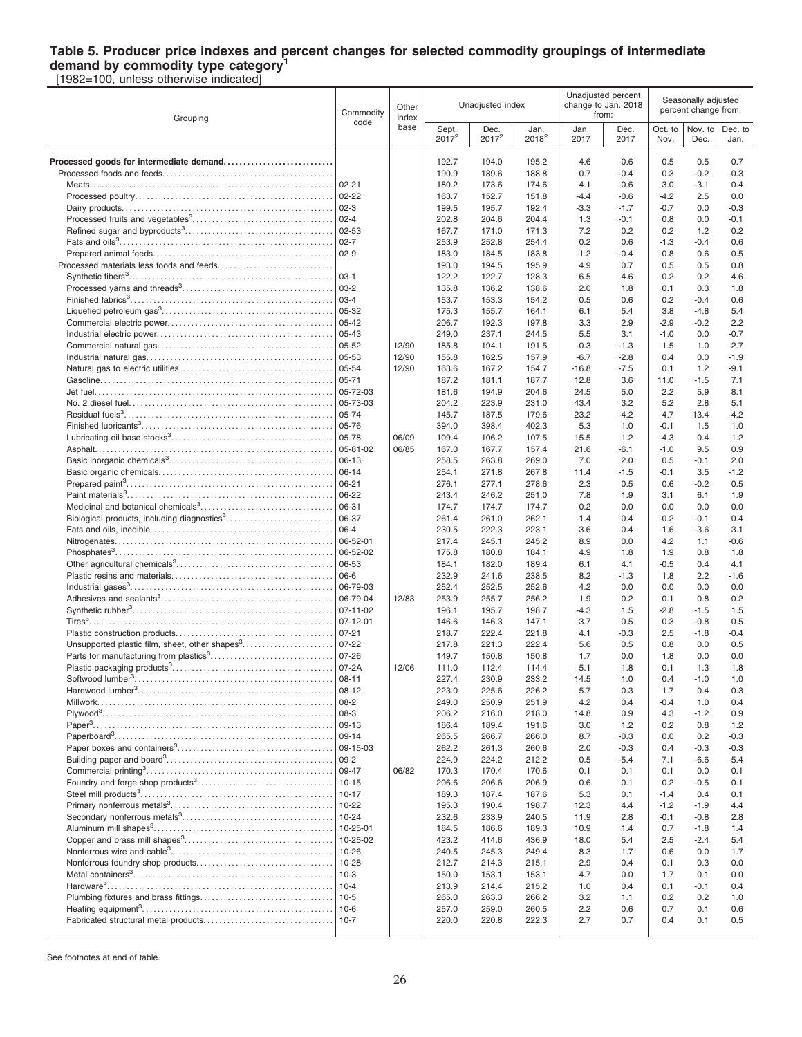### **Table 5. Producer price indexes and percent changes for selected commodity groupings of intermediate demand by commodity type category<sup>1</sup>**

[1982=100, unless otherwise indicated]

| Grouping                                                   | Commodity            | Other<br>index<br>code |                            | Unadjusted index |                  |              | Unadjusted percent<br>change to Jan. 2018<br>from: | Seasonally adjusted<br>percent change from: |                 |                 |
|------------------------------------------------------------|----------------------|------------------------|----------------------------|------------------|------------------|--------------|----------------------------------------------------|---------------------------------------------|-----------------|-----------------|
|                                                            |                      | base                   | Sept.<br>2017 <sup>2</sup> | Dec.<br>$2017^2$ | Jan.<br>$2018^2$ | Jan.<br>2017 | Dec.<br>2017                                       | Oct. to<br>Nov.                             | Nov. to<br>Dec. | Dec. to<br>Jan. |
| Processed goods for intermediate demand                    |                      |                        | 192.7                      | 194.0            | 195.2            | 4.6          | 0.6                                                | 0.5                                         | 0.5             | 0.7             |
|                                                            |                      |                        | 190.9                      | 189.6            | 188.8            | 0.7          | $-0.4$                                             | 0.3                                         | $-0.2$          | $-0.3$          |
|                                                            | $02 - 21$            |                        | 180.2                      | 173.6            | 174.6            | 4.1          | 0.6                                                | 3.0                                         | $-3.1$          | 0.4             |
|                                                            | $02 - 22$            |                        | 163.7                      | 152.7            | 151.8            | $-4.4$       | $-0.6$                                             | $-4.2$                                      | 2.5             | 0.0             |
|                                                            |                      |                        | 199.5                      | 195.7            | 192.4            | $-3.3$       | $-1.7$                                             | $-0.7$                                      | 0.0             | $-0.3$          |
|                                                            |                      |                        | 202.8                      | 204.6            | 204.4            | 1.3          | $-0.1$                                             | 0.8                                         | 0.0             | -0.1            |
|                                                            |                      |                        | 167.7                      | 171.0            | 171.3            | 7.2          | 0.2                                                | 0.2                                         | 1.2             | 0.2             |
|                                                            |                      |                        | 253.9                      | 252.8            | 254.4            | 0.2          | 0.6                                                | $-1.3$                                      | $-0.4$          | 0.6             |
|                                                            |                      |                        | 183.0                      | 184.5            | 183.8            | $-1.2$       | $-0.4$                                             | 0.8                                         | 0.6             | 0.5             |
|                                                            |                      |                        | 193.0                      | 194.5            | 195.9            | 4.9          | 0.7                                                | 0.5                                         | 0.5             | 0.8             |
|                                                            | $03-1$               |                        | 122.2                      | 122.7            | 128.3            | 6.5          | 4.6                                                | 0.2                                         | 0.2             | 4.6             |
|                                                            | $03-2$               |                        | 135.8                      | 136.2            | 138.6            | 2.0          | 1.8                                                | 0.1                                         | 0.3             | 1.8             |
|                                                            | $03-4$               |                        | 153.7                      | 153.3            | 154.2            | 0.5          | 0.6                                                | 0.2                                         | $-0.4$          | 0.6             |
|                                                            | 05-32                |                        | 175.3                      | 155.7            | 164.1            | 6.1          | 5.4                                                | 3.8                                         | $-4.8$          | 5.4             |
|                                                            | $05 - 42$            |                        | 206.7                      | 192.3            | 197.8            | 3.3          | 2.9                                                | $-2.9$                                      | $-0.2$          | 2.2             |
|                                                            | 05-43                |                        | 249.0                      | 237.1            | 244.5            | 5.5          | 3.1                                                | $-1.0$                                      | 0.0             | $-0.7$          |
|                                                            | $05 - 52$            | 12/90                  | 185.8                      | 194.1            | 191.5            | $-0.3$       | $-1.3$                                             | 1.5                                         | 1.0             | $-2.7$          |
|                                                            | 05-53                | 12/90                  | 155.8                      | 162.5            | 157.9            | $-6.7$       | $-2.8$                                             | 0.4                                         | 0.0             | $-1.9$          |
|                                                            | 05-54                | 12/90                  | 163.6                      | 167.2            | 154.7            | $-16.8$      | $-7.5$                                             | 0.1                                         | 1.2             | $-9.1$          |
|                                                            | 05-72-03             |                        | 187.2<br>181.6             | 181.1<br>194.9   | 187.7<br>204.6   | 12.8<br>24.5 | 3.6<br>5.0                                         | 11.0<br>2.2                                 | $-1.5$<br>5.9   | 7.1<br>8.1      |
|                                                            | 05-73-03             |                        | 204.2                      | 223.9            | 231.0            | 43.4         | 3.2                                                | 5.2                                         | 2.8             | 5.1             |
|                                                            | 05-74                |                        | 145.7                      | 187.5            | 179.6            | 23.2         | $-4.2$                                             | 4.7                                         | 13.4            | $-4.2$          |
|                                                            | 05-76                |                        | 394.0                      | 398.4            | 402.3            | 5.3          | 1.0                                                | $-0.1$                                      | 1.5             | 1.0             |
|                                                            | 05-78                | 06/09                  | 109.4                      | 106.2            | 107.5            | 15.5         | 1.2                                                | $-4.3$                                      | 0.4             | 1.2             |
|                                                            | 05-81-02             | 06/85                  | 167.0                      | 167.7            | 157.4            | 21.6         | $-6.1$                                             | $-1.0$                                      | 9.5             | 0.9             |
|                                                            | 06-13                |                        | 258.5                      | 263.8            | 269.0            | 7.0          | 2.0                                                | 0.5                                         | $-0.1$          | 2.0             |
|                                                            | 06-14                |                        | 254.1                      | 271.8            | 267.8            | 11.4         | $-1.5$                                             | $-0.1$                                      | 3.5             | $-1.2$          |
|                                                            | 06-21                |                        | 276.1                      | 277.1            | 278.6            | 2.3          | 0.5                                                | 0.6                                         | $-0.2$          | 0.5             |
|                                                            | 06-22                |                        | 243.4                      | 246.2            | 251.0            | 7.8          | 1.9                                                | 3.1                                         | 6.1             | 1.9             |
|                                                            | 06-31                |                        | 174.7                      | 174.7            | 174.7            | 0.2          | 0.0                                                | 0.0                                         | 0.0             | 0.0             |
| Biological products, including diagnostics <sup>3</sup>    | 06-37                |                        | 261.4                      | 261.0            | 262.1            | $-1.4$       | 0.4                                                | $-0.2$                                      | $-0.1$          | 0.4             |
|                                                            | 06-4                 |                        | 230.5                      | 222.3            | 223.1            | $-3.6$       | 0.4                                                | $-1.6$                                      | $-3.6$          | 3.1             |
|                                                            | 06-52-01             |                        | 217.4                      | 245.1            | 245.2            | 8.9          | 0.0                                                | 4.2                                         | 1.1             | $-0.6$          |
|                                                            |                      |                        | 175.8                      | 180.8            | 184.1            | 4.9          | 1.8                                                | 1.9                                         | 0.8             | 1.8             |
|                                                            | 06-53                |                        | 184.1                      | 182.0            | 189.4            | 6.1          | 4.1                                                | $-0.5$                                      | 0.4             | 4.1             |
|                                                            | 06-6                 |                        | 232.9                      | 241.6            | 238.5            | 8.2          | $-1.3$                                             | 1.8                                         | 2.2             | $-1.6$          |
|                                                            | 06-79-03<br>06-79-04 | 12/83                  | 252.4                      | 252.5            | 252.6<br>256.2   | 4.2<br>1.9   | 0.0<br>0.2                                         | 0.0<br>0.1                                  | 0.0<br>0.8      | 0.0<br>0.2      |
|                                                            | $07 - 11 - 02$       |                        | 253.9<br>196.1             | 255.7<br>195.7   | 198.7            | $-4.3$       | 1.5                                                | $-2.8$                                      | $-1.5$          | 1.5             |
|                                                            | 07-12-01             |                        | 146.6                      | 146.3            | 147.1            | 3.7          | 0.5                                                | 0.3                                         | $-0.8$          | 0.5             |
|                                                            | $07 - 21$            |                        | 218.7                      | 222.4            | 221.8            | 4.1          | $-0.3$                                             | 2.5                                         | $-1.8$          | $-0.4$          |
| Unsupported plastic film, sheet, other shapes <sup>3</sup> | $07 - 22$            |                        | 217.8                      | 221.3            | 222.4            | 5.6          | 0.5                                                | 0.8                                         | 0.0             | 0.5             |
|                                                            | $07 - 26$            |                        | 149.7                      | 150.8            | 150.8            | 1.7          | 0.0                                                | 1.8                                         | 0.0             | 0.0             |
|                                                            | 07-2A                | 12/06                  | 111.0                      | 112.4            | 114.4            | 5.1          | 1.8                                                | 0.1                                         | 1.3             | 1.8             |
| Softwood lumber <sup>3</sup>                               | $08 - 11$            |                        | 227.4                      | 230.9            | 233.2            | 14.5         | 1.0                                                | 0.4                                         | $-1.0$          | 1.0             |
|                                                            | 08-12                |                        | 223.0                      | 225.6            | 226.2            | 5.7          | 0.3                                                | 1.7                                         | 0.4             | 0.3             |
|                                                            | $08-2$               |                        | 249.0                      | 250.9            | 251.9            | 4.2          | 0.4                                                | $-0.4$                                      | 1.0             | 0.4             |
|                                                            |                      |                        | 206.2                      | 216.0            | 218.0            | 14.8         | 0.9                                                | 4.3                                         | $-1.2$          | 0.9             |
|                                                            |                      |                        | 186.4                      | 189.4            | 191.6            | 3.0          | 1.2                                                | 0.2                                         | 0.8             | 1.2             |
|                                                            |                      |                        | 265.5                      | 266.7            | 266.0            | 8.7          | $-0.3$                                             | 0.0                                         | 0.2             | $-0.3$          |
|                                                            | 09-15-03             |                        | 262.2                      | 261.3            | 260.6            | 2.0          | $-0.3$                                             | 0.4                                         | $-0.3$          | $-0.3$          |
|                                                            | $ 09-2 $             |                        | 224.9                      | 224.2            | 212.2            | 0.5          | $-5.4$                                             | 7.1                                         | $-6.6$          | $-5.4$          |
|                                                            | $09-47$<br>$10 - 15$ | 06/82                  | 170.3<br>206.6             | 170.4<br>206.6   | 170.6<br>206.9   | 0.1<br>0.6   | 0.1<br>0.1                                         | 0.1<br>0.2                                  | 0.0<br>$-0.5$   | 0.1<br>0.1      |
|                                                            |                      |                        | 189.3                      | 187.4            | 187.6            | 5.3          | 0.1                                                | $-1.4$                                      | 0.4             | 0.1             |
|                                                            |                      |                        | 195.3                      | 190.4            | 198.7            | 12.3         | 4.4                                                | $-1.2$                                      | $-1.9$          | 4.4             |
|                                                            |                      |                        | 232.6                      | 233.9            | 240.5            | 11.9         | 2.8                                                | $-0.1$                                      | $-0.8$          | 2.8             |
|                                                            |                      |                        | 184.5                      | 186.6            | 189.3            | 10.9         | 1.4                                                | 0.7                                         | $-1.8$          | 1.4             |
|                                                            |                      |                        | 423.2                      | 414.6            | 436.9            | 18.0         | 5.4                                                | 2.5                                         | $-2.4$          | 5.4             |
|                                                            |                      |                        | 240.5                      | 245.3            | 249.4            | 8.3          | 1.7                                                | 0.6                                         | 0.0             | 1.7             |
|                                                            |                      |                        | 212.7                      | 214.3            | 215.1            | 2.9          | 0.4                                                | 0.1                                         | 0.3             | 0.0             |
|                                                            |                      |                        | 150.0                      | 153.1            | 153.1            | 4.7          | 0.0                                                | 1.7                                         | 0.1             | 0.0             |
|                                                            |                      |                        | 213.9                      | 214.4            | 215.2            | 1.0          | 0.4                                                | 0.1                                         | $-0.1$          | 0.4             |
|                                                            |                      |                        | 265.0                      | 263.3            | 266.2            | 3.2          | 1.1                                                | 0.2                                         | 0.2             | 1.0             |
|                                                            |                      |                        | 257.0                      | 259.0            | 260.5            | 2.2          | 0.6                                                | 0.7                                         | 0.1             | 0.6             |
|                                                            |                      |                        | 220.0                      | 220.8            | 222.3            | 2.7          | 0.7                                                | 0.4                                         | 0.1             | 0.5             |
|                                                            |                      |                        |                            |                  |                  |              |                                                    |                                             |                 |                 |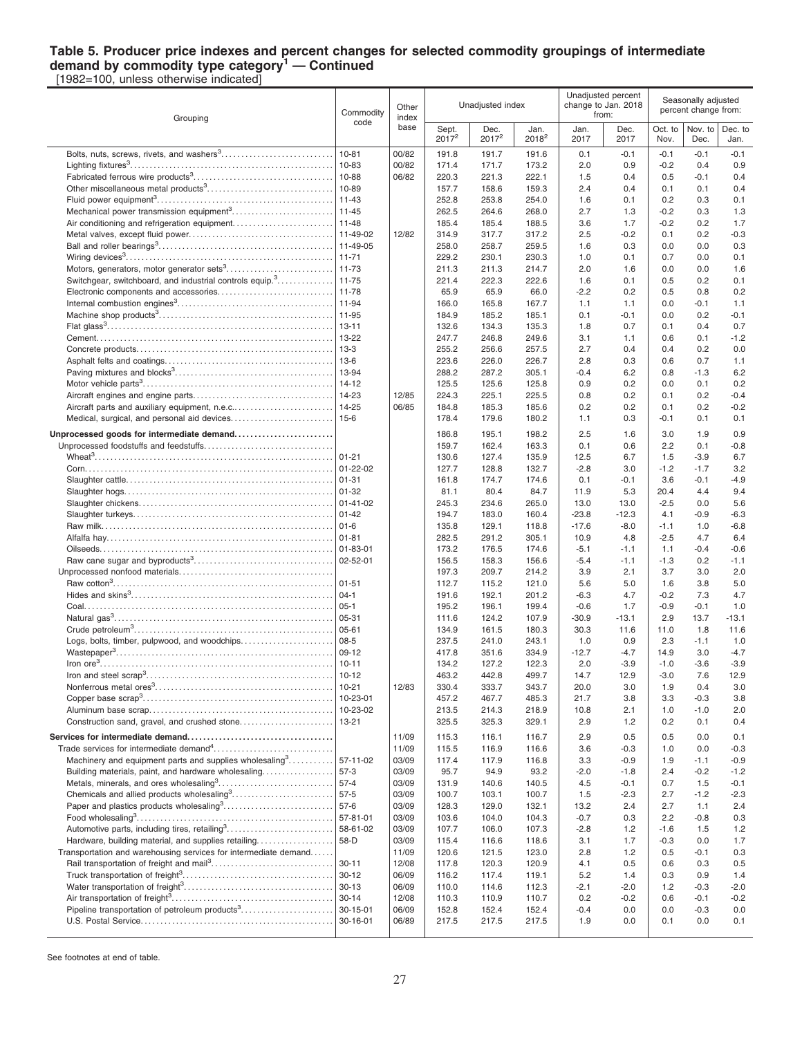#### **Table 5. Producer price indexes and percent changes for selected commodity groupings of intermediate demand by commodity type category<sup>1</sup> — Continued** [1982=100, unless otherwise indicated]

Grouping Commodity code **Other** index base Unadiusted index Unadjusted percent change to Jan. 2018 from: Seasonally adjusted percent change from: **Sept.** 2017<sup>2</sup> Dec. 2017<sup>2</sup> Jan. 2018<sup>2</sup> Jan. 2017 Dec. 2017 Oct. to Nov. Nov. to Dec. Dec. to Jan. Bolts, nuts, screws, rivets, and washers<sup>3</sup>……………………………. | 10-81 | 00/82 | 191.8 191.7 191.6 | 0.1 -0.1 -0.1 -0.1 -0.1 -0.1 00/82 | 171.4 171.7 173.2 | 2.0 0.9 | -0.2 0.4 0.9 | -0.2 0.4 0.9 | -0.2 0.4 0.9 | -0.2 0.4 0.9 | -0.2 0.4 0.9 Fabricated ferrous wire products<sup>3</sup> . . . . . . . . . . . . . . . . . . . . . . . . . . . . . . . . . . . 10-88 06/82 220.3 221.3 222.1 1.5 0.4 0.5 -0.1 0.4 Other miscellaneous metal products<sup>3</sup> . . . . . . . . . . . . . . . . . . . . . . . . . . . . . . . . 10-89 157.7 158.6 159.3 2.4 0.4 0.1 0.1 0.4 Fluid power equipment<sup>3</sup> . . . . . . . . . . . . . . . . . . . . . . . . . . . . . . . . . . . . . . . . . . . . . 11-43 252.8 253.8 254.0 1.6 0.1 0.2 0.3 0.1 Mechanical power transmission equipment<sup>3</sup> . . . . . . . . . . . . . . . . . . . . . . . . . . 11-45 262.5 264.6 268.0 2.7 1.3 -0.2 0.3 1.3 Air conditioning and refrigeration equipment. . . . . . . . . . . . . . . . . . . . . . . . . 11-48 185.4 185.4 188.5 3.6 1.7 -0.2 0.2 1.7 Metal valves, except fluid power. . . . . . . . . . . . . . . . . . . . . . . . . . . . . . . . . . . . . 11-49-02 12/82 314.9 317.7 317.2 2.5 -0.2 0.1 0.2 -0.3 Ball and roller bearings<sup>3</sup> . . . . . . . . . . . . . . . . . . . . . . . . . . . . . . . . . . . . . . . . . . . . 11-49-05 258.0 258.7 259.5 1.6 0.3 0.0 0.0 0.3 Wiring devices<sup>3</sup> . . . . . . . . . . . . . . . . . . . . . . . . . . . . . . . . . . . . . . . . . . . . . . . . . . . . . 11-71 229.2 230.1 230.3 1.0 0.1 0.7 0.0 0.1 Motors, generators, motor generator sets<sup>3</sup> . . . . . . . . . . . . . . . . . . . . . . . . . . . 11-73 211.3 211.3 214.7 2.0 1.6 0.0 0.0 1.6 Switchgear, switchboard, and industrial controls equip.<sup>3</sup>. . . . . . . . . . . . . . . 11-75 221.4 222.3 222.6 1.6 0.1 0.5 0.2 0.1 Electronic components and accessories. . . . . . . . . . . . . . . . . . . . . . . . . . . . . 11-78 65.9 65.9 66.0 -2.2 0.2 0.5 0.8 0.2 Internal combustion engines<sup>3</sup> . . . . . . . . . . . . . . . . . . . . . . . . . . . . . . . . . . . . . . . . 11-94 166.0 165.8 167.7 1.1 1.1 0.0 -0.1 1.1 Machine shop products<sup>3</sup> . . . . . . . . . . . . . . . . . . . . . . . . . . . . . . . . . . . . . . . . . . . . 11-95 184.9 185.2 185.1 0.1 -0.1 0.0 0.2 -0.1 Flat glass<sup>3</sup> . . . . . . . . . . . . . . . . . . . . . . . . . . . . . . . . . . . . . . . . . . . . . . . . . . . . . . . . . 13-11 132.6 134.3 135.3 1.8 0.7 0.1 0.4 0.7 Cement. . . . . . . . . . . . . . . . . . . . . . . . . . . . . . . . . . . . . . . . . . . . . . . . . . . . . . . . . . . . 13-22 247.7 246.8 249.6 3.1 1.1 0.6 0.1 -1.2 Concrete products. . . . . . . . . . . . . . . . . . . . . . . . . . . . . . . . . . . . . . . . . . . . . . . . . . 13-3 255.2 256.6 257.5 2.7 0.4 0.4 0.2 0.0 Asphalt felts and coatings. . . . . . . . . . . . . . . . . . . . . . . . . . . . . . . . . . . . . . . . . . . 13-6 223.6 226.0 226.7 2.8 0.3 0.6 0.7 1.1 Paving mixtures and blocks<sup>3</sup> . . . . . . . . . . . . . . . . . . . . . . . . . . . . . . . . . . . . . . . . 13-94 288.2 287.2 305.1 -0.4 6.2 0.8 -1.3 6.2 Motor vehicle parts<sup>3</sup> . . . . . . . . . . . . . . . . . . . . . . . . . . . . . . . . . . . . . . . . . . . . . . . . 14-12 125.5 125.6 125.8 0.9 0.2 0.0 0.1 0.2 Aircraft engines and engine parts. . . . . . . . . . . . . . . . . . . . . . . . . . . . . . . . . . . . 14-23 12/85 224.3 225.1 225.5 0.8 0.2 0.1 0.2 -0.4 Aircraft parts and auxiliary equipment, n.e.c.. . . . . . . . . . . . . . . . . . . . . . . . . 14-25 06/85 184.8 185.3 185.6 0.2 0.2 0.1 0.2 -0.2 Medical, surgical, and personal aid devices. . . . . . . . . . . . . . . . . . . . . . . . . . 15-6 178.4 179.6 180.2 1.1 0.3 -0.1 0.1 0.1 **Unprocessed goods for intermediate demand. . . . . . . . . . . . . . . . . . . . . . . . .** 186.8 195.1 198.2 2.5 1.6 3.0 1.9 0.9 Unprocessed foodstuffs and feedstuffs. . . . . . . . . . . . . . . . . . . . . . . . . . . . . . . . . 159.7 162.4 163.3 0.1 0.6 2.2 0.1 -0.8 Wheat<sup>3</sup> . . . . . . . . . . . . . . . . . . . . . . . . . . . . . . . . . . . . . . . . . . . . . . . . . . . . . . . . . . . . . 01-21 130.6 127.4 135.9 12.5 6.7 1.5 -3.9 6.7  $Com... \ \, \ldots \ \, \ldots \ \, \ldots \ \, \ldots \ \, \ldots \ \, \ldots \ \, \ldots \ \, \ldots \ \, \ldots \ \, \ldots \ \, \ldots \ \, \ldots \ \, \ldots \ \, \ldots \ \, \ldots \ \, \ldots \ \, \ldots \ \, \ldots \ \, \ldots \ \, \ldots \ \, \ldots \ \, \ldots \ \, \ldots \ \, \ldots \ \, \ldots \ \, \ldots \ \, \ldots \ \, \ldots \ \, \ldots \ \, \ldots \ \, \ldots \$ Slaughter cattle. . . . . . . . . . . . . . . . . . . . . . . . . . . . . . . . . . . . . . . . . . . . . . . . . . . . . 01-31 161.8 174.7 174.6 0.1 -0.1 3.6 -0.1 -4.9 Slaughter hogs. . . . . . . . . . . . . . . . . . . . . . . . . . . . . . . . . . . . . . . . . . . . . . . . . . . . . 01-32 81.1 80.4 84.7 11.9 5.3 20.4 4.4 9.4 Slaughter chickens. . . . . . . . . . . . . . . . . . . . . . . . . . . . . . . . . . . . . . . . . . . . . . . . . 01-41-02 245.3 234.6 265.0 13.0 13.0 -2.5 0.0 5.6 Slaughter turkeys. . . . . . . . . . . . . . . . . . . . . . . . . . . . . . . . . . . . . . . . . . . . . . . . . . . 01-42 194.7 183.0 160.4 -23.8 -12.3 4.1 -0.9 -6.3 Raw milk. . . . . . . . . . . . . . . . . . . . . . . . . . . . . . . . . . . . . . . . . . . . . . . . . . . . . . . . . . . 01-6 135.8 129.1 118.8 -17.6 -8.0 -1.1 1.0 -6.8 Alfalfa hay. . . . . . . . . . . . . . . . . . . . . . . . . . . . . . . . . . . . . . . . . . . . . . . . . . . . . . . . . . 01-81 282.5 291.2 305.1 10.9 4.8 -2.5 4.7 6.4 Oilseeds. . . . . . . . . . . . . . . . . . . . . . . . . . . . . . . . . . . . . . . . . . . . . . . . . . . . . . . . . . . 01-83-01 173.2 176.5 174.6 -5.1 -1.1 1.1 -0.4 -0.6 Raw cane sugar and byproducts<sup>3</sup> . . . . . . . . . . . . . . . . . . . . . . . . . . . . . . . . . . . 02-52-01 156.5 158.3 156.6 -5.4 -1.1 -1.3 0.2 -1.1 Unprocessed nonfood materials. . . . . . . . . . . . . . . . . . . . . . . . . . . . . . . . . . . . . . . 197.3 209.7 214.2 3.9 2.1 3.7 3.0 2.0 Raw cotton<sup>3</sup> . . . . . . . . . . . . . . . . . . . . . . . . . . . . . . . . . . . . . . . . . . . . . . . . . . . . . . . . 01-51 112.7 115.2 121.0 5.6 5.0 1.6 3.8 5.0 Hides and skins<sup>3</sup> . . . . . . . . . . . . . . . . . . . . . . . . . . . . . . . . . . . . . . . . . . . . . . . . . . . 04-1 191.6 192.1 201.2 -6.3 4.7 -0.2 7.3 4.7 Coal. . . . . . . . . . . . . . . . . . . . . . . . . . . . . . . . . . . . . . . . . . . . . . . . . . . . . . . . . . . . . . . 05-1 195.2 196.1 199.4 -0.6 1.7 -0.9 -0.1 1.0 Natural gas<sup>3</sup> . . . . . . . . . . . . . . . . . . . . . . . . . . . . . . . . . . . . . . . . . . . . . . . . . . . . . . . . 05-31 111.6 124.2 107.9 -30.9 -13.1 2.9 13.7 -13.1 Crude petroleum<sup>3</sup> . . . . . . . . . . . . . . . . . . . . . . . . . . . . . . . . . . . . . . . . . . . . . . . . . . . 05-61 134.9 161.5 180.3 30.3 11.6 11.0 1.8 11.6 Logs, bolts, timber, pulpwood, and woodchips. . . . . . . . . . . . . . . . . . . . . . . 08-5 237.5 241.0 243.1 1.0 0.9 2.3 -1.1 1.0 Wastepaper<sup>3</sup> . . . . . . . . . . . . . . . . . . . . . . . . . . . . . . . . . . . . . . . . . . . . . . . . . . . . . . . 09-12 417.8 351.6 334.9 -12.7 -4.7 14.9 3.0 -4.7 Iron ore<sup>3</sup> . . . . . . . . . . . . . . . . . . . . . . . . . . . . . . . . . . . . . . . . . . . . . . . . . . . . . . . . . . . 10-11 134.2 127.2 122.3 2.0 -3.9 -1.0 -3.6 -3.9 Iron and steel scrap<sup>3</sup> . . . . . . . . . . . . . . . . . . . . . . . . . . . . . . . . . . . . . . . . . . . . . . . 10-12 463.2 442.8 499.7 14.7 12.9 -3.0 7.6 12.9 Nonferrous metal ores<sup>3</sup> . . . . . . . . . . . . . . . . . . . . . . . . . . . . . . . . . . . . . . . . . . . . . 10-21 12/83 330.4 333.7 343.7 20.0 3.0 1.9 0.4 3.0 Copper base scrap<sup>3</sup> . . . . . . . . . . . . . . . . . . . . . . . . . . . . . . . . . . . . . . . . . . . . . . . . 10-23-01 457.2 467.7 485.3 21.7 3.8 3.3 -0.3 3.8 Aluminum base scrap. . . . . . . . . . . . . . . . . . . . . . . . . . . . . . . . . . . . . . . . . . . . . . . 10-23-02 213.5 214.3 218.9 10.8 2.1 1.0 -1.0 2.0 Construction sand, gravel, and crushed stone. . . . . . . . . . . . . . . . . . . . . . . . 13-21 325.5 325.3 329.1 2.9 1.2 0.2 0.1 0.4 **Services for intermediate demand. . . . . . . . . . . . . . . . . . . . . . . . . . . . . . . . . . . . .** 11/09 115.3 116.1 116.7 2.9 0.5 0.5 0.0 0.1 Trade services for intermediate demand<sup>4</sup>..............................| | 11/09 | 115.5 116.9 | 116.6 | 3.6 -0.3 | 1.0 0.0 -0.3 Machinery and equipment parts and supplies wholesaling  $3, 3, 3, 4, 5, 6$ . . . . . . . . . . . . 57-11-02 | 03/09 | 117.4 117.9 116.8 | 3.3 -0.9 | 1.9 -1.1 -0.9 Building materials, paint, and hardware wholesaling. . . . . . . . . . . . . . . . . . 57-3 03/09 95.7 94.9 93.2 -2.0 -1.8 2.4 -0.2 -1.2 Metals, minerals, and ores wholesaling<sup>3</sup> . . . . . . . . . . . . . . . . . . . . . . . . . . . . . 57-4 03/09 131.9 140.6 140.5 4.5 -0.1 0.7 1.5 -0.1 Chemicals and allied products wholesaling<sup>3</sup> . . . . . . . . . . . . . . . . . . . . . . . . . . 57-5 03/09 100.7 103.1 100.7 1.5 -2.3 2.7 -1.2 -2.3 Paper and plastics products wholesaling<sup>3</sup> . . . . . . . . . . . . . . . . . . . . . . . . . . . . 57-6 03/09 128.3 129.0 132.1 13.2 2.4 2.7 1.1 2.4 Food wholesaling<sup>3</sup> . . . . . . . . . . . . . . . . . . . . . . . . . . . . . . . . . . . . . . . . . . . . . . . . . . 57-81-01 03/09 103.6 104.0 104.3 -0.7 0.3 2.2 -0.8 0.3 Automotive parts, including tires, retailing<sup>3</sup>.................................. 58-61-02 | 03/09 | 107.7 106.0 107.3 | -2.8 1.2 | -1.6 1.5 1.2 Hardware, building material, and supplies retailing. . . . . . . . . . . . . . . . . . . 58-D 03/09 115.4 116.6 118.6 3.1 1.7 -0.3 0.0 1.7 Transportation and warehousing services for intermediate demand......  $\vert$  11/09 | 120.6 121.5 123.0 | 2.8 1.2 | 0.5 -0.1 0.3 Rail transportation of freight and mail<sup>3</sup> . . . . . . . . . . . . . . . . . . . . . . . . . . . . . . . 30-11 12/08 117.8 120.3 120.9 4.1 0.5 0.6 0.3 0.5 Truck transportation of freight<sup>3</sup> . . . . . . . . . . . . . . . . . . . . . . . . . . . . . . . . . . . . . . 30-12 06/09 116.2 117.4 119.1 5.2 1.4 0.3 0.9 1.4 Water transportation of freight<sup>3</sup> . . . . . . . . . . . . . . . . . . . . . . . . . . . . . . . . . . . . . . 30-13 06/09 110.0 114.6 112.3 -2.1 -2.0 1.2 -0.3 -2.0 Air transportation of freight<sup>3</sup> . . . . . . . . . . . . . . . . . . . . . . . . . . . . . . . . . . . . . . . . . 30-14 12/08 110.3 110.9 110.7 0.2 -0.2 0.6 -0.1 -0.2 Pipeline transportation of petroleum products<sup>3</sup>................................. 30-15-01 | 06/09 | 152.8 152.4 152.4 | -0.4 0.0 | 0.0 -0.3 0.0 U.S. Postal Service. . . . . . . . . . . . . . . . . . . . . . . . . . . . . . . . . . . . . . . . . . . . . . . . . 30-16-01 06/89 217.5 217.5 217.5 1.9 0.0 0.1 0.0 0.1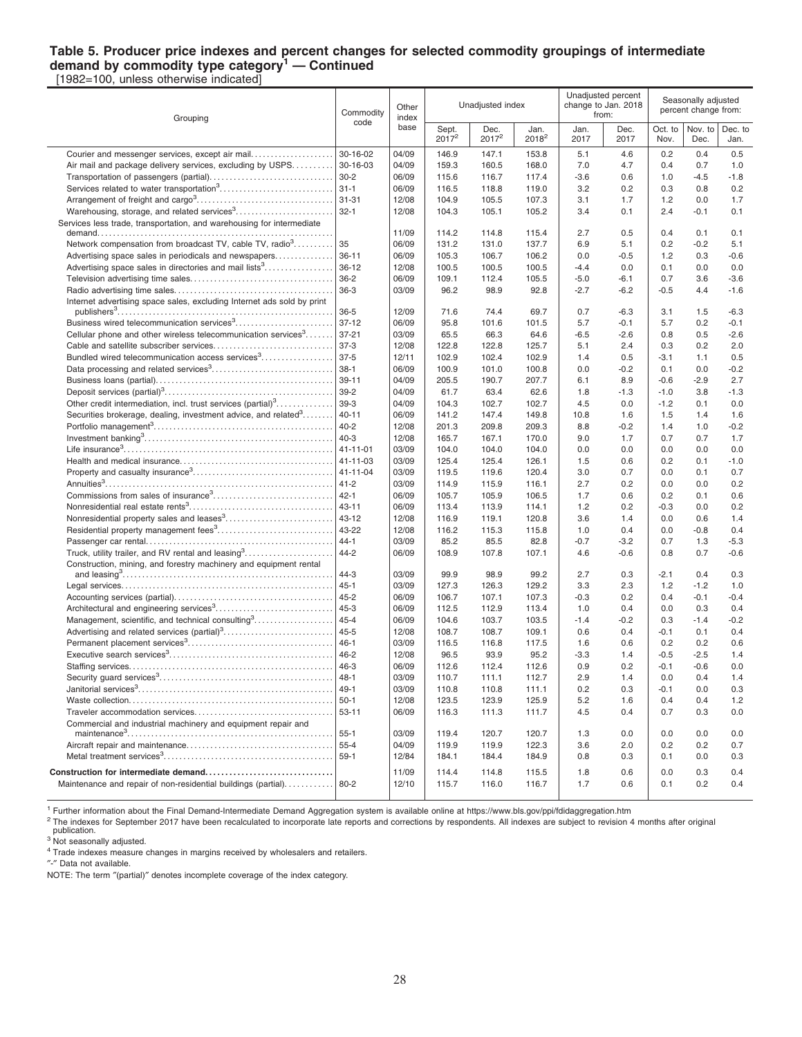#### **Table 5. Producer price indexes and percent changes for selected commodity groupings of intermediate demand by commodity type category<sup>1</sup> — Continued** [1982=100, unless otherwise indicated]

Grouping Commodity code **Other** index base Unadiusted index Unadjusted percent change to Jan. 2018 from: Seasonally adjusted percent change from: **Sept.** 2017<sup>2</sup> Dec. 2017<sup>2</sup> Jan. 2018<sup>2</sup> Jan. 2017 Dec. 2017 Oct. to Nov. Nov. to Dec. Dec. to Jan. Courier and messenger services, except air mail. . . . . . . . . . . . . . . . . . . . . 30-16-02 04/09 146.9 147.1 153.8 5.1 4.6 0.2 0.4 0.5 Air mail and package delivery services, excluding by USPS. . . . . . . . . . 30-16-03 04/09 159.3 160.5 168.0 7.0 4.7 0.4 0.7 1.0 Transportation of passengers (partial). . . . . . . . . . . . . . . . . . . . . . . . . . . . . . . 30-2 06/09 115.6 116.7 117.4 -3.6 0.6 1.0 -4.5 -1.8 Services related to water transportation<sup>3</sup> . . . . . . . . . . . . . . . . . . . . . . . . . . . . . 31-1 06/09 116.5 118.8 119.0 3.2 0.2 0.3 0.8 0.2 Arrangement of freight and cargo<sup>3</sup> . . . . . . . . . . . . . . . . . . . . . . . . . . . . . . . . . . . 31-31 12/08 104.9 105.5 107.3 3.1 1.7 1.2 0.0 1.7 Warehousing, storage, and related services<sup>3</sup> . . . . . . . . . . . . . . . . . . . . . . . . . 32-1 12/08 104.3 105.1 105.2 3.4 0.1 2.4 -0.1 0.1 Services less trade, transportation, and warehousing for intermediate demand. . . . . . . . . . . . . . . . . . . . . . . . . . . . . . . . . . . . . . . . . . . . . . . . . . . . . . . . . . . . 11/09 114.2 114.8 115.4 2.7 0.5 0.4 0.1 0.1 Network compensation from broadcast TV, cable TV, radio<sup>3</sup>......... . . . . . . . . . 35 |06/09 | 131.2 131.0 137.7 | 6.9 5.1 | 0.2 -0.2 5.1 Advertising space sales in periodicals and newspapers. . . . . . . . . . . . . . . 36-11 06/09 105.3 106.7 106.2 0.0 -0.5 1.2 0.3 -0.6 Advertising space sales in directories and mail lists<sup>3</sup>.................| 36-12 | 12/08 | 100.5 100.5 100.5 | -4.4 0.0 | 0.1 0.0 0.0 Television advertising time sales. . . . . . . . . . . . . . . . . . . . . . . . . . . . . . . . . . . . 36-2 06/09 109.1 112.4 105.5 -5.0 -6.1 0.7 3.6 -3.6 Radio advertising time sales. . . . . . . . . . . . . . . . . . . . . . . . . . . . . . . . . . . . . . . . 36-3 03/09 96.2 98.9 92.8 -2.7 -6.2 -0.5 4.4 -1.6 Internet advertising space sales, excluding Internet ads sold by print publishers<sup>3</sup> . . . . . . . . . . . . . . . . . . . . . . . . . . . . . . . . . . . . . . . . . . . . . . . . . . . . . . . 36-5 12/09 71.6 74.4 69.7 0.7 -6.3 3.1 1.5 -6.3 Business wired telecommunication services<sup>3</sup> . . . . . . . . . . . . . . . . . . . . . . . . . 37-12 06/09 95.8 101.6 101.5 5.7 -0.1 5.7 0.2 -0.1 Cellular phone and other wireless telecommunication services $3$ ...... .......|37-21 |03/09 | 65.5 66.3 64.6 | -6.5 -2.6 | 0.8 0.5 -2.6 Cable and satellite subscriber services. . . . . . . . . . . . . . . . . . . . . . . . . . . . . . 37-3 12/08 122.8 122.8 125.7 5.1 2.4 0.3 0.2 2.0 Bundled wired telecommunication access services<sup>3</sup> . . . . . . . . . . . . . 37-5 | 12/11 | 102.9 102.4 102.9 | 1.4 0.5 | -3.1 1.1 0.5 Data processing and related services<sup>3</sup> . . . . . . . . . . . . . . . . . . . . . . . . . . . . . . . 38-1 06/09 100.9 101.0 100.8 0.0 -0.2 0.1 0.0 -0.2 Business loans (partial). . . . . . . . . . . . . . . . . . . . . . . . . . . . . . . . . . . . . . . . . . . . . 39-11 04/09 205.5 190.7 207.7 6.1 8.9 -0.6 -2.9 2.7 Deposit services (partial)<sup>3</sup>………………………………………………] 39-2 | 04/09 | 61.7 63.4 62.6 | 1.8 -1.3 | -1.0 3.8 -1.3 Other credit intermediation, incl. trust services (partial)<sup>3</sup>..............| 39-3 | 04/09 | 104.3 102.7 | 102.7 | 4.5 0.0 | -1.2 0.1 0.0 Securities brokerage, dealing, investment advice, and related<sup>3</sup>....... ........|40-11 |06/09 | 141.2 147.4 149.8 | 10.8 1.6 | 1.5 1.4 1.6 Portfolio management<sup>3</sup> . . . . . . . . . . . . . . . . . . . . . . . . . . . . . . . . . . . . . . . . . . . . . . 40-2 12/08 201.3 209.8 209.3 8.8 -0.2 1.4 1.0 -0.2 Investment banking<sup>3</sup> . . . . . . . . . . . . . . . . . . . . . . . . . . . . . . . . . . . . . . . . . . . . . . . . 40-3 12/08 165.7 167.1 170.0 9.0 1.7 0.7 0.7 1.7 Life insurance<sup>3</sup> . . . . . . . . . . . . . . . . . . . . . . . . . . . . . . . . . . . . . . . . . . . . . . . . . . . . . 41-11-01 03/09 104.0 104.0 104.0 0.0 0.0 0.0 0.0 0.0 Health and medical insurance. . . . . . . . . . . . . . . . . . . . . . . . . . . . . . . . . . . . . . . 41-11-03 03/09 125.4 125.4 126.1 1.5 0.6 0.2 0.1 -1.0 Property and casualty insurance<sup>3</sup> . . . . . . . . . . . . . . . . . . . . . . . . . . . . . . . . . . . . 41-11-04 03/09 119.5 119.6 120.4 3.0 0.7 0.0 0.1 0.7 Annuities<sup>3</sup> . . . . . . . . . . . . . . . . . . . . . . . . . . . . . . . . . . . . . . . . . . . . . . . . . . . . . . . . . . 41-2 03/09 114.9 115.9 116.1 2.7 0.2 0.0 0.0 0.2 Commissions from sales of insurance<sup>3</sup> . . . . . . . . . . . . . . . . . . . . . . . . . . . . . . 42-1 06/09 105.7 105.9 106.5 1.7 0.6 0.2 0.1 0.6 Nonresidential real estate rents<sup>3</sup> . . . . . . . . . . . . . . . . . . . . . . . . . . . . . . . . . . . . . 43-11 06/09 113.4 113.9 114.1 1.2 0.2 -0.3 0.0 0.2 Nonresidential property sales and leases<sup>3</sup> . . . . . . . . . . . . . . . . . . . . . . . . . . . 43-12 12/08 116.9 119.1 120.8 3.6 1.4 0.0 0.6 1.4 Residential property management fees<sup>3</sup> . . . . . . . . . . . . . . . . . . . . . . . . . . . . . 43-22 12/08 116.2 115.3 115.8 1.0 0.4 0.0 -0.8 0.4 Passenger car rental. . . . . . . . . . . . . . . . . . . . . . . . . . . . . . . . . . . . . . . . . . . . . . . . 44-1 03/09 85.2 85.5 82.8 -0.7 -3.2 0.7 1.3 -5.3 Truck, utility trailer, and RV rental and leasing  $3, 3, 3, 4, 5, 6, 6$ . . . . . . . . . . . . . . . . | 44-2 | 06/09 | 108.9 107.8 107.1 | 4.6 -0.6 | 0.8 0.7 -0.6 Construction, mining, and forestry machinery and equipment rental and leasing<sup>3</sup> . . . . . . . . . . . . . . . . . . . . . . . . . . . . . . . . . . . . . . . . . . . . . . . . . . . . . . 44-3 03/09 99.9 98.9 99.2 2.7 0.3 -2.1 0.4 0.3 Legal services. . . . . . . . . . . . . . . . . . . . . . . . . . . . . . . . . . . . . . . . . . . . . . . . . . . . . . 45-1 03/09 127.3 126.3 129.2 3.3 2.3 1.2 -1.2 1.0 Accounting services (partial). . . . . . . . . . . . . . . . . . . . . . . . . . . . . . . . . . . . . . . . 45-2 06/09 106.7 107.1 107.3 -0.3 0.2 0.4 -0.1 -0.4 Architectural and engineering services<sup>3</sup> . . . . . . . . . . . . . . . . . . . . . . . . . . . . . . 45-3 06/09 112.5 112.9 113.4 1.0 0.4 0.0 0.3 0.4 Management, scientific, and technical consulting<sup>3</sup> . . . . . . . . . . . . . . . . . . . . 45-4 06/09 104.6 103.7 103.5 -1.4 -0.2 0.3 -1.4 -0.2 Advertising and related services (partial)<sup>3</sup> . . . . . . . . . . . . . . . . . . . . . . . . . . . . 45-5 12/08 108.7 108.7 109.1 0.6 0.4 -0.1 0.1 0.4 Permanent placement services<sup>3</sup> . . . . . . . . . . . . . . . . . . . . . . . . . . . . . . . . . . . . . 46-1 03/09 116.5 116.8 117.5 1.6 0.6 0.2 0.2 0.6 Executive search services<sup>3</sup> . . . . . . . . . . . . . . . . . . . . . . . . . . . . . . . . . . . . . . . . . . 46-2 12/08 96.5 93.9 95.2 -3.3 1.4 -0.5 -2.5 1.4 Staffing services. . . . . . . . . . . . . . . . . . . . . . . . . . . . . . . . . . . . . . . . . . . . . . . . . . . . 46-3 06/09 112.6 112.4 112.6 0.9 0.2 -0.1 -0.6 0.0 Security guard services<sup>3</sup> . . . . . . . . . . . . . . . . . . . . . . . . . . . . . . . . . . . . . . . . . . . . 48-1 03/09 110.7 111.1 112.7 2.9 1.4 0.0 0.4 1.4 Janitorial services<sup>3</sup> . . . . . . . . . . . . . . . . . . . . . . . . . . . . . . . . . . . . . . . . . . . . . . . . . . 49-1 03/09 110.8 110.8 111.1 0.2 0.3 -0.1 0.0 0.3 Waste collection. . . . . . . . . . . . . . . . . . . . . . . . . . . . . . . . . . . . . . . . . . . . . . . . . . . . 50-1 12/08 123.5 123.9 125.9 5.2 1.6 0.4 0.4 1.2 Traveler accommodation services. . . . . . . . . . . . . . . . . . . . . . . . . . . . . . . . . . . 53-11 06/09 116.3 111.3 111.7 4.5 0.4 0.7 0.3 0.0 Commercial and industrial machinery and equipment repair and maintenance<sup>3</sup> . . . . . . . . . . . . . . . . . . . . . . . . . . . . . . . . . . . . . . . . . . . . . . . . . . . . 55-1 03/09 119.4 120.7 120.7 1.3 0.0 0.0 0.0 0.0 Aircraft repair and maintenance. . . . . . . . . . . . . . . . . . . . . . . . . . . . . . . . . . . . . 55-4 04/09 119.9 119.9 122.3 3.6 2.0 0.2 0.2 0.7 Metal treatment services<sup>3</sup> . . . . . . . . . . . . . . . . . . . . . . . . . . . . . . . . . . . . . . . . . . . 59-1 12/84 184.1 184.4 184.9 0.8 0.3 0.1 0.0 0.3 **Construction for intermediate demand. . . . . . . . . . . . . . . . . . . . . . . . . . . . . . . .** 11/09 114.4 114.8 115.5 1.8 0.6 0.0 0.3 0.4 Maintenance and repair of non-residential buildings (partial)............ 80-2 | 12/10 | 115.7 116.0 116.7 | 1.7 0.6 | 0.1 0.2 0.4

<sup>1</sup> Further information about the Final Demand-Intermediate Demand Aggregation system is available online at https://www.bls.gov/ppi/fdidaggregation.htm

<sup>2</sup> The indexes for September 2017 have been recalculated to incorporate late reports and corrections by respondents. All indexes are subject to revision 4 months after original publication.

<sup>3</sup> Not seasonally adjusted.

<sup>4</sup> Trade indexes measure changes in margins received by wholesalers and retailers.

″-″ Data not available.

NOTE: The term ″(partial)″ denotes incomplete coverage of the index category.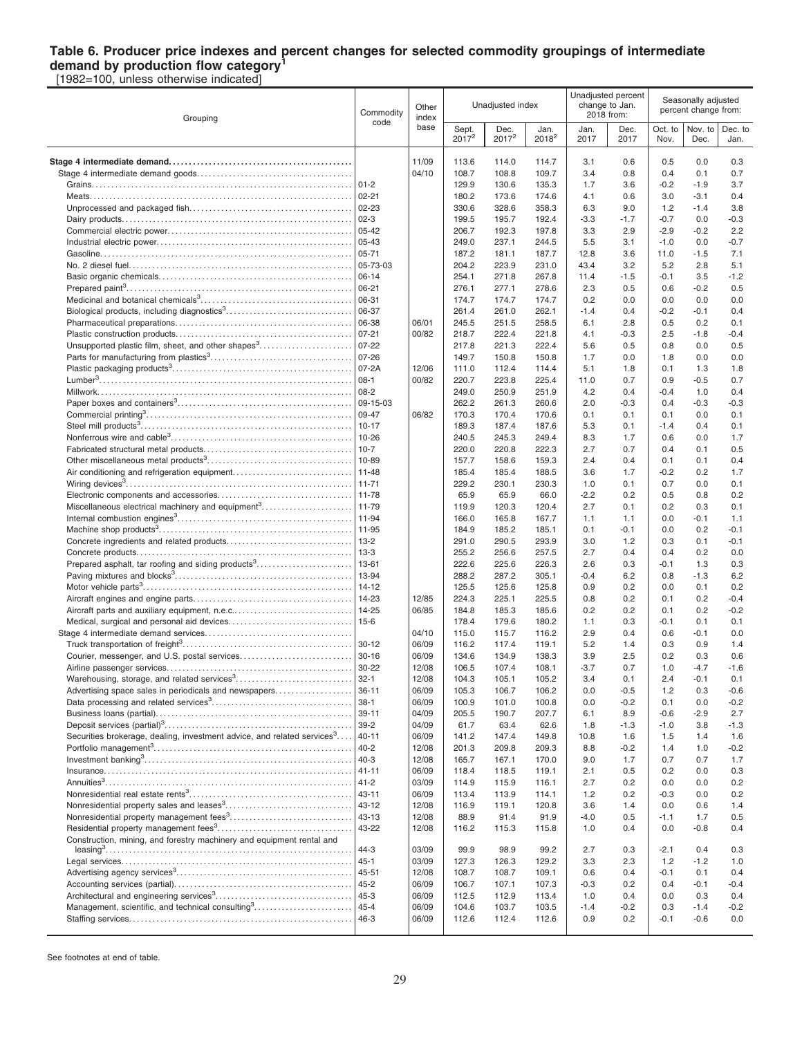#### **Table 6. Producer price indexes and percent changes for selected commodity groupings of intermediate demand by production flow category<sup>1</sup>**

[1982=100, unless otherwise indicated]

| Grouping                                                                                  | Commodity             | Other<br>index | Unadjusted index  |                  |                           |               | Unadjusted percent<br>change to Jan.<br>2018 from: |                 | Seasonally adjusted<br>percent change from: |                 |
|-------------------------------------------------------------------------------------------|-----------------------|----------------|-------------------|------------------|---------------------------|---------------|----------------------------------------------------|-----------------|---------------------------------------------|-----------------|
|                                                                                           | code                  | base           | Sept.<br>$2017^2$ | Dec.<br>$2017^2$ | Jan.<br>2018 <sup>2</sup> | Jan.<br>2017  | Dec.<br>2017                                       | Oct. to<br>Nov. | Nov. to<br>Dec.                             | Dec. to<br>Jan. |
|                                                                                           |                       | 11/09          | 113.6             | 114.0            | 114.7                     | 3.1           | 0.6                                                | 0.5             | 0.0                                         | 0.3             |
|                                                                                           |                       | 04/10          | 108.7             | 108.8            | 109.7                     | 3.4           | 0.8                                                | 0.4             | 0.1                                         | 0.7             |
|                                                                                           | $ 01-2 $              |                | 129.9             | 130.6            | 135.3                     | 1.7           | 3.6                                                | $-0.2$          | $-1.9$                                      | 3.7             |
|                                                                                           | $02 - 21$             |                | 180.2             | 173.6            | 174.6                     | 4.1           | 0.6                                                | 3.0             | $-3.1$                                      | 0.4             |
|                                                                                           | $02 - 23$             |                | 330.6             | 328.6            | 358.3                     | 6.3           | 9.0                                                | 1.2             | $-1.4$                                      | 3.8             |
|                                                                                           | $ 02-3 $              |                | 199.5             | 195.7            | 192.4                     | $-3.3$        | $-1.7$                                             | $-0.7$          | 0.0                                         | $-0.3$          |
|                                                                                           | $ 05 - 42$            |                | 206.7             | 192.3            | 197.8                     | 3.3           | 2.9                                                | $-2.9$          | $-0.2$                                      | 2.2             |
|                                                                                           | 05-43                 |                | 249.0             | 237.1            | 244.5                     | 5.5           | 3.1                                                | $-1.0$          | 0.0                                         | $-0.7$          |
|                                                                                           | $ 05 - 71$            |                | 187.2             | 181.1            | 187.7                     | 12.8          | 3.6                                                | 11.0            | $-1.5$                                      | 7.1             |
|                                                                                           | 05-73-03              |                | 204.2             | 223.9            | 231.0                     | 43.4          | 3.2                                                | 5.2             | 2.8                                         | 5.1             |
|                                                                                           | $06 - 14$<br>06-21    |                | 254.1<br>276.1    | 271.8<br>277.1   | 267.8<br>278.6            | 11.4<br>2.3   | $-1.5$<br>0.5                                      | $-0.1$<br>0.6   | 3.5<br>$-0.2$                               | $-1.2$<br>0.5   |
|                                                                                           | 06-31                 |                | 174.7             | 174.7            | 174.7                     | 0.2           | 0.0                                                | 0.0             | 0.0                                         | 0.0             |
|                                                                                           | 06-37                 |                | 261.4             | 261.0            | 262.1                     | $-1.4$        | 0.4                                                | $-0.2$          | $-0.1$                                      | 0.4             |
|                                                                                           | 06-38                 | 06/01          | 245.5             | 251.5            | 258.5                     | 6.1           | 2.8                                                | 0.5             | 0.2                                         | 0.1             |
|                                                                                           | $07 - 21$             | 00/82          | 218.7             | 222.4            | 221.8                     | 4.1           | $-0.3$                                             | 2.5             | $-1.8$                                      | $-0.4$          |
| Unsupported plastic film, sheet, and other shapes <sup>3</sup>                            | $07 - 22$             |                | 217.8             | 221.3            | 222.4                     | 5.6           | 0.5                                                | 0.8             | 0.0                                         | 0.5             |
|                                                                                           | $07 - 26$             |                | 149.7             | 150.8            | 150.8                     | 1.7           | 0.0                                                | 1.8             | 0.0                                         | 0.0             |
|                                                                                           | 07-2A                 | 12/06          | 111.0             | 112.4            | 114.4                     | 5.1           | 1.8                                                | 0.1             | 1.3                                         | 1.8             |
|                                                                                           |                       | 00/82          | 220.7             | 223.8            | 225.4                     | 11.0          | 0.7                                                | 0.9             | $-0.5$                                      | 0.7             |
|                                                                                           | $08 - 2$              |                | 249.0             | 250.9            | 251.9                     | 4.2           | 0.4                                                | $-0.4$          | 1.0                                         | 0.4             |
|                                                                                           |                       |                | 262.2             | 261.3            | 260.6                     | 2.0           | $-0.3$                                             | 0.4             | $-0.3$                                      | $-0.3$          |
|                                                                                           |                       | 06/82          | 170.3             | 170.4            | 170.6                     | 0.1           | 0.1                                                | 0.1             | 0.0                                         | 0.1             |
|                                                                                           |                       |                | 189.3             | 187.4            | 187.6                     | 5.3           | 0.1                                                | $-1.4$          | 0.4                                         | 0.1             |
|                                                                                           | $10 - 26$             |                | 240.5             | 245.3            | 249.4                     | 8.3           | 1.7                                                | 0.6             | 0.0                                         | 1.7             |
|                                                                                           | $10-7$                |                | 220.0             | 220.8            | 222.3                     | 2.7           | 0.7                                                | 0.4             | 0.1                                         | 0.5             |
|                                                                                           | 10-89                 |                | 157.7             | 158.6            | 159.3                     | 2.4           | 0.4                                                | 0.1             | 0.1                                         | 0.4             |
|                                                                                           | 11-48                 |                | 185.4<br>229.2    | 185.4<br>230.1   | 188.5<br>230.3            | 3.6<br>1.0    | 1.7<br>0.1                                         | $-0.2$<br>0.7   | 0.2<br>0.0                                  | 1.7<br>0.1      |
|                                                                                           | $ 11 - 78$            |                | 65.9              | 65.9             | 66.0                      | $-2.2$        | 0.2                                                | 0.5             | 0.8                                         | 0.2             |
|                                                                                           |                       |                | 119.9             | 120.3            | 120.4                     | 2.7           | 0.1                                                | 0.2             | 0.3                                         | 0.1             |
|                                                                                           |                       |                | 166.0             | 165.8            | 167.7                     | 1.1           | 1.1                                                | 0.0             | $-0.1$                                      | 1.1             |
|                                                                                           |                       |                | 184.9             | 185.2            | 185.1                     | 0.1           | $-0.1$                                             | 0.0             | 0.2                                         | $-0.1$          |
|                                                                                           |                       |                | 291.0             | 290.5            | 293.9                     | 3.0           | 1.2                                                | 0.3             | 0.1                                         | $-0.1$          |
|                                                                                           |                       |                | 255.2             | 256.6            | 257.5                     | 2.7           | 0.4                                                | 0.4             | 0.2                                         | 0.0             |
| Prepared asphalt, tar roofing and siding products <sup>3</sup>                            | 13-61                 |                | 222.6             | 225.6            | 226.3                     | 2.6           | 0.3                                                | $-0.1$          | 1.3                                         | 0.3             |
|                                                                                           | 13-94                 |                | 288.2             | 287.2            | 305.1                     | $-0.4$        | 6.2                                                | 0.8             | $-1.3$                                      | 6.2             |
|                                                                                           | $14 - 12$             |                | 125.5             | 125.6            | 125.8                     | 0.9           | 0.2                                                | 0.0             | 0.1                                         | 0.2             |
|                                                                                           |                       | 12/85          | 224.3             | 225.1            | 225.5                     | 0.8           | 0.2                                                | 0.1             | 0.2                                         | $-0.4$          |
|                                                                                           | 14-25                 | 06/85          | 184.8             | 185.3            | 185.6                     | 0.2           | 0.2                                                | 0.1             | 0.2                                         | $-0.2$          |
|                                                                                           | $15-6$                |                | 178.4             | 179.6            | 180.2                     | 1.1           | 0.3                                                | $-0.1$          | 0.1                                         | 0.1             |
|                                                                                           |                       | 04/10          | 115.0             | 115.7            | 116.2                     | 2.9           | 0.4                                                | 0.6             | $-0.1$                                      | 0.0             |
|                                                                                           | $30 - 12$             | 06/09          | 116.2             | 117.4            | 119.1                     | 5.2           | 1.4                                                | 0.3             | 0.9                                         | 1.4             |
|                                                                                           | $30 - 16$             | 06/09          | 134.6             | 134.9            | 138.3                     | 3.9           | 2.5                                                | 0.2             | 0.3                                         | 0.6             |
| Warehousing, storage, and related services <sup>3</sup> .                                 | $30 - 22$<br>$32 - 1$ | 12/08<br>12/08 | 106.5<br>104.3    | 107.4<br>105.1   | 108.1<br>105.2            | $-3.7$<br>3.4 | 0.7<br>0.1                                         | 1.0<br>2.4      | $-4.7$<br>$-0.1$                            | $-1.6$<br>0.1   |
|                                                                                           |                       | 06/09          | 105.3             | 106.7            | 106.2                     | 0.0           | $-0.5$                                             | $1.2$           | 0.3                                         | $-0.6$          |
|                                                                                           |                       | 06/09          | 100.9             | 101.0            | 100.8                     | 0.0           | $-0.2$                                             | 0.1             | 0.0                                         | -0.2            |
|                                                                                           |                       | 04/09          | 205.5             | 190.7            | 207.7                     | 6.1           | 8.9                                                | $-0.6$          | $-2.9$                                      | 2.7             |
|                                                                                           |                       | 04/09          | 61.7              | 63.4             | 62.6                      | 1.8           | $-1.3$                                             | $-1.0$          | 3.8                                         | $-1.3$          |
| Securities brokerage, dealing, investment advice, and related services <sup>3</sup> 40-11 |                       | 06/09          | 141.2             | 147.4            | 149.8                     | 10.8          | 1.6                                                | 1.5             | 1.4                                         | 1.6             |
|                                                                                           | $40 - 2$              | 12/08          | 201.3             | 209.8            | 209.3                     | 8.8           | $-0.2$                                             | 1.4             | 1.0                                         | -0.2            |
|                                                                                           | $40 - 3$              | 12/08          | 165.7             | 167.1            | 170.0                     | 9.0           | 1.7                                                | 0.7             | 0.7                                         | 1.7             |
|                                                                                           | $ 41 - 11$            | 06/09          | 118.4             | 118.5            | 119.1                     | 2.1           | 0.5                                                | 0.2             | 0.0                                         | 0.3             |
|                                                                                           | $41 - 2$              | 03/09          | 114.9             | 115.9            | 116.1                     | 2.7           | 0.2                                                | 0.0             | 0.0                                         | 0.2             |
|                                                                                           | $43 - 11$             | 06/09          | 113.4             | 113.9            | 114.1                     | 1.2           | 0.2                                                | $-0.3$          | 0.0                                         | 0.2             |
|                                                                                           | 43-12                 | 12/08          | 116.9             | 119.1            | 120.8                     | 3.6           | 1.4                                                | 0.0             | 0.6                                         | 1.4             |
|                                                                                           | 43-13                 | 12/08          | 88.9              | 91.4             | 91.9                      | $-4.0$        | 0.5                                                | $-1.1$          | 1.7                                         | 0.5             |
|                                                                                           | 43-22                 | 12/08          | 116.2             | 115.3            | 115.8                     | 1.0           | 0.4                                                | 0.0             | $-0.8$                                      | 0.4             |
| Construction, mining, and forestry machinery and equipment rental and                     |                       |                |                   |                  |                           |               |                                                    |                 |                                             |                 |
|                                                                                           |                       | 03/09<br>03/09 | 99.9<br>127.3     | 98.9<br>126.3    | 99.2<br>129.2             | 2.7<br>3.3    | 0.3<br>2.3                                         | $-2.1$<br>1.2   | 0.4<br>$-1.2$                               | 0.3<br>1.0      |
|                                                                                           | 45-51                 | 12/08          | 108.7             | 108.7            | 109.1                     | 0.6           | 0.4                                                | $-0.1$          | 0.1                                         | 0.4             |
|                                                                                           | $45 - 2$              | 06/09          | 106.7             | 107.1            | 107.3                     | $-0.3$        | 0.2                                                | 0.4             | $-0.1$                                      | $-0.4$          |
|                                                                                           | $45 - 3$              | 06/09          | 112.5             | 112.9            | 113.4                     | 1.0           | 0.4                                                | 0.0             | 0.3                                         | 0.4             |
| Management, scientific, and technical consulting <sup>3</sup>                             | $45 - 4$              | 06/09          | 104.6             | 103.7            | 103.5                     | $-1.4$        | $-0.2$                                             | 0.3             | $-1.4$                                      | -0.2            |
|                                                                                           | $46 - 3$              | 06/09          | 112.6             | 112.4            | 112.6                     | 0.9           | 0.2                                                | $-0.1$          | $-0.6$                                      | 0.0             |
|                                                                                           |                       |                |                   |                  |                           |               |                                                    |                 |                                             |                 |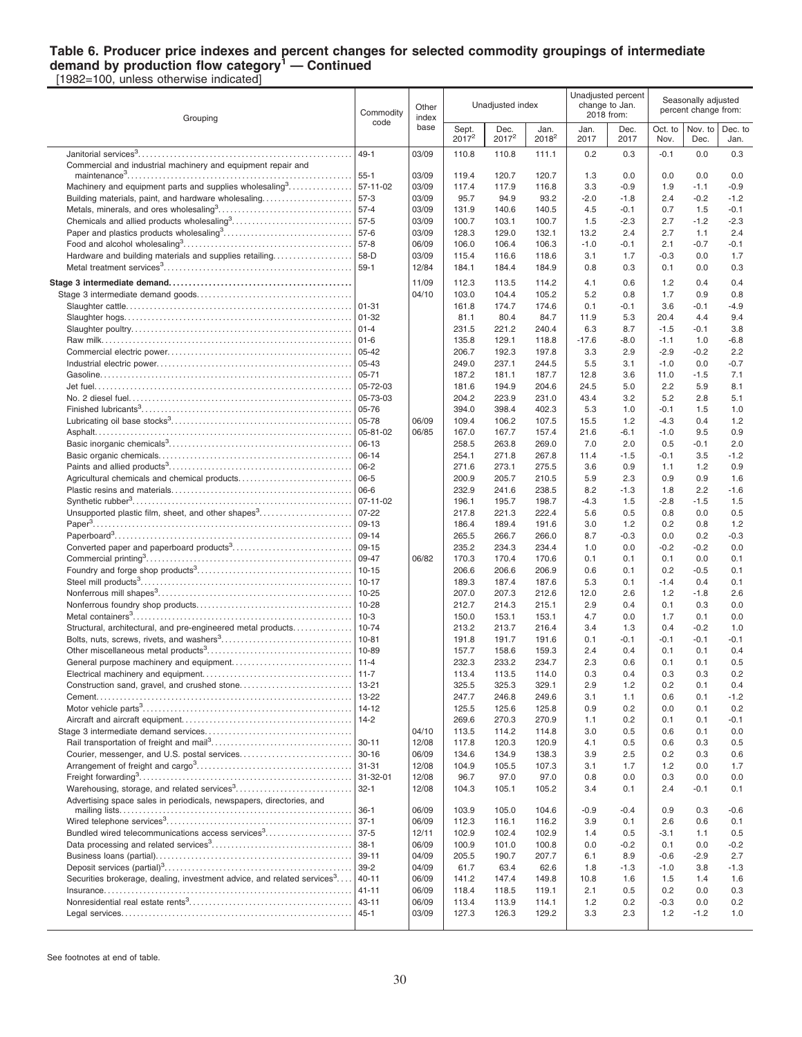#### **Table 6. Producer price indexes and percent changes for selected commodity groupings of intermediate demand by production flow category<sup>1</sup> — Continued**

[1982=100, unless otherwise indicated]

| Grouping                                                                            | Commodity                   | Other<br>index |                            | Unadjusted index          |                           | change to Jan.<br>2018 from: | Unadjusted percent |                  | Seasonally adjusted<br>percent change from: |                 |
|-------------------------------------------------------------------------------------|-----------------------------|----------------|----------------------------|---------------------------|---------------------------|------------------------------|--------------------|------------------|---------------------------------------------|-----------------|
|                                                                                     | code                        | base           | Sept.<br>2017 <sup>2</sup> | Dec.<br>2017 <sup>2</sup> | Jan.<br>2018 <sup>2</sup> | Jan.<br>2017                 | Dec.<br>2017       | Oct. to<br>Nov.  | Nov. to<br>Dec.                             | Dec. to<br>Jan. |
|                                                                                     | $49 - 1$                    | 03/09          | 110.8                      | 110.8                     | 111.1                     | 0.2                          | 0.3                | $-0.1$           | 0.0                                         | 0.3             |
| Commercial and industrial machinery and equipment repair and                        | $55 - 1$                    | 03/09          | 119.4                      | 120.7                     | 120.7                     | 1.3                          | 0.0                | 0.0              | 0.0                                         | 0.0             |
| Machinery and equipment parts and supplies wholesaling <sup>3</sup>                 | $57 - 11 - 02$              | 03/09          | 117.4                      | 117.9                     | 116.8                     | 3.3                          | $-0.9$             | 1.9              | $-1.1$                                      | $-0.9$          |
| Building materials, paint, and hardware wholesaling                                 | $57-3$                      | 03/09          | 95.7                       | 94.9                      | 93.2                      | $-2.0$                       | $-1.8$             | 2.4              | $-0.2$                                      | $-1.2$          |
|                                                                                     | $57 - 4$                    | 03/09          | 131.9                      | 140.6                     | 140.5                     | 4.5                          | $-0.1$             | 0.7              | 1.5                                         | $-0.1$          |
|                                                                                     | $57 - 5$                    | 03/09          | 100.7                      | 103.1                     | 100.7                     | 1.5                          | $-2.3$             | 2.7              | $-1.2$                                      | $-2.3$          |
|                                                                                     | $57-6$                      | 03/09          | 128.3                      | 129.0                     | 132.1                     | 13.2                         | 2.4                | 2.7              | 1.1                                         | 2.4             |
| Hardware and building materials and supplies retailing                              | $57 - 8$<br>58-D            | 06/09<br>03/09 | 106.0<br>115.4             | 106.4<br>116.6            | 106.3<br>118.6            | $-1.0$<br>3.1                | $-0.1$<br>1.7      | 2.1<br>$-0.3$    | $-0.7$<br>0.0                               | -0.1<br>1.7     |
|                                                                                     | $59-1$                      | 12/84          | 184.1                      | 184.4                     | 184.9                     | 0.8                          | 0.3                | 0.1              | 0.0                                         | 0.3             |
|                                                                                     |                             | 11/09          | 112.3                      | 113.5                     | 114.2                     | 4.1                          | 0.6                | 1.2              | 0.4                                         | 0.4             |
|                                                                                     |                             | 04/10          | 103.0                      | 104.4                     | 105.2                     | 5.2                          | 0.8                | 1.7              | 0.9                                         | 0.8             |
|                                                                                     | 01-31                       |                | 161.8                      | 174.7                     | 174.6                     | 0.1                          | $-0.1$             | 3.6              | $-0.1$                                      | $-4.9$          |
|                                                                                     | $ 01-32$                    |                | 81.1                       | 80.4                      | 84.7                      | 11.9                         | 5.3                | 20.4             | 4.4                                         | 9.4             |
|                                                                                     | $ 01 - 4 $                  |                | 231.5                      | 221.2                     | 240.4                     | 6.3                          | 8.7                | $-1.5$           | $-0.1$                                      | 3.8             |
|                                                                                     | $05 - 42$                   |                | 135.8<br>206.7             | 129.1<br>192.3            | 118.8<br>197.8            | $-17.6$<br>3.3               | $-8.0$<br>2.9      | $-1.1$<br>$-2.9$ | 1.0<br>$-0.2$                               | $-6.8$<br>2.2   |
|                                                                                     | 05-43                       |                | 249.0                      | 237.1                     | 244.5                     | 5.5                          | 3.1                | $-1.0$           | 0.0                                         | $-0.7$          |
|                                                                                     | $05 - 71$                   |                | 187.2                      | 181.1                     | 187.7                     | 12.8                         | 3.6                | 11.0             | $-1.5$                                      | 7.1             |
|                                                                                     | 05-72-03                    |                | 181.6                      | 194.9                     | 204.6                     | 24.5                         | 5.0                | 2.2              | 5.9                                         | 8.1             |
|                                                                                     | 05-73-03                    |                | 204.2                      | 223.9                     | 231.0                     | 43.4                         | 3.2                | 5.2              | 2.8                                         | 5.1             |
|                                                                                     | 05-76                       |                | 394.0                      | 398.4                     | 402.3                     | 5.3                          | 1.0                | $-0.1$           | 1.5                                         | 1.0             |
|                                                                                     | 05-78<br>05-81-02           | 06/09<br>06/85 | 109.4<br>167.0             | 106.2<br>167.7            | 107.5<br>157.4            | 15.5<br>21.6                 | 1.2<br>$-6.1$      | $-4.3$<br>$-1.0$ | 0.4<br>9.5                                  | 1.2<br>0.9      |
|                                                                                     | 06-13                       |                | 258.5                      | 263.8                     | 269.0                     | 7.0                          | 2.0                | 0.5              | $-0.1$                                      | 2.0             |
|                                                                                     | $06-14$                     |                | 254.1                      | 271.8                     | 267.8                     | 11.4                         | $-1.5$             | $-0.1$           | 3.5                                         | $-1.2$          |
|                                                                                     | $06 - 2$                    |                | 271.6                      | 273.1                     | 275.5                     | 3.6                          | 0.9                | 1.1              | 1.2                                         | 0.9             |
|                                                                                     | $06 - 5$                    |                | 200.9                      | 205.7                     | 210.5                     | 5.9                          | 2.3                | 0.9              | 0.9                                         | 1.6             |
|                                                                                     | 06-6                        |                | 232.9                      | 241.6                     | 238.5                     | 8.2                          | $-1.3$             | 1.8              | 2.2                                         | $-1.6$          |
| Unsupported plastic film, sheet, and other shapes <sup>3</sup>                      | $07 - 11 - 02$<br>$07 - 22$ |                | 196.1<br>217.8             | 195.7<br>221.3            | 198.7<br>222.4            | $-4.3$<br>5.6                | 1.5<br>0.5         | $-2.8$<br>0.8    | $-1.5$<br>0.0                               | 1.5<br>0.5      |
|                                                                                     | $09-13$                     |                | 186.4                      | 189.4                     | 191.6                     | 3.0                          | 1.2                | 0.2              | 0.8                                         | 1.2             |
|                                                                                     | 09-14                       |                | 265.5                      | 266.7                     | 266.0                     | 8.7                          | $-0.3$             | 0.0              | 0.2                                         | $-0.3$          |
|                                                                                     | $09 - 15$                   |                | 235.2                      | 234.3                     | 234.4                     | 1.0                          | 0.0                | $-0.2$           | $-0.2$                                      | 0.0             |
|                                                                                     | 09-47                       | 06/82          | 170.3                      | 170.4                     | 170.6                     | 0.1                          | 0.1                | 0.1              | 0.0                                         | 0.1             |
|                                                                                     | $10 - 15$                   |                | 206.6                      | 206.6                     | 206.9                     | 0.6                          | 0.1                | 0.2              | $-0.5$                                      | 0.1             |
|                                                                                     | $10 - 17$<br>$10 - 25$      |                | 189.3<br>207.0             | 187.4<br>207.3            | 187.6<br>212.6            | 5.3<br>12.0                  | 0.1<br>2.6         | $-1.4$<br>1.2    | 0.4<br>$-1.8$                               | 0.1<br>2.6      |
|                                                                                     | 10-28                       |                | 212.7                      | 214.3                     | 215.1                     | 2.9                          | 0.4                | 0.1              | 0.3                                         | 0.0             |
|                                                                                     | $10-3$                      |                | 150.0                      | 153.1                     | 153.1                     | 4.7                          | 0.0                | 1.7              | 0.1                                         | 0.0             |
| Structural, architectural, and pre-engineered metal products                        | $10 - 74$                   |                | 213.2                      | 213.7                     | 216.4                     | 3.4                          | 1.3                | 0.4              | $-0.2$                                      | 1.0             |
|                                                                                     | $10 - 81$                   |                | 191.8                      | 191.7                     | 191.6                     | 0.1                          | $-0.1$             | $-0.1$           | $-0.1$                                      | $-0.1$          |
|                                                                                     | 10-89<br>$11 - 4$           |                | 157.7<br>232.3             | 158.6<br>233.2            | 159.3<br>234.7            | 2.4<br>2.3                   | 0.4<br>0.6         | 0.1<br>0.1       | 0.1<br>0.1                                  | 0.4<br>0.5      |
|                                                                                     | $11 - 7$                    |                | 113.4                      | 113.5                     | 114.0                     | 0.3                          | 0.4                | 0.3              | 0.3                                         | 0.2             |
|                                                                                     | 13-21                       |                | 325.5                      | 325.3                     | 329.1                     | 2.9                          | 1.2                | 0.2              | 0.1                                         | 0.4             |
|                                                                                     | 13-22                       |                | 247.7                      | 246.8                     | 249.6                     | 3.1                          | 1.1                | 0.6              | 0.1                                         | $-1.2$          |
|                                                                                     | $14 - 12$                   |                | 125.5                      | 125.6                     | 125.8                     | 0.9                          | 0.2                | 0.0              | 0.1                                         | 0.2             |
|                                                                                     | $14-2$                      |                | 269.6                      | 270.3                     | 270.9                     | 1.1                          | 0.2                | 0.1              | 0.1                                         | -0.1            |
|                                                                                     | $30 - 11$                   | 04/10<br>12/08 | 113.5<br>117.8             | 114.2<br>120.3            | 114.8<br>120.9            | 3.0<br>4.1                   | 0.5<br>0.5         | 0.6<br>0.6       | 0.1<br>0.3                                  | 0.0<br>0.5      |
|                                                                                     | $30 - 16$                   | 06/09          | 134.6                      | 134.9                     | 138.3                     | 3.9                          | 2.5                | 0.2              | 0.3                                         | 0.6             |
|                                                                                     | $31 - 31$                   | 12/08          | 104.9                      | 105.5                     | 107.3                     | 3.1                          | 1.7                | 1.2              | 0.0                                         | 1.7             |
|                                                                                     | $31 - 32 - 01$              | 12/08          | 96.7                       | 97.0                      | 97.0                      | 0.8                          | 0.0                | 0.3              | 0.0                                         | 0.0             |
| Warehousing, storage, and related services <sup>3</sup>                             | $32 - 1$                    | 12/08          | 104.3                      | 105.1                     | 105.2                     | 3.4                          | 0.1                | 2.4              | $-0.1$                                      | 0.1             |
| Advertising space sales in periodicals, newspapers, directories, and                | $36-1$                      | 06/09          | 103.9                      | 105.0                     | 104.6                     | $-0.9$                       | $-0.4$             | 0.9              | 0.3                                         | $-0.6$          |
|                                                                                     | $37-1$                      | 06/09          | 112.3                      | 116.1                     | 116.2                     | 3.9                          | 0.1                | 2.6              | 0.6                                         | 0.1             |
| Bundled wired telecommunications access services <sup>3</sup>                       | $37-5$                      | 12/11          | 102.9                      | 102.4                     | 102.9                     | 1.4                          | 0.5                | $-3.1$           | 1.1                                         | 0.5             |
|                                                                                     | $38-1$                      | 06/09          | 100.9                      | 101.0                     | 100.8                     | 0.0                          | $-0.2$             | 0.1              | 0.0                                         | -0.2            |
|                                                                                     | $39 - 11$                   | 04/09          | 205.5                      | 190.7                     | 207.7                     | 6.1                          | 8.9                | $-0.6$           | $-2.9$                                      | 2.7             |
|                                                                                     | $39 - 2$                    | 04/09          | 61.7                       | 63.4                      | 62.6                      | 1.8                          | -1.3               | $-1.0$           | 3.8                                         | $-1.3$          |
| Securities brokerage, dealing, investment advice, and related services <sup>3</sup> | $40 - 11$<br>$41 - 11$      | 06/09<br>06/09 | 141.2<br>118.4             | 147.4<br>118.5            | 149.8<br>119.1            | 10.8<br>2.1                  | 1.6<br>0.5         | 1.5<br>0.2       | 1.4<br>0.0                                  | 1.6<br>0.3      |
|                                                                                     | $43 - 11$                   | 06/09          | 113.4                      | 113.9                     | 114.1                     | 1.2                          | 0.2                | $-0.3$           | 0.0                                         | 0.2             |
|                                                                                     | $45 - 1$                    | 03/09          | 127.3                      | 126.3                     | 129.2                     | 3.3                          | 2.3                | $1.2$            | $-1.2$                                      | 1.0             |
|                                                                                     |                             |                |                            |                           |                           |                              |                    |                  |                                             |                 |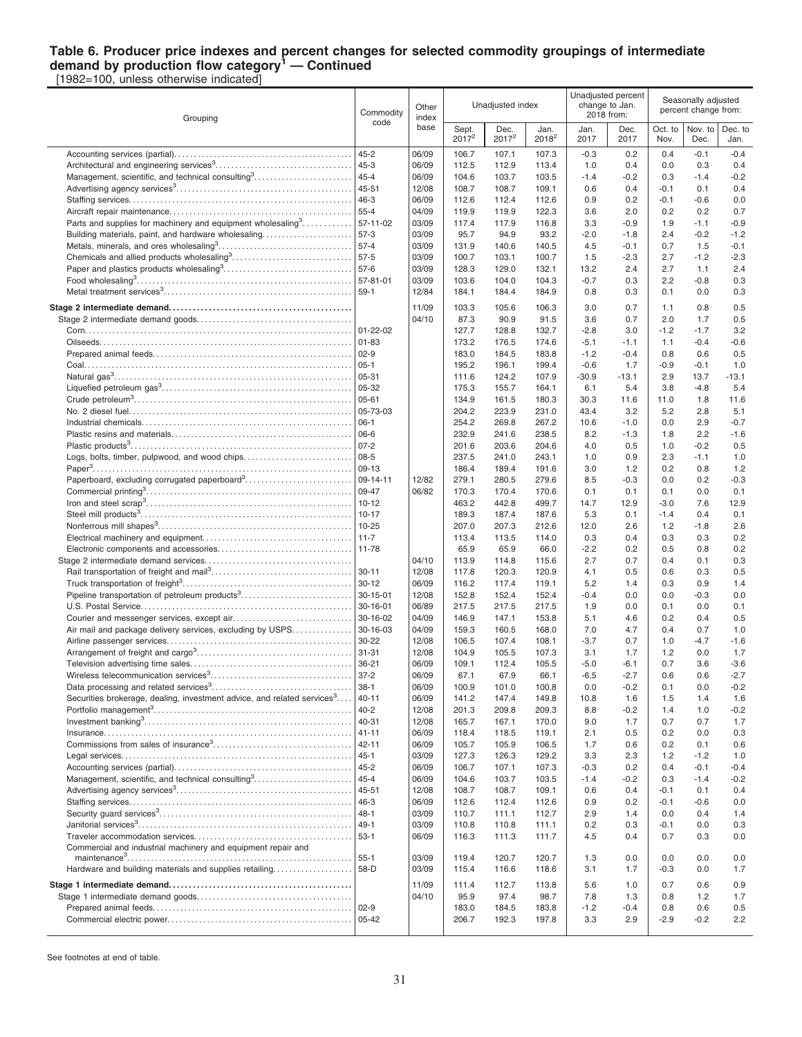#### **Table 6. Producer price indexes and percent changes for selected commodity groupings of intermediate demand by production flow category<sup>1</sup> — Continued** [1982=100, unless otherwise indicated]

Grouping Commodity code **Other** index base Unadiusted index Unadjusted percent change to Jan. 2018 from: Seasonally adjusted percent change from: **Sept.** 2017 Dec. 2017<sup>2</sup> Jan. 2018<sup>2</sup> Jan. 2017 Dec. 2017 Oct. to Nov. Nov. to Dec. Dec. to Jan. Accounting services (partial). . . . . . . . . . . . . . . . . . . . . . . . . . . . . . . . . . . . . . . . . . . . . 45-2 06/09 106.7 107.1 107.3 -0.3 0.2 0.4 -0.1 -0.4 Architectural and engineering services<sup>3</sup> . . . . . . . . . . . . . . . . . . . . . . . . . . . . . . . . . . . 45-3 06/09 112.5 112.9 113.4 1.0 0.4 0.0 0.3 0.4 Management, scientific, and technical consulting<sup>3</sup>.....................|45-4  $\big| 06/09 \big| 104.6$  103.7 103.5  $\big|$  -1.4 -0.2  $\big| 0.3$  -1.4 -0.2 Advertising agency services<sup>3</sup> . . . . . . . . . . . . . . . . . . . . . . . . . . . . . . . . . . . . . . . . . . . . . 45-51 12/08 108.7 108.7 109.1 0.6 0.4 -0.1 0.1 0.4 Staffing services. . . . . . . . . . . . . . . . . . . . . . . . . . . . . . . . . . . . . . . . . . . . . . . . . . . . . . . . . 46-3 06/09 112.6 112.4 112.6 0.9 0.2 -0.1 -0.6 0.0 Aircraft repair maintenance. . . . . . . . . . . . . . . . . . . . . . . . . . . . . . . . . . . . . . . . . . . . . . 55-4 04/09 119.9 119.9 122.3 3.6 2.0 0.2 0.2 0.7 Parts and supplies for machinery and equipment wholesaling<sup>3</sup>........... | 57-11-02  $\begin{array}{|l} 03/09 & 117.4 & 117.9 & 116.8 & 3.3 & -0.9 & 1.9 & -1.1 & -0.9 \end{array}$ Building materials, paint, and hardware wholesaling. . . . . . . . . . . . . . . . . . . . . . . 57-3 03/09 95.7 94.9 93.2 -2.0 -1.8 2.4 -0.2 -1.2 Metals, minerals, and ores wholesaling<sup>3</sup> . . . . . . . . . . . . . . . . . . . . . . . . . . . . . . . . . . 57-4 03/09 131.9 140.6 140.5 4.5 -0.1 0.7 1.5 -0.1 Chemicals and allied products wholesaling<sup>3</sup>..............................| 57-5  $\qquad$  | 03/09 | 100.7 | 100.7 | 1.5 -2.3 | 2.7 -1.2 -2.3 Paper and plastics products wholesaling<sup>3</sup> . . . . . . . . . . . . . . . . . . . . . . . . . . . . . . . . . 57-6 03/09 128.3 129.0 132.1 13.2 2.4 2.7 1.1 2.4 Food wholesaling<sup>3</sup> . . . . . . . . . . . . . . . . . . . . . . . . . . . . . . . . . . . . . . . . . . . . . . . . . . . . . . . 57-81-01 03/09 103.6 104.0 104.3 -0.7 0.3 2.2 -0.8 0.3 Metal treatment services<sup>3</sup> . . . . . . . . . . . . . . . . . . . . . . . . . . . . . . . . . . . . . . . . . . . . . . . . 59-1 12/84 184.1 184.4 184.9 0.8 0.3 0.1 0.0 0.3 **Stage 2 intermediate demand. . . . . . . . . . . . . . . . . . . . . . . . . . . . . . . . . . . . . . . . . . . . . .** 11/09 103.3 105.6 106.3 3.0 0.7 1.1 0.8 0.5 Stage 2 intermediate demand goods. . . . . . . . . . . . . . . . . . . . . . . . . . . . . . . . . . . . . . . 04/10 87.3 90.9 91.5 3.6 0.7 2.0 1.7 0.5 Corn. . . . . . . . . . . . . . . . . . . . . . . . . . . . . . . . . . . . . . . . . . . . . . . . . . . . . . . . . . . . . . . . . . . . 01-22-02 127.7 128.8 132.7 -2.8 3.0 -1.2 -1.7 3.2 Oilseeds. . . . . . . . . . . . . . . . . . . . . . . . . . . . . . . . . . . . . . . . . . . . . . . . . . . . . . . . . . . . . . . . 01-83 173.2 176.5 174.6 -5.1 -1.1 1.1 -0.4 -0.6 Prepared animal feeds. . . . . . . . . . . . . . . . . . . . . . . . . . . . . . . . . . . . . . . . . . . . . . . . . . . 02-9 183.0 184.5 183.8 -1.2 -0.4 0.8 0.6 0.5 Coal. . . . . . . . . . . . . . . . . . . . . . . . . . . . . . . . . . . . . . . . . . . . . . . . . . . . . . . . . . . . . . . . . . . . 05-1 195.2 196.1 199.4 -0.6 1.7 -0.9 -0.1 1.0 Natural gas<sup>3</sup> . . . . . . . . . . . . . . . . . . . . . . . . . . . . . . . . . . . . . . . . . . . . . . . . . . . . . . . . . . . . 05-31 111.6 124.2 107.9 -30.9 -13.1 2.9 13.7 -13.1 Liquefied petroleum gas<sup>3</sup> . . . . . . . . . . . . . . . . . . . . . . . . . . . . . . . . . . . . . . . . . . . . . . . . 05-32 175.3 155.7 164.1 6.1 5.4 3.8 -4.8 5.4 Crude petroleum<sup>3</sup> . . . . . . . . . . . . . . . . . . . . . . . . . . . . . . . . . . . . . . . . . . . . . . . . . . . . . . . 05-61 134.9 161.5 180.3 30.3 11.6 11.0 1.8 11.6 No. 2 diesel fuel. . . . . . . . . . . . . . . . . . . . . . . . . . . . . . . . . . . . . . . . . . . . . . . . . . . . . . . . . 05-73-03 204.2 223.9 231.0 43.4 3.2 5.2 2.8 5.1 Industrial chemicals. . . . . . . . . . . . . . . . . . . . . . . . . . . . . . . . . . . . . . . . . . . . . . . . . . . . . 06-1 254.2 269.8 267.2 10.6 -1.0 0.0 2.9 -0.7 Plastic resins and materials. . . . . . . . . . . . . . . . . . . . . . . . . . . . . . . . . . . . . . . . . . . . . . 06-6 232.9 241.6 238.5 8.2 -1.3 1.8 2.2 -1.6 Plastic products<sup>3</sup> . . . . . . . . . . . . . . . . . . . . . . . . . . . . . . . . . . . . . . . . . . . . . . . . . . . . . . . . 07-2 201.6 203.6 204.6 4.0 0.5 1.0 -0.2 0.5 Logs, bolts, timber, pulpwood, and wood chips. . . . . . . . . . . . . . . . . . . . . . . . . . . 08-5 237.5 241.0 243.1 1.0 0.9 2.3 -1.1 1.0 Paper<sup>3</sup> . . . . . . . . . . . . . . . . . . . . . . . . . . . . . . . . . . . . . . . . . . . . . . . . . . . . . . . . . . . . . . . . . . 09-13 186.4 189.4 191.6 3.0 1.2 0.2 0.8 1.2 Paperboard, excluding corrugated paperboard<sup>3</sup>............................ 09-14-11 | 12/82 | 279.1 280.5 279.6 | 8.5 -0.3 | 0.0 0.2 -0.3 Commercial printing<sup>3</sup> . . . . . . . . . . . . . . . . . . . . . . . . . . . . . . . . . . . . . . . . . . . . . . . . . . . . 09-47 06/82 170.3 170.4 170.6 0.1 0.1 0.1 0.0 0.1 Iron and steel scrap<sup>3</sup> . . . . . . . . . . . . . . . . . . . . . . . . . . . . . . . . . . . . . . . . . . . . . . . . . . . . 10-12 463.2 442.8 499.7 14.7 12.9 -3.0 7.6 12.9 Steel mill products<sup>3</sup> . . . . . . . . . . . . . . . . . . . . . . . . . . . . . . . . . . . . . . . . . . . . . . . . . . . . . . 10-17 189.3 187.4 187.6 5.3 0.1 -1.4 0.4 0.1 Nonferrous mill shapes<sup>3</sup> . . . . . . . . . . . . . . . . . . . . . . . . . . . . . . . . . . . . . . . . . . . . . . . . . 10-25 207.0 207.3 212.6 12.0 2.6 1.2 -1.8 2.6 Electrical machinery and equipment. . . . . . . . . . . . . . . . . . . . . . . . . . . . . . . . . . . . . . 11-7 113.4 113.5 114.0 0.3 0.4 0.3 0.3 0.2 Electronic components and accessories. . . . . . . . . . . . . . . . . . . . . . . . . . . . . . . . . . 11-78 65.9 65.9 66.0 -2.2 0.2 0.5 0.8 0.2 Stage 2 intermediate demand services. . . . . . . . . . . . . . . . . . . . . . . . . . . . . . . . . . . . . 04/10 113.9 114.8 115.6 2.7 0.7 0.4 0.1 0.3 Rail transportation of freight and mail<sup>3</sup> . . . . . . . . . . . . . . . . . . . . . . . . . . . . . . . . . . . . 30-11 12/08 117.8 120.3 120.9 4.1 0.5 0.6 0.3 0.5 Truck transportation of freight<sup>3</sup> . . . . . . . . . . . . . . . . . . . . . . . . . . . . . . . . . . . . . . . . . . . 30-12 06/09 116.2 117.4 119.1 5.2 1.4 0.3 0.9 1.4 Pipeline transportation of petroleum products<sup>3</sup> . . . . . . . . . . . . . . . . . . . . . . . . . . . . 30-15-01 12/08 152.8 152.4 152.4 -0.4 0.0 0.0 -0.3 0.0 U.S. Postal Service. . . . . . . . . . . . . . . . . . . . . . . . . . . . . . . . . . . . . . . . . . . . . . . . . . . . . . 30-16-01 06/89 217.5 217.5 217.5 1.9 0.0 0.1 0.0 0.1 Courier and messenger services, except air. . . . . . . . . . . . . . . . . . . . . . . . . . . . . . 30-16-02 04/09 146.9 147.1 153.8 5.1 4.6 0.2 0.4 0.5 Air mail and package delivery services, excluding by USPS. . . . . . . . . . . . . 30-16-03  $\vert$  0.4/09  $\vert$  159.3 160.5 168.0  $\vert$  7.0 4.7  $\vert$  0.4 0.7 1.0 Airline passenger services. . . . . . . . . . . . . . . . . . . . . . . . . . . . . . . . . . . . . . . . . . . . . . . 30-22 12/08 106.5 107.4 108.1 -3.7 0.7 1.0 -4.7 -1.6 Arrangement of freight and cargo<sup>3</sup> . . . . . . . . . . . . . . . . . . . . . . . . . . . . . . . . . . . . . . . 31-31 12/08 104.9 105.5 107.3 3.1 1.7 1.2 0.0 1.7 Television advertising time sales. . . . . . . . . . . . . . . . . . . . . . . . . . . . . . . . . . . . . . . . . 36-21 06/09 109.1 112.4 105.5 -5.0 -6.1 0.7 3.6 -3.6 Wireless telecommunication services<sup>3</sup> . . . . . . . . . . . . . . . . . . . . . . . . . . . . . . . . . . . . 37-2 06/09 67.1 67.9 66.1 -6.5 -2.7 0.6 0.6 -2.7 Data processing and related services<sup>3</sup> . . . . . . . . . . . . . . . . . . . . . . . . . . . . . . . . . . . . 38-1 06/09 100.9 101.0 100.8 0.0 -0.2 0.1 0.0 -0.2 Securities brokerage, dealing, investment advice, and related services<sup>3</sup>... ....|40-11 |06/09 | 141.2 147.4 149.8 | 10.8 1.6 | 1.5 1.4 1.6 Portfolio management<sup>3</sup> . . . . . . . . . . . . . . . . . . . . . . . . . . . . . . . . . . . . . . . . . . . . . . . . . . 40-2 12/08 201.3 209.8 209.3 8.8 -0.2 1.4 1.0 -0.2 Investment banking<sup>3</sup> . . . . . . . . . . . . . . . . . . . . . . . . . . . . . . . . . . . . . . . . . . . . . . . . . . . . . 40-31 12/08 165.7 167.1 170.0 9.0 1.7 0.7 0.7 1.7 Insurance. . . . . . . . . . . . . . . . . . . . . . . . . . . . . . . . . . . . . . . . . . . . . . . . . . . . . . . . . . . . . . . 41-11 06/09 118.4 118.5 119.1 2.1 0.5 0.2 0.0 0.3 Commissions from sales of insurance<sup>3</sup> . . . . . . . . . . . . . . . . . . . . . . . . . . . . . . . . . . . 42-11 06/09 105.7 105.9 106.5 1.7 0.6 0.2 0.1 0.6 Legal services. . . . . . . . . . . . . . . . . . . . . . . . . . . . . . . . . . . . . . . . . . . . . . . . . . . . . . . . . . . 45-1 03/09 127.3 126.3 129.2 3.3 2.3 1.2 -1.2 1.0 Accounting services (partial). . . . . . . . . . . . . . . . . . . . . . . . . . . . . . . . . . . . . . . . . . . . . 45-2 06/09 106.7 107.1 107.3 -0.3 0.2 0.4 -0.1 -0.4 Management, scientific, and technical consulting<sup>3</sup>.....................|45-4  $\big| 06/09 \big| 104.6$  103.7 103.5  $\big|$  -1.4 -0.2  $\big| 0.3$  -1.4 -0.2 Advertising agency services<sup>3</sup> . . . . . . . . . . . . . . . . . . . . . . . . . . . . . . . . . . . . . . . . . . . . . 45-51 12/08 108.7 108.7 109.1 0.6 0.4 -0.1 0.1 0.4 Staffing services. . . . . . . . . . . . . . . . . . . . . . . . . . . . . . . . . . . . . . . . . . . . . . . . . . . . . . . . . 46-3 06/09 112.6 112.4 112.6 0.9 0.2 -0.1 -0.6 0.0 Security guard services<sup>3</sup> . . . . . . . . . . . . . . . . . . . . . . . . . . . . . . . . . . . . . . . . . . . . . . . . . 48-1 03/09 110.7 111.1 112.7 2.9 1.4 0.0 0.4 1.4 Janitorial services<sup>3</sup> . . . . . . . . . . . . . . . . . . . . . . . . . . . . . . . . . . . . . . . . . . . . . . . . . . . . . . 49-1 03/09 110.8 110.8 111.1 0.2 0.3 -0.1 0.0 0.3 Traveler accommodation services. . . . . . . . . . . . . . . . . . . . . . . . . . . . . . . . . . . . . . . . 53-1 06/09 116.3 111.3 111.7 4.5 0.4 0.7 0.3 0.0 Commercial and industrial machinery and equipment repair and maintenance<sup>3</sup> . . . . . . . . . . . . . . . . . . . . . . . . . . . . . . . . . . . . . . . . . . . . . . . . . . . . . . . . . 55-1 03/09 119.4 120.7 120.7 1.3 0.0 0.0 0.0 0.0 Hardware and building materials and supplies retailing. . . . . . . . . . . . . . . . . 58-D  $\big|03/09\big|115.4$  116.6 118.6  $\big|3.1$  1.7  $\big|$  -0.3 0.0 1.7 **Stage 1 intermediate demand. . . . . . . . . . . . . . . . . . . . . . . . . . . . . . . . . . . . . . . . . . . . . .** 11/09 111.4 112.7 113.8 5.6 1.0 0.7 0.6 0.9 Stage 1 intermediate demand goods. . . . . . . . . . . . . . . . . . . . . . . . . . . . . . . . . . . . . . . 04/10 95.9 97.4 98.7 7.8 1.3 0.8 1.2 1.7 Prepared animal feeds. . . . . . . . . . . . . . . . . . . . . . . . . . . . . . . . . . . . . . . . . . . . . . . . . . . 02-9 183.0 184.5 183.8 -1.2 -0.4 0.8 0.6 0.5 Commercial electric power. . . . . . . . . . . . . . . . . . . . . . . . . . . . . . . . . . . . . . . . . . . . . . . 05-42 206.7 192.3 197.8 3.3 2.9 -2.9 -0.2 2.2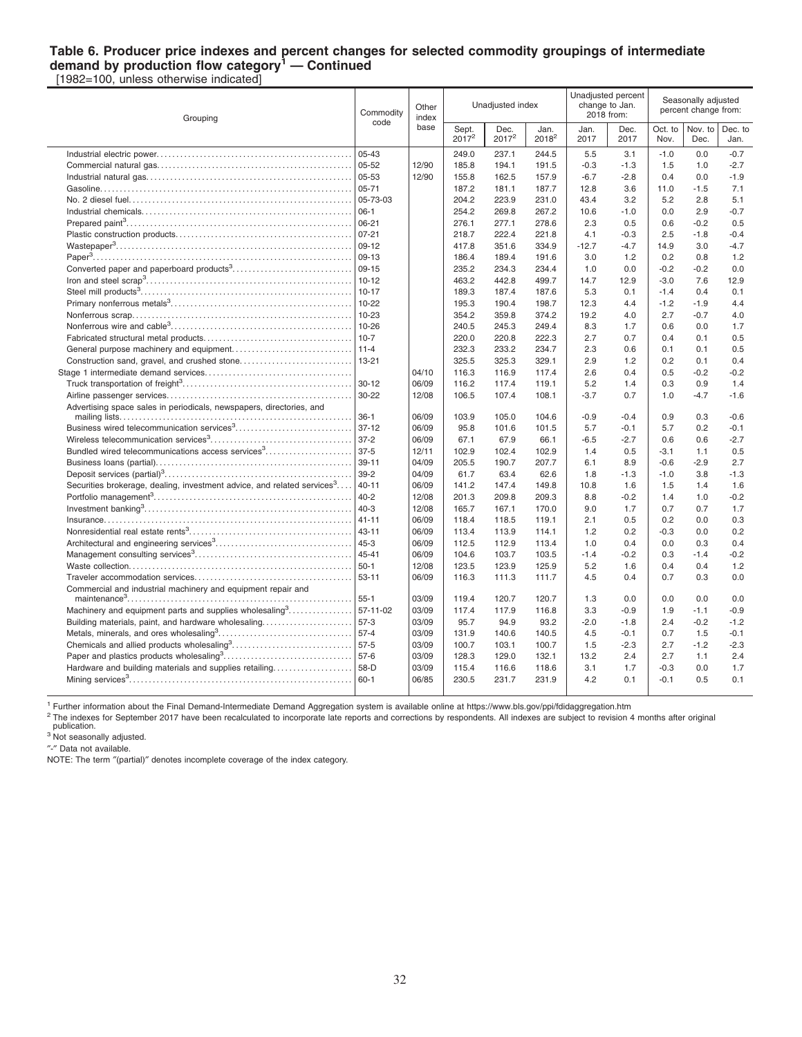#### **Table 6. Producer price indexes and percent changes for selected commodity groupings of intermediate demand by production flow category<sup>1</sup> — Continued** [1982=100, unless otherwise indicated]

Grouping Commodity code **Other** index base Unadjusted index Unadjusted percent change to Jan. 2018 from: Seasonally adjusted percent change from: **Sept.** 2017 Dec.  $2017^2$ Jan.  $2018^2$ Jan. 2017 Dec. 2017 Oct. to Nov. Nov. to Dec. Dec. to Jan. Industrial electric power. . . . . . . . . . . . . . . . . . . . . . . . . . . . . . . . . . . . . . . . . . . . . . . . . . 05-43 249.0 237.1 244.5 5.5 3.1 -1.0 0.0 -0.7 Commercial natural gas. . . . . . . . . . . . . . . . . . . . . . . . . . . . . . . . . . . . . . . . . . . . . . . . . . 05-52 12/90 185.8 194.1 191.5 -0.3 -1.3 1.5 1.0 -2.7 Industrial natural gas. . . . . . . . . . . . . . . . . . . . . . . . . . . . . . . . . . . . . . . . . . . . . . . . . . . . 05-53 12/90 155.8 162.5 157.9 -6.7 -2.8 0.4 0.0 -1.9 Gasoline. . . . . . . . . . . . . . . . . . . . . . . . . . . . . . . . . . . . . . . . . . . . . . . . . . . . . . . . . . . . . . . . 05-71 187.2 181.1 187.7 12.8 3.6 11.0 -1.5 7.1 No. 2 diesel fuel. . . . . . . . . . . . . . . . . . . . . . . . . . . . . . . . . . . . . . . . . . . . . . . . . . . . . . . . . 05-73-03 204.2 223.9 231.0 43.4 3.2 5.2 2.8 5.1 Industrial chemicals. . . . . . . . . . . . . . . . . . . . . . . . . . . . . . . . . . . . . . . . . . . . . . . . . . . . . 06-1 254.2 269.8 267.2 10.6 -1.0 0.0 2.9 -0.7 Prepared paint<sup>3</sup> . . . . . . . . . . . . . . . . . . . . . . . . . . . . . . . . . . . . . . . . . . . . . . . . . . . . . . . . . 06-21 276.1 277.1 278.6 2.3 0.5 0.6 -0.2 0.5 Plastic construction products. . . . . . . . . . . . . . . . . . . . . . . . . . . . . . . . . . . . . . . . . . . . . 07-21 218.7 222.4 221.8 4.1 -0.3 2.5 -1.8 -0.4 Wastepaper<sup>3</sup> . . . . . . . . . . . . . . . . . . . . . . . . . . . . . . . . . . . . . . . . . . . . . . . . . . . . . . . . . . . . 09-12 417.8 351.6 334.9 -12.7 -4.7 14.9 3.0 -4.7 Paper<sup>3</sup> . . . . . . . . . . . . . . . . . . . . . . . . . . . . . . . . . . . . . . . . . . . . . . . . . . . . . . . . . . . . . . . . . . 09-13 186.4 189.4 191.6 3.0 1.2 0.2 0.8 1.2 Converted paper and paperboard products<sup>3</sup> . . . . . . . . . . . . . . . . . . . . . . . . . . . . . . 09-15 235.2 234.3 234.4 1.0 0.0 -0.2 -0.2 0.0 Iron and steel scrap<sup>3</sup> . . . . . . . . . . . . . . . . . . . . . . . . . . . . . . . . . . . . . . . . . . . . . . . . . . . . 10-12 463.2 442.8 499.7 14.7 12.9 -3.0 7.6 12.9 Steel mill products<sup>3</sup> . . . . . . . . . . . . . . . . . . . . . . . . . . . . . . . . . . . . . . . . . . . . . . . . . . . . . . 10-17 189.3 187.4 187.6 5.3 0.1 -1.4 0.4 0.1 Primary nonferrous metals<sup>3</sup> . . . . . . . . . . . . . . . . . . . . . . . . . . . . . . . . . . . . . . . . . . . . . . 10-22 195.3 190.4 198.7 12.3 4.4 -1.2 -1.9 4.4 Nonferrous scrap. . . . . . . . . . . . . . . . . . . . . . . . . . . . . . . . . . . . . . . . . . . . . . . . . . . . . . . . 10-23 354.2 359.8 374.2 19.2 4.0 2.7 -0.7 4.0 Nonferrous wire and cable<sup>3</sup> . . . . . . . . . . . . . . . . . . . . . . . . . . . . . . . . . . . . . . . . . . . . . . 10-26 240.5 245.3 249.4 8.3 1.7 0.6 0.0 1.7 Fabricated structural metal products. . . . . . . . . . . . . . . . . . . . . . . . . . . . . . . . . . . . . . 10-7 220.0 220.8 222.3 2.7 0.7 0.4 0.1 0.5 General purpose machinery and equipment. . . . . . . . . . . . . . . . . . . . . . . . . . . . . . 11-4 232.3 233.2 234.7 2.3 0.6 0.1 0.1 0.5 Construction sand, gravel, and crushed stone. . . . . . . . . . . . . . . . . . . . . . . . . . . . 13-21 325.5 325.3 329.1 2.9 1.2 0.2 0.1 0.4 Stage 1 intermediate demand services. . . . . . . . . . . . . . . . . . . . . . . . . . . . . . . . . . . . . 04/10 116.3 116.9 117.4 2.6 0.4 0.5 -0.2 -0.2 Truck transportation of freight<sup>3</sup> . . . . . . . . . . . . . . . . . . . . . . . . . . . . . . . . . . . . . . . . . . . 30-12 06/09 116.2 117.4 119.1 5.2 1.4 0.3 0.9 1.4 Airline passenger services. . . . . . . . . . . . . . . . . . . . . . . . . . . . . . . . . . . . . . . . . . . . . . . 30-22 12/08 106.5 107.4 108.1 -3.7 0.7 1.0 -4.7 -1.6 Advertising space sales in periodicals, newspapers, directories, and mailing lists. . . . . . . . . . . . . . . . . . . . . . . . . . . . . . . . . . . . . . . . . . . . . . . . . . . . . . . . . . . 36-1 06/09 103.9 105.0 104.6 -0.9 -0.4 0.9 0.3 -0.6 Business wired telecommunication services<sup>3</sup> . . . . . . . . . . . . . . . . . . . . . . . . . . . . . . 37-12 06/09 95.8 101.6 101.5 5.7 -0.1 5.7 0.2 -0.1 Wireless telecommunication services<sup>3</sup> . . . . . . . . . . . . . . . . . . . . . . . . . . . . . . . . . . . . 37-2 06/09 67.1 67.9 66.1 -6.5 -2.7 0.6 0.6 -2.7 Bundled wired telecommunications access services<sup>3</sup>...................| 37-5 | 12/11 | 102.9 | 102.4 102.9 | 1.4 0.5 | -3.1 1.1 0.5 Business loans (partial). . . . . . . . . . . . . . . . . . . . . . . . . . . . . . . . . . . . . . . . . . . . . . . . . . 39-11 04/09 205.5 190.7 207.7 6.1 8.9 -0.6 -2.9 2.7 Deposit services (partial)<sup>3</sup> . . . . . . . . . . . . . . . . . . . . . . . . . . . . . . . . . . . . . . . . . . . . . . . . 39-2 04/09 61.7 63.4 62.6 1.8 -1.3 -1.0 3.8 -1.3 Securities brokerage, dealing, investment advice, and related services $3 \ldots$ ....|40-11 |06/09 | 141.2 147.4 149.8 | 10.8 1.6 | 1.5 1.4 1.6 Portfolio management<sup>3</sup> . . . . . . . . . . . . . . . . . . . . . . . . . . . . . . . . . . . . . . . . . . . . . . . . . . 40-2 12/08 201.3 209.8 209.3 8.8 -0.2 1.4 1.0 -0.2 Investment banking<sup>3</sup> . . . . . . . . . . . . . . . . . . . . . . . . . . . . . . . . . . . . . . . . . . . . . . . . . . . . . 40-3 12/08 165.7 167.1 170.0 9.0 1.7 0.7 0.7 1.7 Insurance. . . . . . . . . . . . . . . . . . . . . . . . . . . . . . . . . . . . . . . . . . . . . . . . . . . . . . . . . . . . . . . 41-11 06/09 118.4 118.5 119.1 2.1 0.5 0.2 0.0 0.3 Nonresidential real estate rents<sup>3</sup> . . . . . . . . . . . . . . . . . . . . . . . . . . . . . . . . . . . . . . . . . 43-11 06/09 113.4 113.9 114.1 1.2 0.2 -0.3 0.0 0.2 Architectural and engineering services<sup>3</sup> . . . . . . . . . . . . . . . . . . . . . . . . . . . . . . . . . . . 45-3 06/09 112.5 112.9 113.4 1.0 0.4 0.0 0.3 0.4 Management consulting services<sup>3</sup> . . . . . . . . . . . . . . . . . . . . . . . . . . . . . . . . . . . . . . . . 45-41 06/09 104.6 103.7 103.5 -1.4 -0.2 0.3 -1.4 -0.2 Waste collection. . . . . . . . . . . . . . . . . . . . . . . . . . . . . . . . . . . . . . . . . . . . . . . . . . . . . . . . . 50-1 12/08 123.5 123.9 125.9 5.2 1.6 0.4 0.4 1.2 Traveler accommodation services. . . . . . . . . . . . . . . . . . . . . . . . . . . . . . . . . . . . . . . . 53-11 06/09 116.3 111.3 111.7 4.5 0.4 0.7 0.3 0.0 Commercial and industrial machinery and equipment repair and maintenance<sup>3</sup> . . . . . . . . . . . . . . . . . . . . . . . . . . . . . . . . . . . . . . . . . . . . . . . . . . . . . . . . . 55-1 03/09 119.4 120.7 120.7 1.3 0.0 0.0 0.0 0.0 Machinery and equipment parts and supplies wholesaling<sup>3</sup>...............|57-11-02 | 03/09 | 117.4 117.9 116.8 | 3.3 -0.9 | 1.9 -1.1 -0.9 Building materials, paint, and hardware wholesaling. . . . . . . . . . . . . . . . . . . . . . . 57-3 03/09 95.7 94.9 93.2 -2.0 -1.8 2.4 -0.2 -1.2 Metals, minerals, and ores wholesaling<sup>3</sup> . . . . . . . . . . . . . . . . . . . . . . . . . . . . . . . . . . 57-4 03/09 131.9 140.6 140.5 4.5 -0.1 0.7 1.5 -0.1 Chemicals and allied products wholesaling<sup>3</sup>...............................| 57-5  $\qquad$  03/09 | 100.7 103.1 100.7 | 1.5 -2.3 | 2.7 -1.2 -2.3 Paper and plastics products wholesaling<sup>3</sup> . . . . . . . . . . . . . . . . . . . . . . . . . . . . . . . . . 57-6 03/09 128.3 129.0 132.1 13.2 2.4 2.7 1.1 2.4 Hardware and building materials and supplies retailing. . . . . . . . . . . . . . . . . . . . 58-D 03/09 115.4 116.6 118.6 3.1 1.7 -0.3 0.0 1.7 Mining services<sup>3</sup> . . . . . . . . . . . . . . . . . . . . . . . . . . . . . . . . . . . . . . . . . . . . . . . . . . . . . . . . . 60-1 06/85 230.5 231.7 231.9 4.2 0.1 -0.1 0.5 0.1

<sup>1</sup> Further information about the Final Demand-Intermediate Demand Aggregation system is available online at https://www.bls.gov/ppi/fdidaggregation.htm

<sup>2</sup> The indexes for September 2017 have been recalculated to incorporate late reports and corrections by respondents. All indexes are subject to revision 4 months after original publication.

<sup>3</sup> Not seasonally adjusted.

″-″ Data not available.

NOTE: The term ″(partial)″ denotes incomplete coverage of the index category.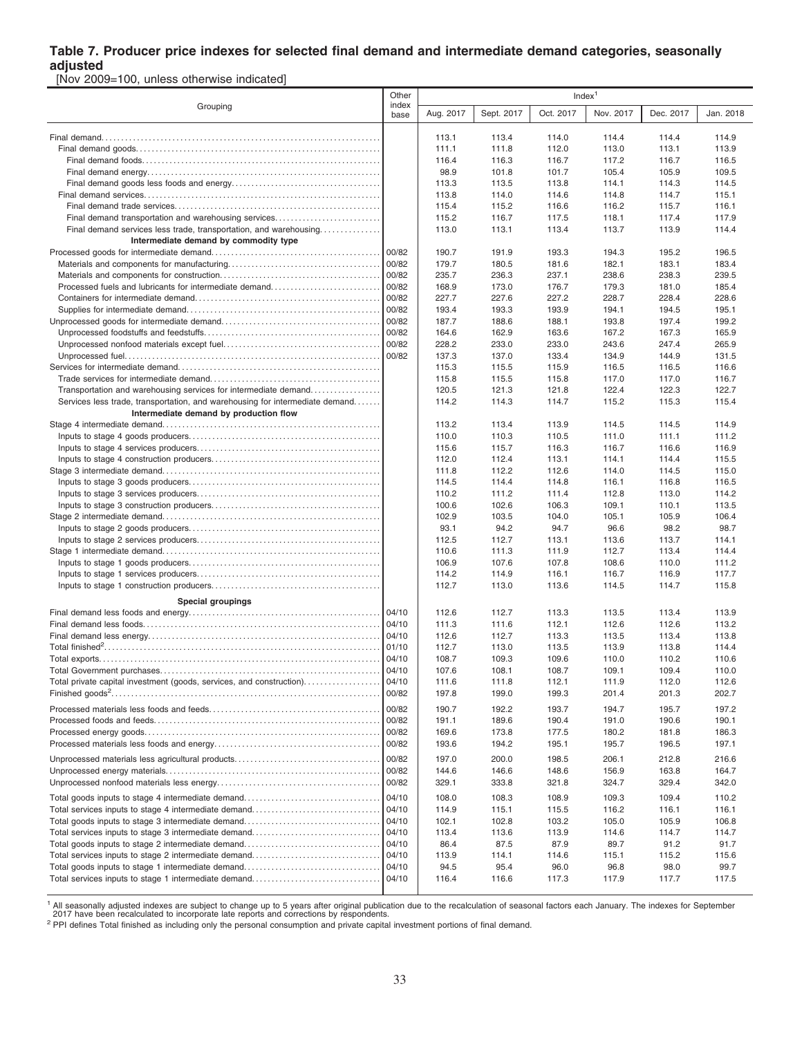#### **Table 7. Producer price indexes for selected final demand and intermediate demand categories, seasonally adjusted**

[Nov 2009=100, unless otherwise indicated]

|                                                                              | Other         | Index <sup>1</sup> |            |           |           |           |           |  |  |  |  |
|------------------------------------------------------------------------------|---------------|--------------------|------------|-----------|-----------|-----------|-----------|--|--|--|--|
| Grouping                                                                     | index<br>base | Aug. 2017          | Sept. 2017 | Oct. 2017 | Nov. 2017 | Dec. 2017 | Jan. 2018 |  |  |  |  |
|                                                                              |               | 113.1              | 113.4      | 114.0     | 114.4     | 114.4     | 114.9     |  |  |  |  |
|                                                                              |               | 111.1              | 111.8      | 112.0     | 113.0     | 113.1     | 113.9     |  |  |  |  |
|                                                                              |               | 116.4              | 116.3      | 116.7     | 117.2     | 116.7     | 116.5     |  |  |  |  |
|                                                                              |               | 98.9               | 101.8      | 101.7     | 105.4     | 105.9     | 109.5     |  |  |  |  |
|                                                                              |               | 113.3              | 113.5      | 113.8     | 114.1     | 114.3     | 114.5     |  |  |  |  |
|                                                                              |               | 113.8              | 114.0      | 114.6     | 114.8     | 114.7     | 115.1     |  |  |  |  |
|                                                                              |               | 115.4              | 115.2      | 116.6     | 116.2     | 115.7     | 116.1     |  |  |  |  |
| Final demand transportation and warehousing services                         |               | 115.2              | 116.7      | 117.5     | 118.1     | 117.4     | 117.9     |  |  |  |  |
| Final demand services less trade, transportation, and warehousing            |               | 113.0              | 113.1      | 113.4     | 113.7     | 113.9     | 114.4     |  |  |  |  |
| Intermediate demand by commodity type                                        |               |                    |            |           |           |           |           |  |  |  |  |
|                                                                              | 00/82         | 190.7              | 191.9      | 193.3     | 194.3     | 195.2     | 196.5     |  |  |  |  |
|                                                                              | 00/82         | 179.7              | 180.5      | 181.6     | 182.1     | 183.1     | 183.4     |  |  |  |  |
|                                                                              | 00/82         | 235.7              | 236.3      | 237.1     | 238.6     | 238.3     | 239.5     |  |  |  |  |
| Processed fuels and lubricants for intermediate demand                       | 00/82         | 168.9              | 173.0      | 176.7     | 179.3     | 181.0     | 185.4     |  |  |  |  |
|                                                                              | 00/82         | 227.7              | 227.6      | 227.2     | 228.7     | 228.4     | 228.6     |  |  |  |  |
|                                                                              | 00/82         | 193.4              | 193.3      | 193.9     | 194.1     | 194.5     | 195.1     |  |  |  |  |
|                                                                              | 00/82         | 187.7              | 188.6      | 188.1     | 193.8     | 197.4     | 199.2     |  |  |  |  |
|                                                                              | 00/82         | 164.6              | 162.9      | 163.6     | 167.2     | 167.3     | 165.9     |  |  |  |  |
|                                                                              | 00/82         | 228.2              | 233.0      | 233.0     | 243.6     | 247.4     | 265.9     |  |  |  |  |
|                                                                              | 00/82         | 137.3              | 137.0      | 133.4     | 134.9     | 144.9     | 131.5     |  |  |  |  |
|                                                                              |               | 115.3              | 115.5      | 115.9     | 116.5     | 116.5     | 116.6     |  |  |  |  |
|                                                                              |               | 115.8              | 115.5      | 115.8     | 117.0     | 117.0     | 116.7     |  |  |  |  |
| Transportation and warehousing services for intermediate demand              |               | 120.5              | 121.3      | 121.8     | 122.4     | 122.3     | 122.7     |  |  |  |  |
| Services less trade, transportation, and warehousing for intermediate demand |               | 114.2              | 114.3      | 114.7     | 115.2     | 115.3     | 115.4     |  |  |  |  |
| Intermediate demand by production flow                                       |               |                    |            |           |           |           |           |  |  |  |  |
|                                                                              |               | 113.2              | 113.4      | 113.9     | 114.5     | 114.5     | 114.9     |  |  |  |  |
|                                                                              |               | 110.0              | 110.3      | 110.5     | 111.0     | 111.1     | 111.2     |  |  |  |  |
|                                                                              |               | 115.6              | 115.7      | 116.3     | 116.7     | 116.6     | 116.9     |  |  |  |  |
|                                                                              |               | 112.0              | 112.4      | 113.1     | 114.1     | 114.4     | 115.5     |  |  |  |  |
|                                                                              |               | 111.8              | 112.2      | 112.6     | 114.0     | 114.5     | 115.0     |  |  |  |  |
|                                                                              |               | 114.5              | 114.4      | 114.8     | 116.1     | 116.8     | 116.5     |  |  |  |  |
|                                                                              |               | 110.2              | 111.2      | 111.4     | 112.8     | 113.0     | 114.2     |  |  |  |  |
|                                                                              |               | 100.6              | 102.6      | 106.3     | 109.1     | 110.1     | 113.5     |  |  |  |  |
|                                                                              |               | 102.9              | 103.5      | 104.0     | 105.1     | 105.9     | 106.4     |  |  |  |  |
|                                                                              |               | 93.1               | 94.2       | 94.7      | 96.6      | 98.2      | 98.7      |  |  |  |  |
|                                                                              |               | 112.5              | 112.7      | 113.1     | 113.6     | 113.7     | 114.1     |  |  |  |  |
|                                                                              |               | 110.6              | 111.3      | 111.9     | 112.7     | 113.4     | 114.4     |  |  |  |  |
|                                                                              |               | 106.9              | 107.6      | 107.8     | 108.6     | 110.0     | 111.2     |  |  |  |  |
|                                                                              |               | 114.2              | 114.9      | 116.1     | 116.7     | 116.9     | 117.7     |  |  |  |  |
|                                                                              |               | 112.7              | 113.0      | 113.6     | 114.5     | 114.7     | 115.8     |  |  |  |  |
| Special groupings                                                            |               |                    |            |           |           |           |           |  |  |  |  |
|                                                                              | 04/10         | 112.6              | 112.7      | 113.3     | 113.5     | 113.4     | 113.9     |  |  |  |  |
|                                                                              | 04/10         | 111.3              | 111.6      | 112.1     | 112.6     | 112.6     | 113.2     |  |  |  |  |
|                                                                              | 04/10         | 112.6              | 112.7      | 113.3     | 113.5     | 113.4     | 113.8     |  |  |  |  |
|                                                                              | 01/10         | 112.7              | 113.0      | 113.5     | 113.9     | 113.8     | 114.4     |  |  |  |  |
|                                                                              | 04/10         | 108.7              | 109.3      | 109.6     | 110.0     | 110.2     | 110.6     |  |  |  |  |
|                                                                              | 04/10         | 107.6              | 108.1      | 108.7     | 109.1     | 109.4     | 110.0     |  |  |  |  |
| Total private capital investment (goods, services, and construction)         | 04/10         | 111.6              | 111.8      | 112.1     | 111.9     | 112.0     | 112.6     |  |  |  |  |
|                                                                              | 00/82         | 197.8              | 199.0      | 199.3     | 201.4     | 201.3     | 202.7     |  |  |  |  |
|                                                                              | 00/82         |                    |            |           |           |           |           |  |  |  |  |
|                                                                              |               | 190.7              | 192.2      | 193.7     | 194.7     | 195.7     | 197.2     |  |  |  |  |
|                                                                              | 00/82         | 191.1              | 189.6      | 190.4     | 191.0     | 190.6     | 190.1     |  |  |  |  |
|                                                                              | 00/82         | 169.6              | 173.8      | 177.5     | 180.2     | 181.8     | 186.3     |  |  |  |  |
|                                                                              | 00/82         | 193.6              | 194.2      | 195.1     | 195.7     | 196.5     | 197.1     |  |  |  |  |
|                                                                              | 00/82         | 197.0              | 200.0      | 198.5     | 206.1     | 212.8     | 216.6     |  |  |  |  |
|                                                                              | 00/82         | 144.6              | 146.6      | 148.6     | 156.9     | 163.8     | 164.7     |  |  |  |  |
|                                                                              | 00/82         | 329.1              | 333.8      | 321.8     | 324.7     | 329.4     | 342.0     |  |  |  |  |
| Total goods inputs to stage 4 intermediate demand                            | 04/10         | 108.0              | 108.3      | 108.9     | 109.3     | 109.4     | 110.2     |  |  |  |  |
| Total services inputs to stage 4 intermediate demand                         | 04/10         | 114.9              | 115.1      | 115.5     | 116.2     | 116.1     | 116.1     |  |  |  |  |
|                                                                              | 04/10         | 102.1              | 102.8      | 103.2     | 105.0     | 105.9     | 106.8     |  |  |  |  |
| Total services inputs to stage 3 intermediate demand                         | 04/10         | 113.4              | 113.6      | 113.9     | 114.6     | 114.7     | 114.7     |  |  |  |  |
|                                                                              | 04/10         | 86.4               | 87.5       | 87.9      | 89.7      | 91.2      | 91.7      |  |  |  |  |
| Total services inputs to stage 2 intermediate demand                         | 04/10         | 113.9              | 114.1      | 114.6     | 115.1     | 115.2     | 115.6     |  |  |  |  |
| Total goods inputs to stage 1 intermediate demand                            | 04/10         | 94.5               | 95.4       | 96.0      | 96.8      | 98.0      | 99.7      |  |  |  |  |
| Total services inputs to stage 1 intermediate demand                         | 04/10         | 116.4              | 116.6      | 117.3     | 117.9     | 117.7     | 117.5     |  |  |  |  |
|                                                                              |               |                    |            |           |           |           |           |  |  |  |  |

<sup>1</sup> All seasonally adjusted indexes are subject to change up to 5 years after original publication due to the recalculation of seasonal factors each January. The indexes for September<br>2017 have been recalculated to incorpo